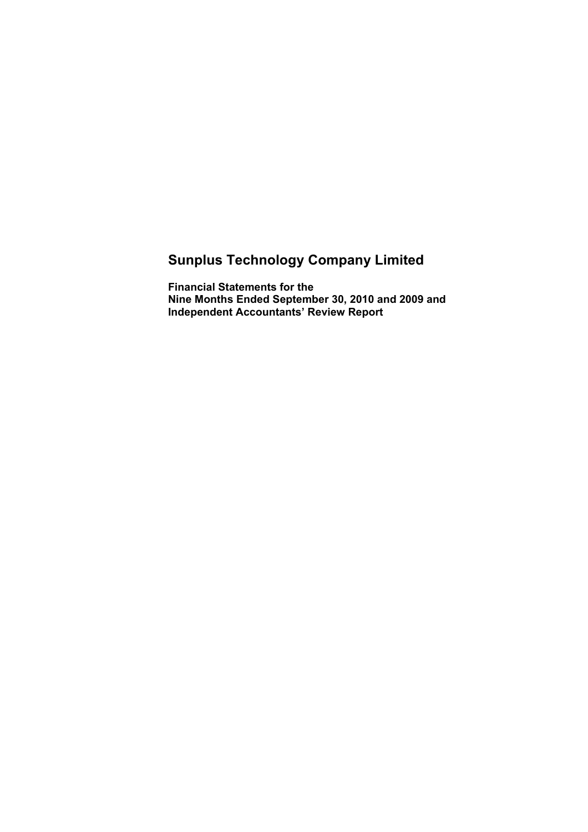# **Sunplus Technology Company Limited**

**Financial Statements for the Nine Months Ended September 30, 2010 and 2009 and Independent Accountants' Review Report**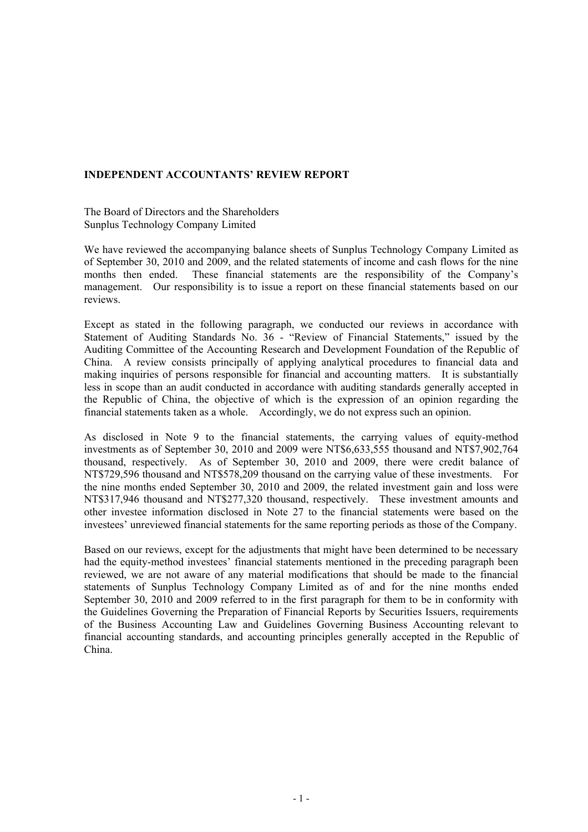### **INDEPENDENT ACCOUNTANTS' REVIEW REPORT**

The Board of Directors and the Shareholders Sunplus Technology Company Limited

We have reviewed the accompanying balance sheets of Sunplus Technology Company Limited as of September 30, 2010 and 2009, and the related statements of income and cash flows for the nine months then ended. These financial statements are the responsibility of the Company's management. Our responsibility is to issue a report on these financial statements based on our reviews.

Except as stated in the following paragraph, we conducted our reviews in accordance with Statement of Auditing Standards No. 36 - "Review of Financial Statements," issued by the Auditing Committee of the Accounting Research and Development Foundation of the Republic of China. A review consists principally of applying analytical procedures to financial data and making inquiries of persons responsible for financial and accounting matters. It is substantially less in scope than an audit conducted in accordance with auditing standards generally accepted in the Republic of China, the objective of which is the expression of an opinion regarding the financial statements taken as a whole. Accordingly, we do not express such an opinion.

As disclosed in Note 9 to the financial statements, the carrying values of equity-method investments as of September 30, 2010 and 2009 were NT\$6,633,555 thousand and NT\$7,902,764 thousand, respectively. As of September 30, 2010 and 2009, there were credit balance of NT\$729,596 thousand and NT\$578,209 thousand on the carrying value of these investments. For the nine months ended September 30, 2010 and 2009, the related investment gain and loss were NT\$317,946 thousand and NT\$277,320 thousand, respectively. These investment amounts and other investee information disclosed in Note 27 to the financial statements were based on the investees' unreviewed financial statements for the same reporting periods as those of the Company.

Based on our reviews, except for the adjustments that might have been determined to be necessary had the equity-method investees' financial statements mentioned in the preceding paragraph been reviewed, we are not aware of any material modifications that should be made to the financial statements of Sunplus Technology Company Limited as of and for the nine months ended September 30, 2010 and 2009 referred to in the first paragraph for them to be in conformity with the Guidelines Governing the Preparation of Financial Reports by Securities Issuers, requirements of the Business Accounting Law and Guidelines Governing Business Accounting relevant to financial accounting standards, and accounting principles generally accepted in the Republic of China.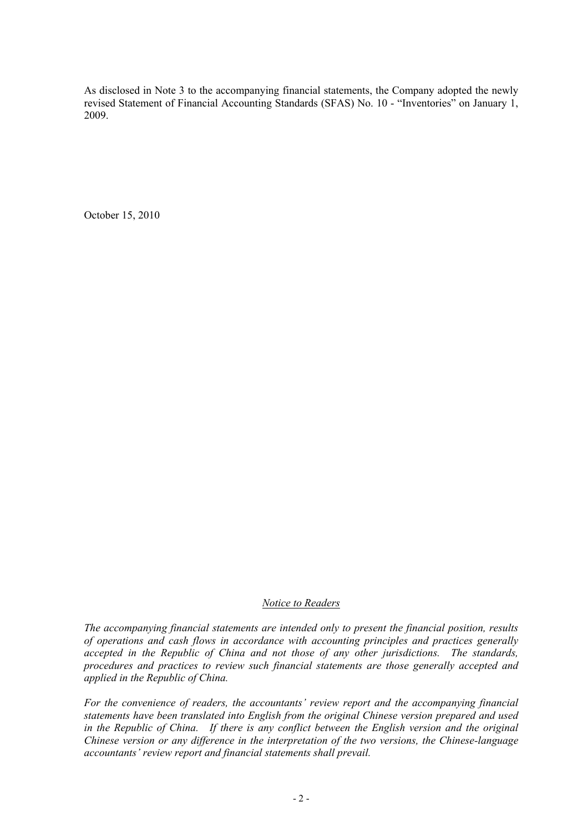As disclosed in Note 3 to the accompanying financial statements, the Company adopted the newly revised Statement of Financial Accounting Standards (SFAS) No. 10 - "Inventories" on January 1, 2009.

October 15, 2010

#### *Notice to Readers*

*The accompanying financial statements are intended only to present the financial position, results of operations and cash flows in accordance with accounting principles and practices generally accepted in the Republic of China and not those of any other jurisdictions. The standards, procedures and practices to review such financial statements are those generally accepted and applied in the Republic of China.* 

*For the convenience of readers, the accountants' review report and the accompanying financial statements have been translated into English from the original Chinese version prepared and used*  in the Republic of China. If there is any conflict between the English version and the original *Chinese version or any difference in the interpretation of the two versions, the Chinese-language accountants' review report and financial statements shall prevail.*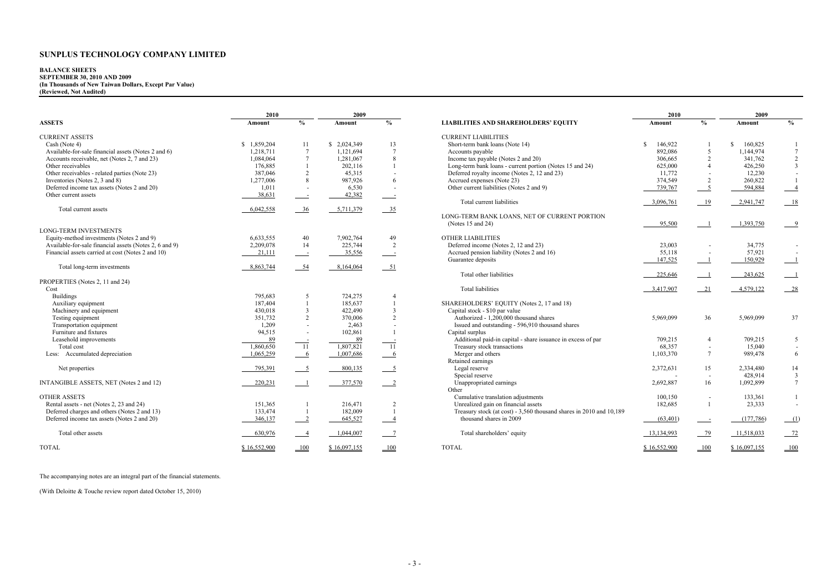| <b>2010</b>   |                | 2009          |                         |
|---------------|----------------|---------------|-------------------------|
| Amount        | $\frac{0}{0}$  | Amount        | $\frac{0}{0}$           |
|               |                |               |                         |
| \$<br>146,922 | 1              | \$<br>160,825 | 1                       |
| 892,086       | 5              | 1,144,974     | 7                       |
| 306,665       | $\overline{c}$ | 341,762       | $\overline{\mathbf{c}}$ |
| 625,000       | $\overline{4}$ | 426,250       | 3                       |
| 11,772        | -              | 12,230        | -                       |
| 374,549       | $\overline{c}$ | 260,822       | $\mathbf{1}$            |
| 739,767       | $\overline{5}$ | 594,884       | 4                       |
|               |                |               |                         |
| 3,096,761     | 19             | 2,941,747     | 18                      |
|               |                |               |                         |
| <u>95,500</u> | 1              | 1,393,750     | 9                       |
|               |                |               |                         |
| 23,003        |                | 34,775        |                         |
| 55,118        |                | 57,921        |                         |
| 147,525       | 1              | 150,929       | 1                       |
|               |                |               |                         |
| 225,646       | $\overline{1}$ | 243,625       | 1                       |
| 3,417,907     | 21             | 4,579,122     | 28                      |
|               |                |               |                         |
| 5,969,099     | 36             | 5,969,099     | 37                      |
| 709,215       | 4              | 709,215       | 5                       |
| 68,357        |                | 15,040        |                         |
| 1,103,370     | 7              | 989,478       | 6                       |
| 2,372,631     | 15             | 2,334,480     | 14                      |
|               |                | 428,914       | 3                       |
| 2,692,887     | 16             | 1,092,899     | 7                       |
| 100,150       | -              | 133,361       | 1                       |
| 182,685       | 1              | 23,333        |                         |
| (63, 401)     | Ξ              | (177, 786)    | (1)                     |
| 13,134,993    | 79             | 11,518,033    | <u>72</u>               |
| \$16,552,900  | <b>100</b>     | \$16,097,155  | <b>100</b>              |

#### **BALANCE SHEETS**

**2010 2009 2010 2009 ASSETS Amount % AmountAmount**  $\frac{9}{6}$  **LIABILITIES AND SHAREHOLDERS' EQUITY** CURRENT ASSETS CURRENT LIABILITIES Cash (Note 4) **5 1,859,204** 11 \$ 2,024,349 13 Short-term bank loans (Note 14) \$ 146,922 1 \$ 160,825 1 Available-for-sale financial assets (Notes 2 and 6)  $\frac{1,218,711}{1,084,064}$   $\frac{7}{7}$   $\frac{1,121,694}{1.281,067}$   $\frac{8}{7}$  Accounts payable (Notes 2 and 20) Accounts receivable, net (Notes 2, 7 and 23) 1,084,064 7 1,281,067 8<br>Other receivables 176.885 1 202.116 1 176,885 1 202,116 1 Long-term bank loans - current portion (Notes 15 and 24)<br>387,046 2 45,315 - Deferred royalty income (Notes 2, 12 and 23) Other receivables - related parties (Note 23) 387,046 387,046 387,046 387,046 2 2 45,315 - Deferred royalty income (Notes 2, 3 and 8) 387,046 1,277,006 3 987,926 6 Accrued expenses (Note 23) Inventories (Notes 2, 3 and 8) 1,277,006 8 987,926 6 Accrued expenses (Note 23) 374,549 2 260,822 1 Deferred income tax assets (Notes 2 and 20) 1,011 - 6,530 - Other current liabilities (Notes 2 and 9)<br>Other current assets (Notes 2 and 20) 38,631 - 42,382 - 42,382 -Other current assets 38,631 - 42,382 - 42,382 Total current liabilities  $\frac{3,096,761}{19} \quad \frac{19}{2,941,747} \quad \frac{18}{18}$ Total current assets 6,042,558 36 5,711,379 35 (Notes 15 and 24)  $\frac{95,500}{1}$  1,393,750 9 LONG-TERM INVESTMENTS Equity-method investments (Notes 2 and 9)<br>
Available-for-sale financial assets (Notes 2, 6 and 9)  $\begin{array}{ccc}\n6.633,555 \\
2.209.078\n\end{array}$  14  $\begin{array}{ccc}\n7.902,764 \\
225.744\n\end{array}$  2 Available-for-sale financial assets (Notes 2, 6 and 9) 2,209,078 14 225,744 2 Financial assets carried at cost (Notes 2 and 10) 21,111  $\frac{21,111}{2}$  - 35,556 - Accrued pension liability (Notes 2 and 16) Guarantee deposits  $\frac{147,525}{147,525}$   $\frac{1}{1}$   $\frac{150,929}{150,929}$  150.929 Total long-term investments 1988 164,064 51  $\frac{1}{225,646}$   $\frac{1}{243,625}$   $\frac{1}{1}$   $\frac{243,625}{243,625}$   $\frac{1}{1}$ PROPERTIES (Notes 2, 11 and 24)  $\frac{3,417,907}{\frac{3,417,907}{\frac{21}{\frac{21}{\frac{21}{\frac{21}{\frac{21}{\frac{21}{\frac{21}{\frac{21}{\frac{21}{\frac{21}{\frac{21}{\frac{21}{\frac{21}{\frac{21}{\frac{21}{\frac{21}{\frac{21}{\frac{21}{\frac{21}{\frac{21}{\frac{21}{\frac{21}{\frac{21}{\frac{21}{\frac{21}{\frac{21}{\frac{21}{\frac{21}{\frac{21}{\frac{21}{\frac{21}{\frac{21}{\frac$ Buildings 795,683 5 724,275 4 Auxiliary equipment 187,404 187,404 1 185,637 1 SHAREHOLDERS' EQUITY (Notes 2, 17 and 18)<br>Machinery and equipment 187,404 430.018 3 422.490 3 Capital stock - \$10 par value Machinery and equipment 430,018 422,490 3<br>
Testing equipment 1990,018 422,490 3<br>  $\frac{430,018}{351.732}$  370.006 2<br>
Authorized - 1.200.000 tho Testing equipment<br>
Transportation equipment<br>
Transportation equipment<br>
Transportation equipment<br>
Transportation equipment<br>
Transportation equipment<br>
Signed and outstanding - 596,910 thousand shares<br>  $2,463$ <br>  $2,463$ 1,209 - 2,463 - Issued and outstanding - 596,910 thousand shares<br>94,515 - 102,861 1 Capital surplus Furniture and fixtures 102,861 1<br>
Leasehold improvements 89 102,861 1<br>
89 102,861 1 Easehold improvements  $\frac{89}{1,860,650}$   $\frac{1}{11}$   $\frac{89}{1,807,821}$   $\frac{1}{11}$  Additional paid-in capital - share issuance in excess of par Total cost 1,860,650 11 1,807,821 11 Treasury stock transactions 68,357 - 15,040 -Less: Accumulated depreciation 1,065,259 6 1,007,686 6 Merger and others 1,007,686 Merger and others 1,007,686 Retained earnings Net properties 2,372,631 15 2,334,480 14 Special reserve the contract of the serve that the serve that the serve that the serve that the serve that the serve that the serve that the serve that the serve that the serve that the serve that the serve that the serve INTANGIBLE ASSETS, NET (Notes 2 and 12)  $\frac{220,231}{\text{200.231}}$   $\frac{1}{\text{201.570}}$   $\frac{377,570}{\text{201.57}}$  Unappropriated earnings Other and the contract of the contract of the contract of the contract of the contract of the contract of the contract of the contract of the contract of the contract of the contract of the contract of the contract of the OTHER ASSETS<br>
Rental assets - net (Notes 2, 23 and 24) 151,365 1 216,471 2 16.471 2 Unrealized gain on financial assets Rental assets - net (Notes 2, 23 and 24) 151,365 1 216,471 2 Unrealized gain on financial assets<br>Deferred charges and others (Notes 2 and 13) 133,474 1 182,009 1 Treasury stock (at cost) - 3,560 thou Deferred income tax assets (Notes 2 and 20) 346,137 2 645,527 4 thousand shares in 2009 Total other assets **630,976** 10.044,007 1,044,007 1,044,007 1,044,007 1,044,007 1,044,007 1,0518,033 Total shareholders' equity TOTAL \$ 16,552,900 <u>100</u> \$ 16,097,155 100 TOTAL \$ 16,092,000 100 \$ 16,097,155 100 TOTAL \$ 16,552,900 100 \$ 16,097,155 100

LONG-TERM BANK LOANS, NET OF CURRENT PORTION<br>(Notes 15 and 24) 1 182,009 1 Treasury stock (at cost) - 3,560 thousand shares in 2010 and 10,189

#### **SEPTEMBER 30, 2010 AND 2009 (In Thousands of New Taiwan Dollars, Except Par Value) (Reviewed, Not Audited)**

The accompanying notes are an integral part of the financial statements.

(With Deloitte & Touche review report dated October 15, 2010)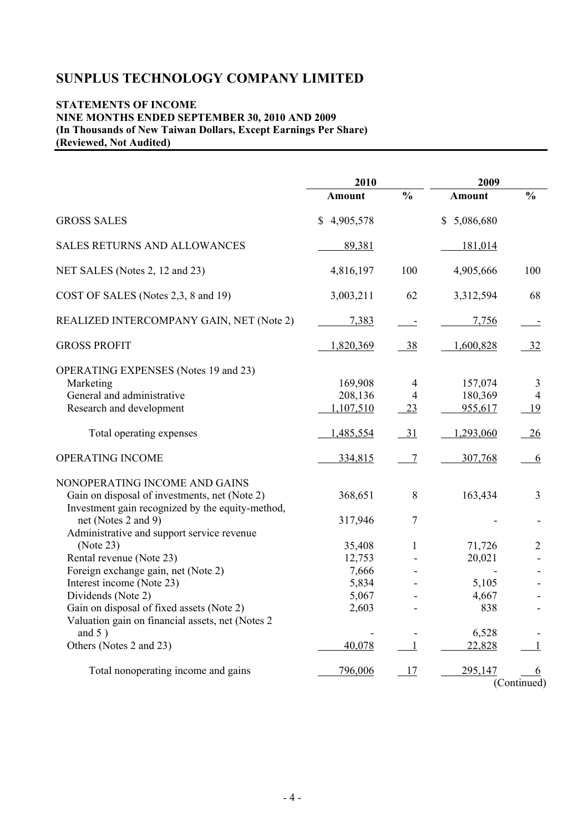## **STATEMENTS OF INCOME NINE MONTHS ENDED SEPTEMBER 30, 2010 AND 2009 (In Thousands of New Taiwan Dollars, Except Earnings Per Share) (Reviewed, Not Audited)**

|                                                                                                                                    | 2010                            |                           | 2009                          |                           |  |
|------------------------------------------------------------------------------------------------------------------------------------|---------------------------------|---------------------------|-------------------------------|---------------------------|--|
|                                                                                                                                    | <b>Amount</b>                   | $\frac{0}{0}$             | Amount                        | $\frac{0}{0}$             |  |
| <b>GROSS SALES</b>                                                                                                                 | \$4,905,578                     |                           | \$5,086,680                   |                           |  |
| <b>SALES RETURNS AND ALLOWANCES</b>                                                                                                | 89,381                          |                           | 181,014                       |                           |  |
| NET SALES (Notes 2, 12 and 23)                                                                                                     | 4,816,197                       | 100                       | 4,905,666                     | 100                       |  |
| COST OF SALES (Notes 2,3, 8 and 19)                                                                                                | 3,003,211                       | 62                        | 3,312,594                     | 68                        |  |
| REALIZED INTERCOMPANY GAIN, NET (Note 2)                                                                                           | 7,383                           | $\equiv$                  | 7,756                         | $\equiv$                  |  |
| <b>GROSS PROFIT</b>                                                                                                                | 1,820,369                       | 38                        | 1,600,828                     | $\frac{32}{2}$            |  |
| <b>OPERATING EXPENSES</b> (Notes 19 and 23)<br>Marketing<br>General and administrative<br>Research and development                 | 169,908<br>208,136<br>1,107,510 | 4<br>$\overline{4}$<br>23 | 157,074<br>180,369<br>955,617 | 3<br>$\overline{4}$<br>19 |  |
| Total operating expenses                                                                                                           | 1,485,554                       | $-31$                     | 1,293,060                     | 26                        |  |
| OPERATING INCOME                                                                                                                   | 334,815                         | $\overline{7}$            | 307,768                       | 6                         |  |
| NONOPERATING INCOME AND GAINS<br>Gain on disposal of investments, net (Note 2)<br>Investment gain recognized by the equity-method, | 368,651                         | 8                         | 163,434                       | $\overline{3}$            |  |
| net (Notes 2 and 9)<br>Administrative and support service revenue                                                                  | 317,946                         | $\overline{7}$            |                               |                           |  |
| (Note 23)<br>Rental revenue (Note 23)                                                                                              | 35,408<br>12,753                | 1                         | 71,726<br>20,021              | $\overline{2}$            |  |
| Foreign exchange gain, net (Note 2)                                                                                                | 7,666                           |                           |                               |                           |  |
| Interest income (Note 23)                                                                                                          | 5,834                           |                           | 5,105                         |                           |  |
| Dividends (Note 2)                                                                                                                 | 5,067                           |                           | 4,667                         |                           |  |
| Gain on disposal of fixed assets (Note 2)<br>Valuation gain on financial assets, net (Notes 2                                      | 2,603                           |                           | 838                           |                           |  |
| and $5)$                                                                                                                           |                                 |                           | 6,528                         |                           |  |
| Others (Notes 2 and 23)                                                                                                            | 40,078                          | 1                         | 22,828                        |                           |  |
| Total nonoperating income and gains                                                                                                | 796,006                         | 17                        | 295,147                       | 6<br>(Continued)          |  |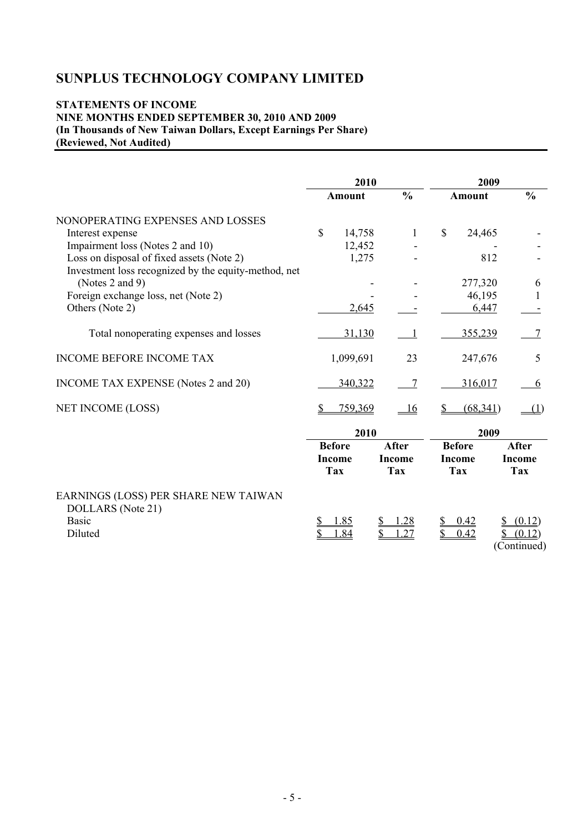## **STATEMENTS OF INCOME NINE MONTHS ENDED SEPTEMBER 30, 2010 AND 2009 (In Thousands of New Taiwan Dollars, Except Earnings Per Share) (Reviewed, Not Audited)**

|                                                                                                   | 2010 |               |               | 2009         |               |      |                       |
|---------------------------------------------------------------------------------------------------|------|---------------|---------------|--------------|---------------|------|-----------------------|
|                                                                                                   |      | Amount        | $\frac{0}{0}$ |              | <b>Amount</b> |      | $\frac{0}{0}$         |
| NONOPERATING EXPENSES AND LOSSES                                                                  |      |               |               |              |               |      |                       |
| Interest expense                                                                                  | \$   | 14,758        | $\mathbf{1}$  | $\mathbb{S}$ | 24,465        |      |                       |
| Impairment loss (Notes 2 and 10)                                                                  |      | 12,452        |               |              |               |      |                       |
| Loss on disposal of fixed assets (Note 2)<br>Investment loss recognized by the equity-method, net |      | 1,275         |               |              |               | 812  |                       |
| (Notes 2 and 9)                                                                                   |      |               |               |              | 277,320       |      | 6                     |
| Foreign exchange loss, net (Note 2)                                                               |      |               |               |              | 46,195        |      | 1                     |
| Others (Note 2)                                                                                   |      | 2,645         |               |              | 6,447         |      |                       |
| Total nonoperating expenses and losses                                                            |      | 31,130        |               |              | 355,239       |      | 7                     |
| <b>INCOME BEFORE INCOME TAX</b>                                                                   |      | 1,099,691     | 23            |              | 247,676       |      | 5                     |
| INCOME TAX EXPENSE (Notes 2 and 20)                                                               |      | 340,322       | 7             |              | 316,017       |      | 6                     |
| NET INCOME (LOSS)                                                                                 | \$   | 759,369       | <u>16</u>     |              | (68, 341)     |      | (1)                   |
|                                                                                                   |      | 2010          |               |              |               | 2009 |                       |
|                                                                                                   |      | <b>Before</b> | <b>After</b>  |              | <b>Before</b> |      | <b>After</b>          |
|                                                                                                   |      | <b>Income</b> | <b>Income</b> |              | <b>Income</b> |      | <b>Income</b>         |
|                                                                                                   |      | <b>Tax</b>    | <b>Tax</b>    |              | <b>Tax</b>    |      | <b>Tax</b>            |
| EARNINGS (LOSS) PER SHARE NEW TAIWAN<br>DOLLARS (Note 21)                                         |      |               |               |              |               |      |                       |
| <b>Basic</b>                                                                                      |      | 1.85          | 1.28          |              | 0.42          |      | (0.12)                |
| Diluted                                                                                           |      | .84           | .27           |              | 0.42          |      | (0.12)<br>(Continued) |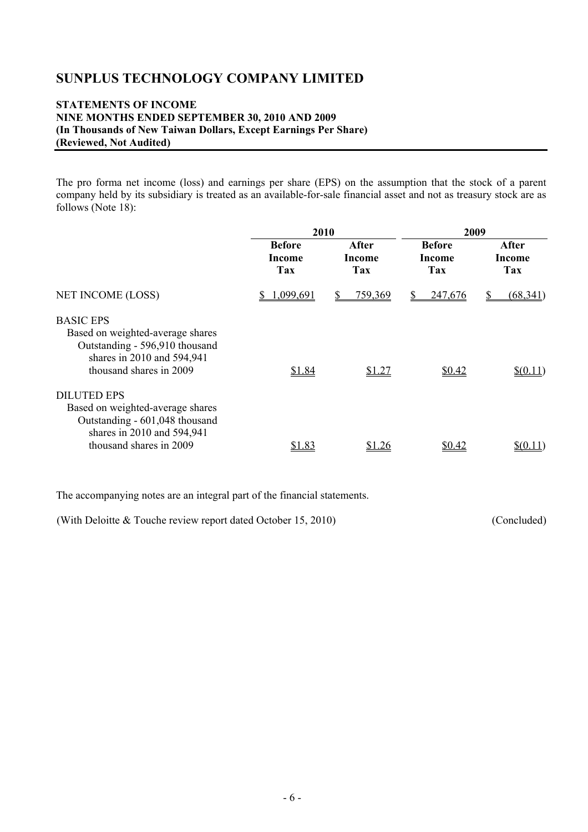## **STATEMENTS OF INCOME NINE MONTHS ENDED SEPTEMBER 30, 2010 AND 2009 (In Thousands of New Taiwan Dollars, Except Earnings Per Share) (Reviewed, Not Audited)**

The pro forma net income (loss) and earnings per share (EPS) on the assumption that the stock of a parent company held by its subsidiary is treated as an available-for-sale financial asset and not as treasury stock are as follows (Note 18):

|                                                                                                                                                   | 2010                           |                        | 2009                           |                               |  |
|---------------------------------------------------------------------------------------------------------------------------------------------------|--------------------------------|------------------------|--------------------------------|-------------------------------|--|
|                                                                                                                                                   | <b>Before</b><br>Income<br>Tax | After<br>Income<br>Tax | <b>Before</b><br>Income<br>Tax | After<br><b>Income</b><br>Tax |  |
| NET INCOME (LOSS)                                                                                                                                 | 1,099,691                      | 759,369                | 247,676<br>S                   | (68, 341)                     |  |
| <b>BASIC EPS</b><br>Based on weighted-average shares<br>Outstanding - 596,910 thousand<br>shares in 2010 and 594,941<br>thousand shares in 2009   | \$1.84                         | \$1.27                 | \$0.42                         | \$(0.11)                      |  |
| <b>DILUTED EPS</b><br>Based on weighted-average shares<br>Outstanding - 601,048 thousand<br>shares in 2010 and 594,941<br>thousand shares in 2009 | <u>\$1.83</u>                  | \$1.26                 | <u>\$0.42</u>                  |                               |  |

The accompanying notes are an integral part of the financial statements.

(With Deloitte & Touche review report dated October 15, 2010) (Concluded)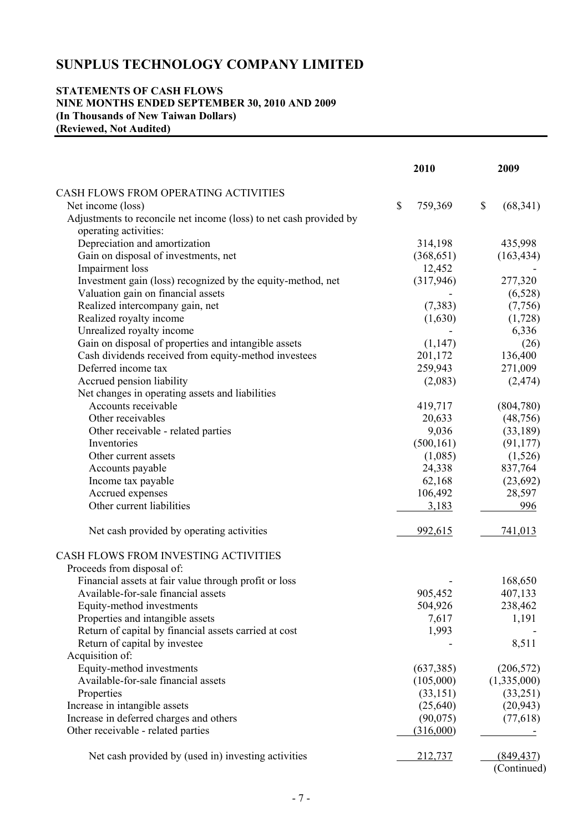### **STATEMENTS OF CASH FLOWS NINE MONTHS ENDED SEPTEMBER 30, 2010 AND 2009 (In Thousands of New Taiwan Dollars) (Reviewed, Not Audited)**

|                                                                    | 2010          | 2009                  |
|--------------------------------------------------------------------|---------------|-----------------------|
| CASH FLOWS FROM OPERATING ACTIVITIES                               |               |                       |
| Net income (loss)                                                  | \$<br>759,369 | \$<br>(68, 341)       |
| Adjustments to reconcile net income (loss) to net cash provided by |               |                       |
| operating activities:                                              |               |                       |
| Depreciation and amortization                                      | 314,198       | 435,998               |
| Gain on disposal of investments, net                               | (368, 651)    | (163, 434)            |
| <b>Impairment</b> loss                                             | 12,452        |                       |
| Investment gain (loss) recognized by the equity-method, net        | (317,946)     | 277,320               |
| Valuation gain on financial assets                                 |               | (6,528)               |
| Realized intercompany gain, net                                    | (7, 383)      | (7,756)               |
| Realized royalty income                                            | (1,630)       | (1,728)               |
| Unrealized royalty income                                          |               | 6,336                 |
| Gain on disposal of properties and intangible assets               | (1, 147)      | (26)                  |
| Cash dividends received from equity-method investees               | 201,172       | 136,400               |
| Deferred income tax                                                | 259,943       | 271,009               |
| Accrued pension liability                                          | (2,083)       | (2, 474)              |
| Net changes in operating assets and liabilities                    |               |                       |
| Accounts receivable                                                | 419,717       | (804,780)             |
| Other receivables                                                  | 20,633        | (48, 756)             |
|                                                                    | 9,036         |                       |
| Other receivable - related parties<br>Inventories                  | (500, 161)    | (33,189)<br>(91, 177) |
|                                                                    |               |                       |
| Other current assets                                               | (1,085)       | (1,526)               |
| Accounts payable                                                   | 24,338        | 837,764               |
| Income tax payable                                                 | 62,168        | (23,692)              |
| Accrued expenses                                                   | 106,492       | 28,597                |
| Other current liabilities                                          | 3,183         | 996                   |
| Net cash provided by operating activities                          | 992,615       | 741,013               |
| CASH FLOWS FROM INVESTING ACTIVITIES                               |               |                       |
| Proceeds from disposal of:                                         |               |                       |
| Financial assets at fair value through profit or loss              |               | 168,650               |
| Available-for-sale financial assets                                | 905,452       | 407,133               |
| Equity-method investments                                          | 504,926       | 238,462               |
| Properties and intangible assets                                   | 7,617         | 1,191                 |
| Return of capital by financial assets carried at cost              | 1,993         |                       |
| Return of capital by investee                                      |               | 8,511                 |
| Acquisition of:                                                    |               |                       |
| Equity-method investments                                          | (637, 385)    | (206, 572)            |
| Available-for-sale financial assets                                | (105,000)     | (1,335,000)           |
| Properties                                                         | (33, 151)     | (33,251)              |
| Increase in intangible assets                                      | (25, 640)     | (20, 943)             |
| Increase in deferred charges and others                            | (90,075)      | (77,618)              |
| Other receivable - related parties                                 | (316,000)     |                       |
| Net cash provided by (used in) investing activities                | 212,737       | (849, 437)            |
|                                                                    |               | (Continued)           |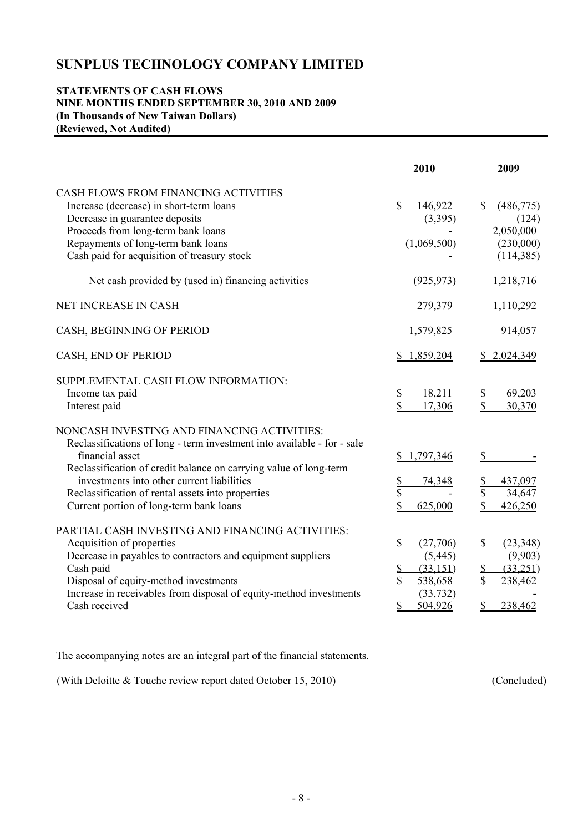### **STATEMENTS OF CASH FLOWS NINE MONTHS ENDED SEPTEMBER 30, 2010 AND 2009 (In Thousands of New Taiwan Dollars) (Reviewed, Not Audited)**

|                                                                                                                                                                                                                                                                                                                                                              | 2010                                                                                   | 2009                                                                       |
|--------------------------------------------------------------------------------------------------------------------------------------------------------------------------------------------------------------------------------------------------------------------------------------------------------------------------------------------------------------|----------------------------------------------------------------------------------------|----------------------------------------------------------------------------|
| CASH FLOWS FROM FINANCING ACTIVITIES<br>Increase (decrease) in short-term loans<br>Decrease in guarantee deposits<br>Proceeds from long-term bank loans<br>Repayments of long-term bank loans<br>Cash paid for acquisition of treasury stock                                                                                                                 | $\mathbf{\hat{S}}$<br>146,922<br>(3,395)<br>(1,069,500)                                | $\mathbb{S}$<br>(486,775)<br>(124)<br>2,050,000<br>(230,000)<br>(114, 385) |
| Net cash provided by (used in) financing activities                                                                                                                                                                                                                                                                                                          | (925, 973)                                                                             | 1,218,716                                                                  |
| NET INCREASE IN CASH                                                                                                                                                                                                                                                                                                                                         | 279,379                                                                                | 1,110,292                                                                  |
| CASH, BEGINNING OF PERIOD                                                                                                                                                                                                                                                                                                                                    | 1,579,825                                                                              | 914,057                                                                    |
| CASH, END OF PERIOD                                                                                                                                                                                                                                                                                                                                          | \$1,859,204                                                                            | \$2,024,349                                                                |
| SUPPLEMENTAL CASH FLOW INFORMATION:<br>Income tax paid<br>Interest paid                                                                                                                                                                                                                                                                                      | 18,211<br>17,306                                                                       | 69,203<br>\$<br>30,370                                                     |
| NONCASH INVESTING AND FINANCING ACTIVITIES:<br>Reclassifications of long - term investment into available - for - sale<br>financial asset<br>Reclassification of credit balance on carrying value of long-term<br>investments into other current liabilities<br>Reclassification of rental assets into properties<br>Current portion of long-term bank loans | 1,797,346<br>$\mathbb{S}$<br>74,348<br>625,000                                         | $\mathsf S$<br>437,097<br>34,647<br>\$<br>\$<br>426,250                    |
| PARTIAL CASH INVESTING AND FINANCING ACTIVITIES:<br>Acquisition of properties<br>Decrease in payables to contractors and equipment suppliers<br>Cash paid<br>Disposal of equity-method investments<br>Increase in receivables from disposal of equity-method investments<br>Cash received                                                                    | \$<br>(27,706)<br>(5, 445)<br>\$<br>(33, 151)<br>\$<br>538,658<br>(33, 732)<br>504,926 | \$<br>(23,348)<br>(9,903)<br>\$<br>(33,251)<br>\$<br>238,462<br>238,462    |

The accompanying notes are an integral part of the financial statements.

(With Deloitte & Touche review report dated October 15, 2010) (Concluded)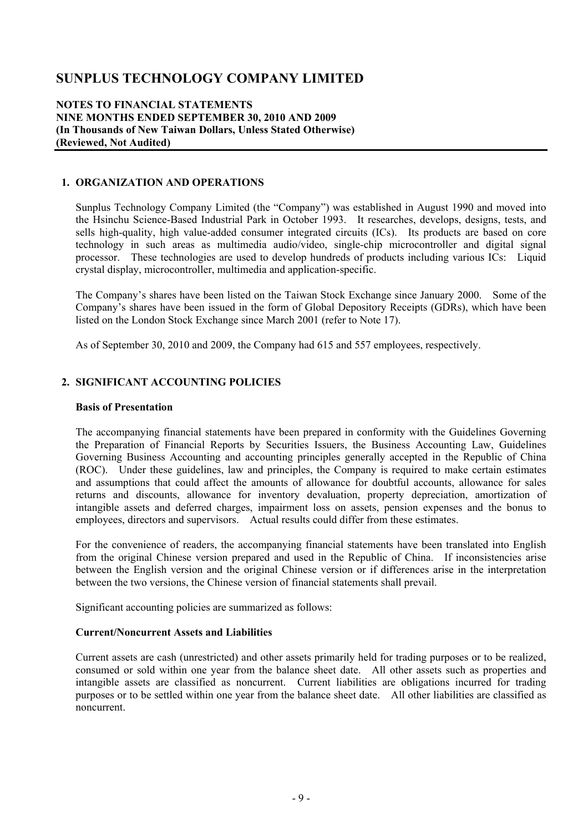#### **NOTES TO FINANCIAL STATEMENTS NINE MONTHS ENDED SEPTEMBER 30, 2010 AND 2009 (In Thousands of New Taiwan Dollars, Unless Stated Otherwise) (Reviewed, Not Audited)**

### **1. ORGANIZATION AND OPERATIONS**

Sunplus Technology Company Limited (the "Company") was established in August 1990 and moved into the Hsinchu Science-Based Industrial Park in October 1993. It researches, develops, designs, tests, and sells high-quality, high value-added consumer integrated circuits (ICs). Its products are based on core technology in such areas as multimedia audio/video, single-chip microcontroller and digital signal processor. These technologies are used to develop hundreds of products including various ICs: Liquid crystal display, microcontroller, multimedia and application-specific.

The Company's shares have been listed on the Taiwan Stock Exchange since January 2000. Some of the Company's shares have been issued in the form of Global Depository Receipts (GDRs), which have been listed on the London Stock Exchange since March 2001 (refer to Note 17).

As of September 30, 2010 and 2009, the Company had 615 and 557 employees, respectively.

### **2. SIGNIFICANT ACCOUNTING POLICIES**

#### **Basis of Presentation**

The accompanying financial statements have been prepared in conformity with the Guidelines Governing the Preparation of Financial Reports by Securities Issuers, the Business Accounting Law, Guidelines Governing Business Accounting and accounting principles generally accepted in the Republic of China (ROC). Under these guidelines, law and principles, the Company is required to make certain estimates and assumptions that could affect the amounts of allowance for doubtful accounts, allowance for sales returns and discounts, allowance for inventory devaluation, property depreciation, amortization of intangible assets and deferred charges, impairment loss on assets, pension expenses and the bonus to employees, directors and supervisors. Actual results could differ from these estimates.

For the convenience of readers, the accompanying financial statements have been translated into English from the original Chinese version prepared and used in the Republic of China. If inconsistencies arise between the English version and the original Chinese version or if differences arise in the interpretation between the two versions, the Chinese version of financial statements shall prevail.

Significant accounting policies are summarized as follows:

#### **Current/Noncurrent Assets and Liabilities**

Current assets are cash (unrestricted) and other assets primarily held for trading purposes or to be realized, consumed or sold within one year from the balance sheet date. All other assets such as properties and intangible assets are classified as noncurrent. Current liabilities are obligations incurred for trading purposes or to be settled within one year from the balance sheet date. All other liabilities are classified as noncurrent.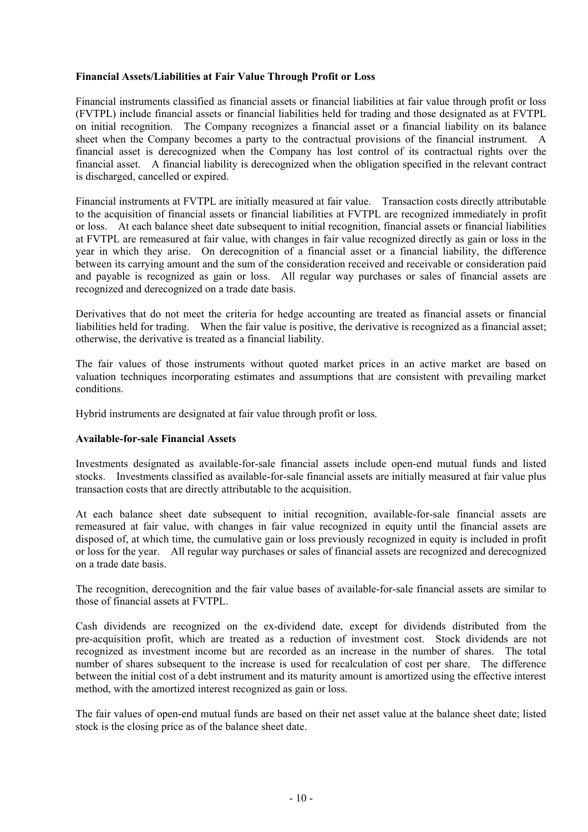### **Financial Assets/Liabilities at Fair Value Through Profit or Loss**

Financial instruments classified as financial assets or financial liabilities at fair value through profit or loss (FVTPL) include financial assets or financial liabilities held for trading and those designated as at FVTPL on initial recognition. The Company recognizes a financial asset or a financial liability on its balance sheet when the Company becomes a party to the contractual provisions of the financial instrument. A financial asset is derecognized when the Company has lost control of its contractual rights over the financial asset. A financial liability is derecognized when the obligation specified in the relevant contract is discharged, cancelled or expired.

Financial instruments at FVTPL are initially measured at fair value. Transaction costs directly attributable to the acquisition of financial assets or financial liabilities at FVTPL are recognized immediately in profit or loss. At each balance sheet date subsequent to initial recognition, financial assets or financial liabilities at FVTPL are remeasured at fair value, with changes in fair value recognized directly as gain or loss in the year in which they arise. On derecognition of a financial asset or a financial liability, the difference between its carrying amount and the sum of the consideration received and receivable or consideration paid and payable is recognized as gain or loss. All regular way purchases or sales of financial assets are recognized and derecognized on a trade date basis.

Derivatives that do not meet the criteria for hedge accounting are treated as financial assets or financial liabilities held for trading. When the fair value is positive, the derivative is recognized as a financial asset; otherwise, the derivative is treated as a financial liability.

The fair values of those instruments without quoted market prices in an active market are based on valuation techniques incorporating estimates and assumptions that are consistent with prevailing market conditions.

Hybrid instruments are designated at fair value through profit or loss.

#### **Available-for-sale Financial Assets**

Investments designated as available-for-sale financial assets include open-end mutual funds and listed stocks. Investments classified as available-for-sale financial assets are initially measured at fair value plus transaction costs that are directly attributable to the acquisition.

At each balance sheet date subsequent to initial recognition, available-for-sale financial assets are remeasured at fair value, with changes in fair value recognized in equity until the financial assets are disposed of, at which time, the cumulative gain or loss previously recognized in equity is included in profit or loss for the year. All regular way purchases or sales of financial assets are recognized and derecognized on a trade date basis.

The recognition, derecognition and the fair value bases of available-for-sale financial assets are similar to those of financial assets at FVTPL.

Cash dividends are recognized on the ex-dividend date, except for dividends distributed from the pre-acquisition profit, which are treated as a reduction of investment cost. Stock dividends are not recognized as investment income but are recorded as an increase in the number of shares. The total number of shares subsequent to the increase is used for recalculation of cost per share. The difference between the initial cost of a debt instrument and its maturity amount is amortized using the effective interest method, with the amortized interest recognized as gain or loss.

The fair values of open-end mutual funds are based on their net asset value at the balance sheet date; listed stock is the closing price as of the balance sheet date.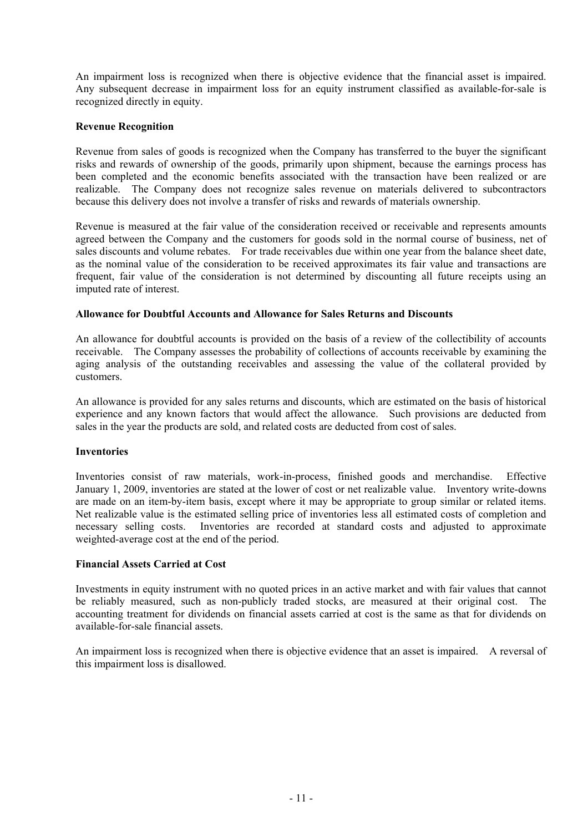An impairment loss is recognized when there is objective evidence that the financial asset is impaired. Any subsequent decrease in impairment loss for an equity instrument classified as available-for-sale is recognized directly in equity.

### **Revenue Recognition**

Revenue from sales of goods is recognized when the Company has transferred to the buyer the significant risks and rewards of ownership of the goods, primarily upon shipment, because the earnings process has been completed and the economic benefits associated with the transaction have been realized or are realizable. The Company does not recognize sales revenue on materials delivered to subcontractors because this delivery does not involve a transfer of risks and rewards of materials ownership.

Revenue is measured at the fair value of the consideration received or receivable and represents amounts agreed between the Company and the customers for goods sold in the normal course of business, net of sales discounts and volume rebates. For trade receivables due within one year from the balance sheet date, as the nominal value of the consideration to be received approximates its fair value and transactions are frequent, fair value of the consideration is not determined by discounting all future receipts using an imputed rate of interest.

### **Allowance for Doubtful Accounts and Allowance for Sales Returns and Discounts**

An allowance for doubtful accounts is provided on the basis of a review of the collectibility of accounts receivable. The Company assesses the probability of collections of accounts receivable by examining the aging analysis of the outstanding receivables and assessing the value of the collateral provided by customers.

An allowance is provided for any sales returns and discounts, which are estimated on the basis of historical experience and any known factors that would affect the allowance. Such provisions are deducted from sales in the year the products are sold, and related costs are deducted from cost of sales.

## **Inventories**

Inventories consist of raw materials, work-in-process, finished goods and merchandise. Effective January 1, 2009, inventories are stated at the lower of cost or net realizable value. Inventory write-downs are made on an item-by-item basis, except where it may be appropriate to group similar or related items. Net realizable value is the estimated selling price of inventories less all estimated costs of completion and necessary selling costs. Inventories are recorded at standard costs and adjusted to approximate weighted-average cost at the end of the period.

#### **Financial Assets Carried at Cost**

Investments in equity instrument with no quoted prices in an active market and with fair values that cannot be reliably measured, such as non-publicly traded stocks, are measured at their original cost. The accounting treatment for dividends on financial assets carried at cost is the same as that for dividends on available-for-sale financial assets.

An impairment loss is recognized when there is objective evidence that an asset is impaired. A reversal of this impairment loss is disallowed.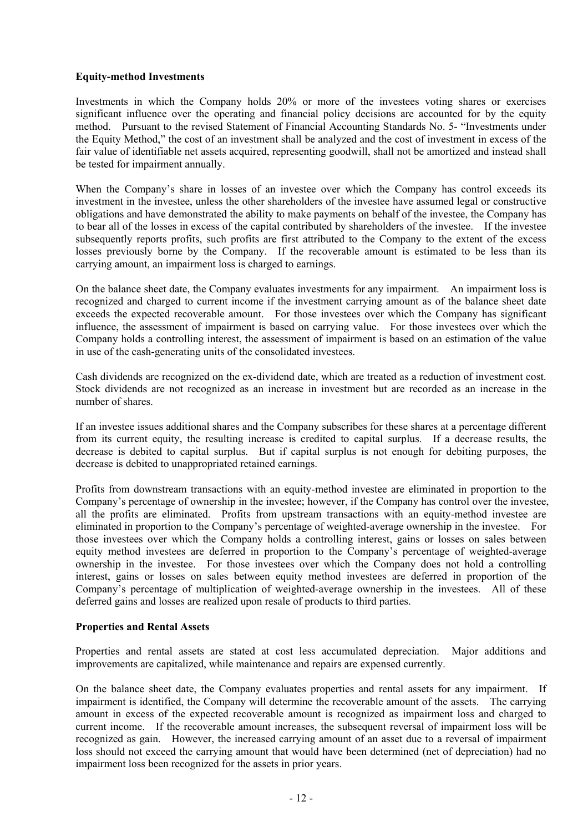### **Equity-method Investments**

Investments in which the Company holds 20% or more of the investees voting shares or exercises significant influence over the operating and financial policy decisions are accounted for by the equity method. Pursuant to the revised Statement of Financial Accounting Standards No. 5- "Investments under the Equity Method," the cost of an investment shall be analyzed and the cost of investment in excess of the fair value of identifiable net assets acquired, representing goodwill, shall not be amortized and instead shall be tested for impairment annually.

When the Company's share in losses of an investee over which the Company has control exceeds its investment in the investee, unless the other shareholders of the investee have assumed legal or constructive obligations and have demonstrated the ability to make payments on behalf of the investee, the Company has to bear all of the losses in excess of the capital contributed by shareholders of the investee. If the investee subsequently reports profits, such profits are first attributed to the Company to the extent of the excess losses previously borne by the Company. If the recoverable amount is estimated to be less than its carrying amount, an impairment loss is charged to earnings.

On the balance sheet date, the Company evaluates investments for any impairment. An impairment loss is recognized and charged to current income if the investment carrying amount as of the balance sheet date exceeds the expected recoverable amount. For those investees over which the Company has significant influence, the assessment of impairment is based on carrying value. For those investees over which the Company holds a controlling interest, the assessment of impairment is based on an estimation of the value in use of the cash-generating units of the consolidated investees.

Cash dividends are recognized on the ex-dividend date, which are treated as a reduction of investment cost. Stock dividends are not recognized as an increase in investment but are recorded as an increase in the number of shares.

If an investee issues additional shares and the Company subscribes for these shares at a percentage different from its current equity, the resulting increase is credited to capital surplus. If a decrease results, the decrease is debited to capital surplus. But if capital surplus is not enough for debiting purposes, the decrease is debited to unappropriated retained earnings.

Profits from downstream transactions with an equity-method investee are eliminated in proportion to the Company's percentage of ownership in the investee; however, if the Company has control over the investee, all the profits are eliminated. Profits from upstream transactions with an equity-method investee are eliminated in proportion to the Company's percentage of weighted-average ownership in the investee. For those investees over which the Company holds a controlling interest, gains or losses on sales between equity method investees are deferred in proportion to the Company's percentage of weighted-average ownership in the investee. For those investees over which the Company does not hold a controlling interest, gains or losses on sales between equity method investees are deferred in proportion of the Company's percentage of multiplication of weighted-average ownership in the investees. All of these deferred gains and losses are realized upon resale of products to third parties.

#### **Properties and Rental Assets**

Properties and rental assets are stated at cost less accumulated depreciation. Major additions and improvements are capitalized, while maintenance and repairs are expensed currently.

On the balance sheet date, the Company evaluates properties and rental assets for any impairment. If impairment is identified, the Company will determine the recoverable amount of the assets. The carrying amount in excess of the expected recoverable amount is recognized as impairment loss and charged to current income. If the recoverable amount increases, the subsequent reversal of impairment loss will be recognized as gain. However, the increased carrying amount of an asset due to a reversal of impairment loss should not exceed the carrying amount that would have been determined (net of depreciation) had no impairment loss been recognized for the assets in prior years.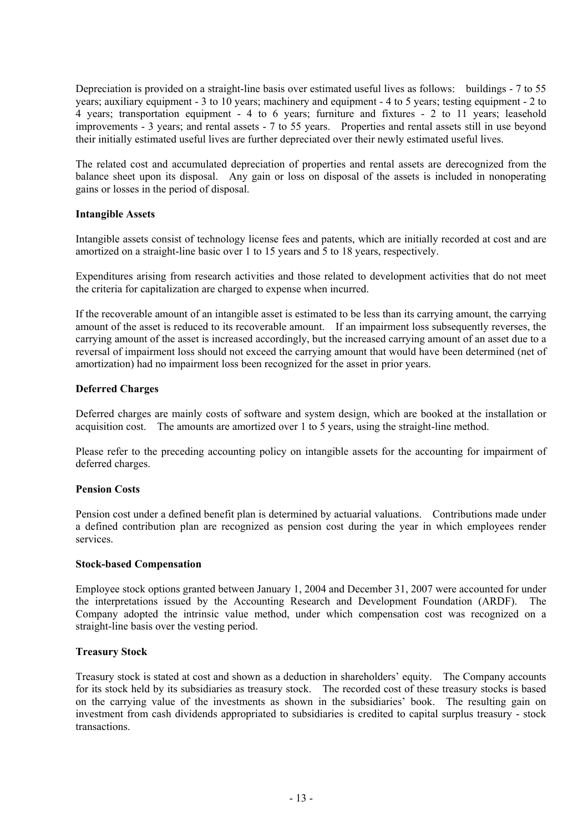Depreciation is provided on a straight-line basis over estimated useful lives as follows: buildings - 7 to 55 years; auxiliary equipment - 3 to 10 years; machinery and equipment - 4 to 5 years; testing equipment - 2 to 4 years; transportation equipment - 4 to 6 years; furniture and fixtures - 2 to 11 years; leasehold improvements - 3 years; and rental assets - 7 to 55 years. Properties and rental assets still in use beyond their initially estimated useful lives are further depreciated over their newly estimated useful lives.

The related cost and accumulated depreciation of properties and rental assets are derecognized from the balance sheet upon its disposal. Any gain or loss on disposal of the assets is included in nonoperating gains or losses in the period of disposal.

#### **Intangible Assets**

Intangible assets consist of technology license fees and patents, which are initially recorded at cost and are amortized on a straight-line basic over 1 to 15 years and 5 to 18 years, respectively.

Expenditures arising from research activities and those related to development activities that do not meet the criteria for capitalization are charged to expense when incurred.

If the recoverable amount of an intangible asset is estimated to be less than its carrying amount, the carrying amount of the asset is reduced to its recoverable amount. If an impairment loss subsequently reverses, the carrying amount of the asset is increased accordingly, but the increased carrying amount of an asset due to a reversal of impairment loss should not exceed the carrying amount that would have been determined (net of amortization) had no impairment loss been recognized for the asset in prior years.

### **Deferred Charges**

Deferred charges are mainly costs of software and system design, which are booked at the installation or acquisition cost. The amounts are amortized over 1 to 5 years, using the straight-line method.

Please refer to the preceding accounting policy on intangible assets for the accounting for impairment of deferred charges.

#### **Pension Costs**

Pension cost under a defined benefit plan is determined by actuarial valuations. Contributions made under a defined contribution plan are recognized as pension cost during the year in which employees render services.

#### **Stock-based Compensation**

Employee stock options granted between January 1, 2004 and December 31, 2007 were accounted for under the interpretations issued by the Accounting Research and Development Foundation (ARDF). The Company adopted the intrinsic value method, under which compensation cost was recognized on a straight-line basis over the vesting period.

#### **Treasury Stock**

Treasury stock is stated at cost and shown as a deduction in shareholders' equity. The Company accounts for its stock held by its subsidiaries as treasury stock. The recorded cost of these treasury stocks is based on the carrying value of the investments as shown in the subsidiaries' book. The resulting gain on investment from cash dividends appropriated to subsidiaries is credited to capital surplus treasury - stock transactions.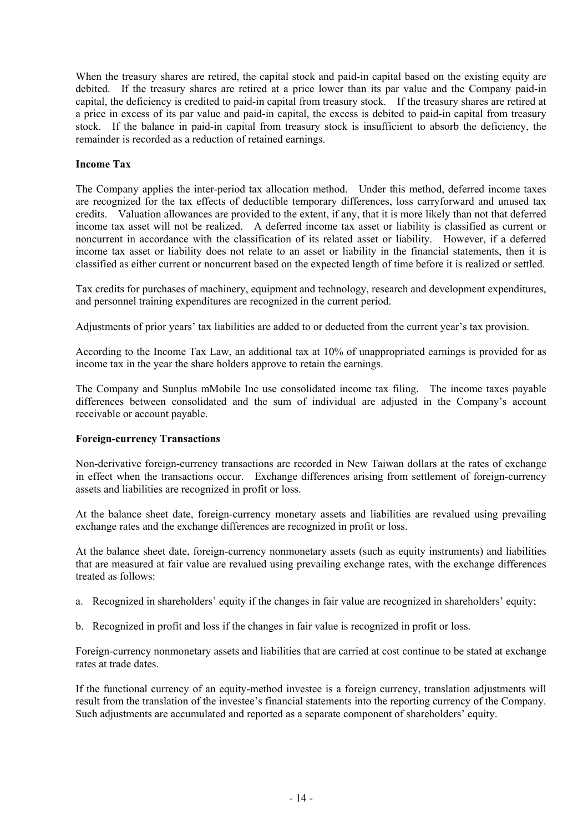When the treasury shares are retired, the capital stock and paid-in capital based on the existing equity are debited. If the treasury shares are retired at a price lower than its par value and the Company paid-in capital, the deficiency is credited to paid-in capital from treasury stock. If the treasury shares are retired at a price in excess of its par value and paid-in capital, the excess is debited to paid-in capital from treasury stock. If the balance in paid-in capital from treasury stock is insufficient to absorb the deficiency, the remainder is recorded as a reduction of retained earnings.

### **Income Tax**

The Company applies the inter-period tax allocation method. Under this method, deferred income taxes are recognized for the tax effects of deductible temporary differences, loss carryforward and unused tax credits. Valuation allowances are provided to the extent, if any, that it is more likely than not that deferred income tax asset will not be realized. A deferred income tax asset or liability is classified as current or noncurrent in accordance with the classification of its related asset or liability. However, if a deferred income tax asset or liability does not relate to an asset or liability in the financial statements, then it is classified as either current or noncurrent based on the expected length of time before it is realized or settled.

Tax credits for purchases of machinery, equipment and technology, research and development expenditures, and personnel training expenditures are recognized in the current period.

Adjustments of prior years' tax liabilities are added to or deducted from the current year's tax provision.

According to the Income Tax Law, an additional tax at 10% of unappropriated earnings is provided for as income tax in the year the share holders approve to retain the earnings.

The Company and Sunplus mMobile Inc use consolidated income tax filing. The income taxes payable differences between consolidated and the sum of individual are adjusted in the Company's account receivable or account payable.

#### **Foreign-currency Transactions**

Non-derivative foreign-currency transactions are recorded in New Taiwan dollars at the rates of exchange in effect when the transactions occur. Exchange differences arising from settlement of foreign-currency assets and liabilities are recognized in profit or loss.

At the balance sheet date, foreign-currency monetary assets and liabilities are revalued using prevailing exchange rates and the exchange differences are recognized in profit or loss.

At the balance sheet date, foreign-currency nonmonetary assets (such as equity instruments) and liabilities that are measured at fair value are revalued using prevailing exchange rates, with the exchange differences treated as follows:

- a. Recognized in shareholders' equity if the changes in fair value are recognized in shareholders' equity;
- b. Recognized in profit and loss if the changes in fair value is recognized in profit or loss.

Foreign-currency nonmonetary assets and liabilities that are carried at cost continue to be stated at exchange rates at trade dates.

If the functional currency of an equity-method investee is a foreign currency, translation adjustments will result from the translation of the investee's financial statements into the reporting currency of the Company. Such adjustments are accumulated and reported as a separate component of shareholders' equity.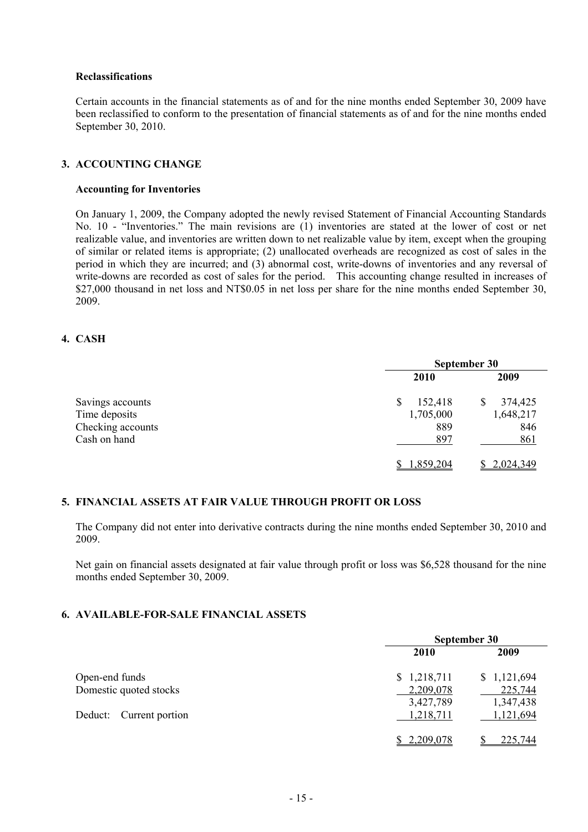#### **Reclassifications**

Certain accounts in the financial statements as of and for the nine months ended September 30, 2009 have been reclassified to conform to the presentation of financial statements as of and for the nine months ended September 30, 2010.

#### **3. ACCOUNTING CHANGE**

#### **Accounting for Inventories**

On January 1, 2009, the Company adopted the newly revised Statement of Financial Accounting Standards No. 10 - "Inventories." The main revisions are (1) inventories are stated at the lower of cost or net realizable value, and inventories are written down to net realizable value by item, except when the grouping of similar or related items is appropriate; (2) unallocated overheads are recognized as cost of sales in the period in which they are incurred; and (3) abnormal cost, write-downs of inventories and any reversal of write-downs are recorded as cost of sales for the period. This accounting change resulted in increases of \$27,000 thousand in net loss and NT\$0.05 in net loss per share for the nine months ended September 30, 2009.

#### **4. CASH**

|                   | September 30 |           |  |  |
|-------------------|--------------|-----------|--|--|
|                   | 2010         | 2009      |  |  |
| Savings accounts  | 152,418<br>S | 374,425   |  |  |
| Time deposits     | 1,705,000    | 1,648,217 |  |  |
| Checking accounts | 889          | 846       |  |  |
| Cash on hand      | 897          | 861       |  |  |
|                   | 1,859,204    | 2,024,349 |  |  |

#### **5. FINANCIAL ASSETS AT FAIR VALUE THROUGH PROFIT OR LOSS**

The Company did not enter into derivative contracts during the nine months ended September 30, 2010 and 2009.

Net gain on financial assets designated at fair value through profit or loss was \$6,528 thousand for the nine months ended September 30, 2009.

## **6. AVAILABLE-FOR-SALE FINANCIAL ASSETS**

| September 30 |             |  |  |
|--------------|-------------|--|--|
| <b>2010</b>  | 2009        |  |  |
| \$1,218,711  | \$1,121,694 |  |  |
| 2,209,078    | 225,744     |  |  |
| 3,427,789    | 1,347,438   |  |  |
| 1,218,711    | 1,121,694   |  |  |
|              | 225,744     |  |  |
|              | 2,209,078   |  |  |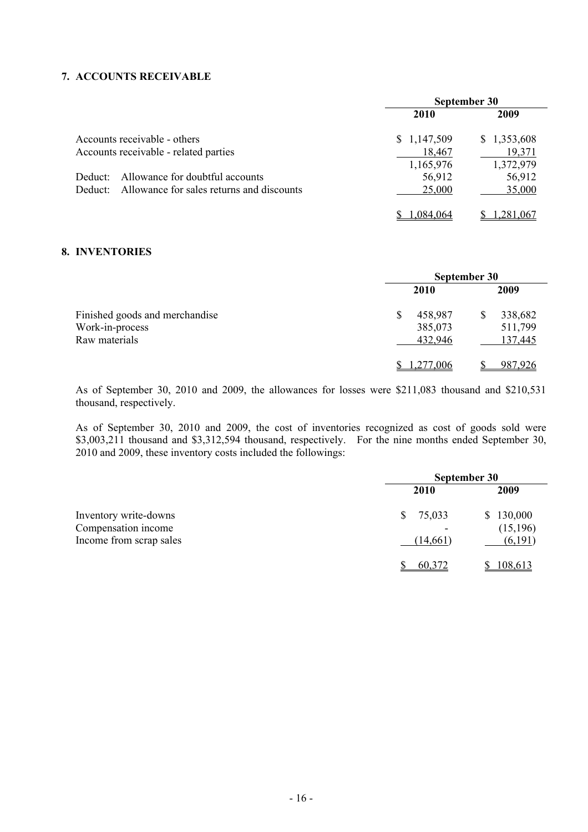## **7. ACCOUNTS RECEIVABLE**

|         |                                                   | September 30 |             |  |
|---------|---------------------------------------------------|--------------|-------------|--|
|         |                                                   | 2010         | 2009        |  |
|         | Accounts receivable - others                      | \$1,147,509  | \$1,353,608 |  |
|         | Accounts receivable - related parties             | 18,467       | 19,371      |  |
|         |                                                   | 1,165,976    | 1,372,979   |  |
| Deduct: | Allowance for doubtful accounts                   | 56,912       | 56,912      |  |
|         | Deduct: Allowance for sales returns and discounts | 25,000       | 35,000      |  |
|         |                                                   | 084 064      |             |  |

### **8. INVENTORIES**

|                                                                    | September 30                       |                               |  |  |
|--------------------------------------------------------------------|------------------------------------|-------------------------------|--|--|
| Finished goods and merchandise<br>Work-in-process<br>Raw materials | <b>2010</b>                        | 2009                          |  |  |
|                                                                    | 458,987<br>S<br>385,073<br>432,946 | 338,682<br>511,799<br>137,445 |  |  |
|                                                                    | .277.006                           | 987,926                       |  |  |

As of September 30, 2010 and 2009, the allowances for losses were \$211,083 thousand and \$210,531 thousand, respectively.

As of September 30, 2010 and 2009, the cost of inventories recognized as cost of goods sold were \$3,003,211 thousand and \$3,312,594 thousand, respectively. For the nine months ended September 30, 2010 and 2009, these inventory costs included the followings:

|                                                                         | September 30             |                                   |  |  |
|-------------------------------------------------------------------------|--------------------------|-----------------------------------|--|--|
|                                                                         | <b>2010</b>              | 2009                              |  |  |
| Inventory write-downs<br>Compensation income<br>Income from scrap sales | 75,033<br>S.<br>(14,661) | \$130,000<br>(15, 196)<br>(6,191) |  |  |
|                                                                         | 60,372                   | 108,613                           |  |  |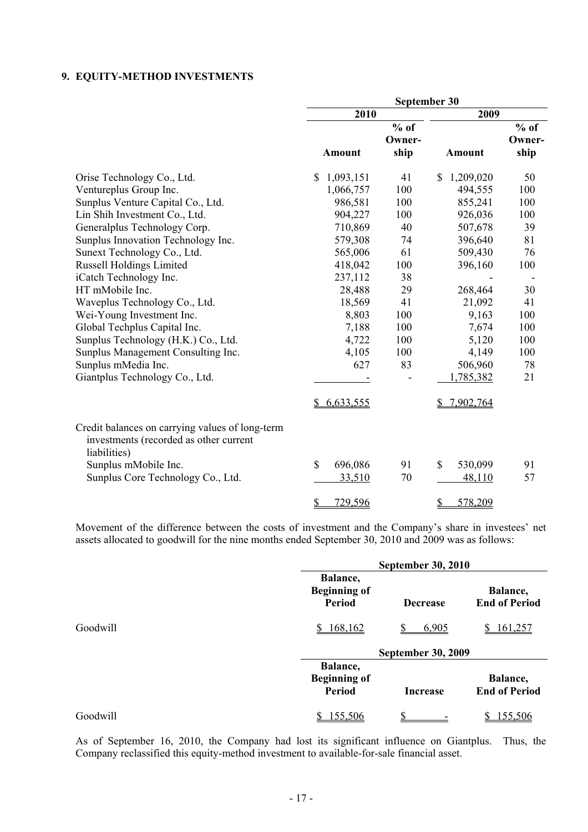## **9. EQUITY-METHOD INVESTMENTS**

|                                                                                                           |                 |        | September 30    |        |
|-----------------------------------------------------------------------------------------------------------|-----------------|--------|-----------------|--------|
|                                                                                                           | 2010            |        | 2009            |        |
|                                                                                                           |                 | $%$ of |                 | $%$ of |
|                                                                                                           |                 | Owner- |                 | Owner- |
|                                                                                                           | <b>Amount</b>   | ship   | <b>Amount</b>   | ship   |
| Orise Technology Co., Ltd.                                                                                | \$<br>1,093,151 | 41     | \$<br>1,209,020 | 50     |
| Ventureplus Group Inc.                                                                                    | 1,066,757       | 100    | 494,555         | 100    |
| Sunplus Venture Capital Co., Ltd.                                                                         | 986,581         | 100    | 855,241         | 100    |
| Lin Shih Investment Co., Ltd.                                                                             | 904,227         | 100    | 926,036         | 100    |
| Generalplus Technology Corp.                                                                              | 710,869         | 40     | 507,678         | 39     |
| Sunplus Innovation Technology Inc.                                                                        | 579,308         | 74     | 396,640         | 81     |
| Sunext Technology Co., Ltd.                                                                               | 565,006         | 61     | 509,430         | 76     |
| <b>Russell Holdings Limited</b>                                                                           | 418,042         | 100    | 396,160         | 100    |
| iCatch Technology Inc.                                                                                    | 237,112         | 38     |                 |        |
| HT mMobile Inc.                                                                                           | 28,488          | 29     | 268,464         | 30     |
| Waveplus Technology Co., Ltd.                                                                             | 18,569          | 41     | 21,092          | 41     |
| Wei-Young Investment Inc.                                                                                 | 8,803           | 100    | 9,163           | 100    |
| Global Techplus Capital Inc.                                                                              | 7,188           | 100    | 7,674           | 100    |
| Sunplus Technology (H.K.) Co., Ltd.                                                                       | 4,722           | 100    | 5,120           | 100    |
| Sunplus Management Consulting Inc.                                                                        | 4,105           | 100    | 4,149           | 100    |
| Sunplus mMedia Inc.                                                                                       | 627             | 83     | 506,960         | 78     |
| Giantplus Technology Co., Ltd.                                                                            |                 |        | 1,785,382       | 21     |
|                                                                                                           | \$6,633,555     |        | 7,902,764       |        |
| Credit balances on carrying values of long-term<br>investments (recorded as other current<br>liabilities) |                 |        |                 |        |
| Sunplus mMobile Inc.                                                                                      | $\$$<br>696,086 | 91     | \$<br>530,099   | 91     |
| Sunplus Core Technology Co., Ltd.                                                                         | 33,510          | 70     | 48,110          | 57     |
|                                                                                                           | \$<br>729,596   |        | \$<br>578,209   |        |

Movement of the difference between the costs of investment and the Company's share in investees' net assets allocated to goodwill for the nine months ended September 30, 2010 and 2009 was as follows:

|          |                                                  | <b>September 30, 2010</b> |                                  |  |  |
|----------|--------------------------------------------------|---------------------------|----------------------------------|--|--|
|          | Balance,<br><b>Beginning of</b><br><b>Period</b> | <b>Decrease</b>           | Balance,<br><b>End of Period</b> |  |  |
| Goodwill | 168,162<br><sup>S</sup>                          | 6,905                     | 161,257                          |  |  |
|          |                                                  | <b>September 30, 2009</b> |                                  |  |  |
|          | Balance,<br><b>Beginning of</b><br><b>Period</b> | <b>Increase</b>           | Balance,<br><b>End of Period</b> |  |  |
| Goodwill | 155,506                                          | ¢                         | 155,506                          |  |  |

As of September 16, 2010, the Company had lost its significant influence on Giantplus. Thus, the Company reclassified this equity-method investment to available-for-sale financial asset.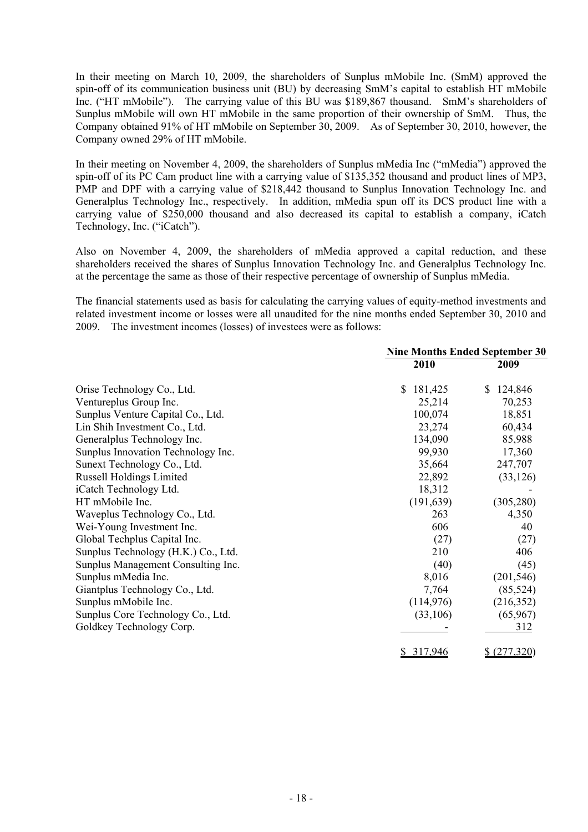In their meeting on March 10, 2009, the shareholders of Sunplus mMobile Inc. (SmM) approved the spin-off of its communication business unit (BU) by decreasing SmM's capital to establish HT mMobile Inc. ("HT mMobile"). The carrying value of this BU was \$189,867 thousand. SmM's shareholders of Sunplus mMobile will own HT mMobile in the same proportion of their ownership of SmM. Thus, the Company obtained 91% of HT mMobile on September 30, 2009. As of September 30, 2010, however, the Company owned 29% of HT mMobile.

In their meeting on November 4, 2009, the shareholders of Sunplus mMedia Inc ("mMedia") approved the spin-off of its PC Cam product line with a carrying value of \$135,352 thousand and product lines of MP3, PMP and DPF with a carrying value of \$218,442 thousand to Sunplus Innovation Technology Inc. and Generalplus Technology Inc., respectively. In addition, mMedia spun off its DCS product line with a carrying value of \$250,000 thousand and also decreased its capital to establish a company, iCatch Technology, Inc. ("iCatch").

Also on November 4, 2009, the shareholders of mMedia approved a capital reduction, and these shareholders received the shares of Sunplus Innovation Technology Inc. and Generalplus Technology Inc. at the percentage the same as those of their respective percentage of ownership of Sunplus mMedia.

The financial statements used as basis for calculating the carrying values of equity-method investments and related investment income or losses were all unaudited for the nine months ended September 30, 2010 and 2009. The investment incomes (losses) of investees were as follows:

|                                     | <b>Nine Months Ended September 30</b> |               |  |
|-------------------------------------|---------------------------------------|---------------|--|
|                                     | 2010                                  | 2009          |  |
| Orise Technology Co., Ltd.          | \$<br>181,425                         | 124,846<br>S. |  |
| Ventureplus Group Inc.              | 25,214                                | 70,253        |  |
| Sunplus Venture Capital Co., Ltd.   | 100,074                               | 18,851        |  |
| Lin Shih Investment Co., Ltd.       | 23,274                                | 60,434        |  |
| Generalplus Technology Inc.         | 134,090                               | 85,988        |  |
| Sunplus Innovation Technology Inc.  | 99,930                                | 17,360        |  |
| Sunext Technology Co., Ltd.         | 35,664                                | 247,707       |  |
| <b>Russell Holdings Limited</b>     | 22,892                                | (33, 126)     |  |
| iCatch Technology Ltd.              | 18,312                                |               |  |
| HT mMobile Inc.                     | (191, 639)                            | (305, 280)    |  |
| Waveplus Technology Co., Ltd.       | 263                                   | 4,350         |  |
| Wei-Young Investment Inc.           | 606                                   | 40            |  |
| Global Techplus Capital Inc.        | (27)                                  | (27)          |  |
| Sunplus Technology (H.K.) Co., Ltd. | 210                                   | 406           |  |
| Sunplus Management Consulting Inc.  | (40)                                  | (45)          |  |
| Sunplus mMedia Inc.                 | 8,016                                 | (201, 546)    |  |
| Giantplus Technology Co., Ltd.      | 7,764                                 | (85, 524)     |  |
| Sunplus mMobile Inc.                | (114, 976)                            | (216, 352)    |  |
| Sunplus Core Technology Co., Ltd.   | (33,106)                              | (65,967)      |  |
| Goldkey Technology Corp.            |                                       | 312           |  |
|                                     | \$317,946                             | \$ (277,320)  |  |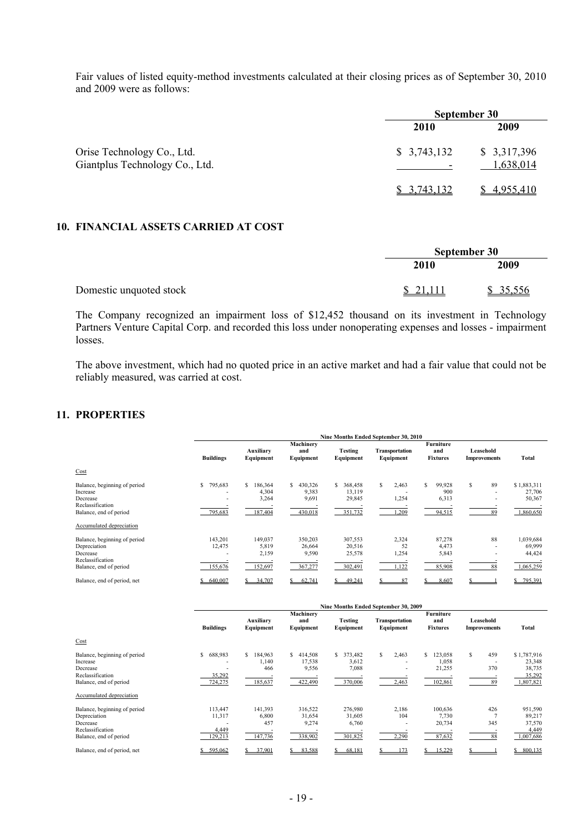Fair values of listed equity-method investments calculated at their closing prices as of September 30, 2010 and 2009 were as follows:

|                                                              | September 30                            |                          |  |  |
|--------------------------------------------------------------|-----------------------------------------|--------------------------|--|--|
|                                                              | 2010                                    | 2009                     |  |  |
| Orise Technology Co., Ltd.<br>Giantplus Technology Co., Ltd. | \$3,743,132<br>$\overline{\phantom{0}}$ | \$3,317,396<br>1,638,014 |  |  |
|                                                              | \$3,743,132                             | 4,955,410                |  |  |

## **10. FINANCIAL ASSETS CARRIED AT COST**

|                         |          | September 30 |  |
|-------------------------|----------|--------------|--|
|                         | 2010     | 2009         |  |
| Domestic unquoted stock | \$21,111 | \$35,556     |  |

The Company recognized an impairment loss of \$12,452 thousand on its investment in Technology Partners Venture Capital Corp. and recorded this loss under nonoperating expenses and losses - impairment losses.

The above investment, which had no quoted price in an active market and had a fair value that could not be reliably measured, was carried at cost.

## **11. PROPERTIES**

|                                                                                                                                    | Nine Months Ended September 30, 2010                 |                                           |                                           |                                             |                               |                                        |                                  |                                              |
|------------------------------------------------------------------------------------------------------------------------------------|------------------------------------------------------|-------------------------------------------|-------------------------------------------|---------------------------------------------|-------------------------------|----------------------------------------|----------------------------------|----------------------------------------------|
| Cost                                                                                                                               | <b>Buildings</b>                                     | Auxiliary<br>Equipment                    | Machinery<br>and<br>Equipment             | Testing<br>Equipment                        | Transportation<br>Equipment   | Furniture<br>and<br><b>Fixtures</b>    | Leasehold<br><b>Improvements</b> | <b>Total</b>                                 |
| Balance, beginning of period<br>Increase<br>Decrease<br>Reclassification<br>Balance, end of period                                 | \$<br>795,683<br>$\overline{\phantom{a}}$<br>795,683 | 186,364<br>s<br>4,304<br>3,264<br>187,404 | S<br>430,326<br>9,383<br>9,691<br>430,018 | S<br>368,458<br>13,119<br>29,845<br>351,732 | S<br>2,463<br>1,254<br>1,209  | \$<br>99,928<br>900<br>6,313<br>94,515 | 89<br>S<br>89                    | \$1,883,311<br>27,706<br>50,367<br>1,860,650 |
| Accumulated depreciation<br>Balance, beginning of period<br>Depreciation<br>Decrease<br>Reclassification<br>Balance, end of period | 143,201<br>12,475<br>155,676                         | 149,037<br>5,819<br>2,159<br>152,697      | 350,203<br>26,664<br>9,590<br>367,277     | 307,553<br>20,516<br>25,578<br>302,491      | 2,324<br>52<br>1,254<br>1,122 | 87,278<br>4,473<br>5,843<br>85,908     | 88<br>88                         | 1,039,684<br>69,999<br>44,424<br>1,065,259   |
| Balance, end of period, net                                                                                                        | 640.007                                              | 34.707                                    | 62.741                                    | 49.241                                      | 87                            | 8.607                                  |                                  | 795.391                                      |

|                                                                                                        |                                                                | Nine Months Ended September 30, 2009    |                                             |                                            |                             |                                             |                                                                               |                                                        |
|--------------------------------------------------------------------------------------------------------|----------------------------------------------------------------|-----------------------------------------|---------------------------------------------|--------------------------------------------|-----------------------------|---------------------------------------------|-------------------------------------------------------------------------------|--------------------------------------------------------|
|                                                                                                        | <b>Buildings</b>                                               | Auxiliary<br>Equipment                  | Machinery<br>and<br>Equipment               | <b>Testing</b><br>Equipment                | Transportation<br>Equipment | <b>Furniture</b><br>and<br><b>Fixtures</b>  | Leasehold<br><b>Improvements</b>                                              | Total                                                  |
| Cost                                                                                                   |                                                                |                                         |                                             |                                            |                             |                                             |                                                                               |                                                        |
| Balance, beginning of period<br>Increase<br>Decrease<br>Reclassification<br>Balance, end of period     | \$<br>688,983<br>$\overline{\phantom{0}}$<br>35,292<br>724,275 | 184,963<br>S<br>1,140<br>466<br>185,637 | \$<br>414,508<br>17,538<br>9,556<br>422,490 | \$<br>373,482<br>3,612<br>7,088<br>370,006 | S.<br>2,463<br>2,463        | 123,058<br>S.<br>1,058<br>21,255<br>102,861 | 459<br>S<br>$\overline{\phantom{a}}$<br>370<br>$\overline{\phantom{a}}$<br>89 | \$1,787,916<br>23,348<br>38,735<br>35,292<br>1,807,821 |
| Accumulated depreciation                                                                               |                                                                |                                         |                                             |                                            |                             |                                             |                                                                               |                                                        |
| Balance, beginning of period<br>Depreciation<br>Decrease<br>Reclassification<br>Balance, end of period | 113,447<br>11,317<br>4,449<br>129,213                          | 141,393<br>6,800<br>457<br>147,736      | 316,522<br>31,654<br>9,274<br>338,902       | 276,980<br>31,605<br>6,760<br>301,825      | 2,186<br>104<br>2,290       | 100,636<br>7,730<br>20,734<br>87,632        | 426<br>345<br>88                                                              | 951,590<br>89,217<br>37,570<br>4,449<br>1,007,686      |
| Balance, end of period, net                                                                            | 595.062                                                        | 37.901                                  | 83,588                                      | 68.181                                     | 173                         | 15,229                                      |                                                                               | 800,135                                                |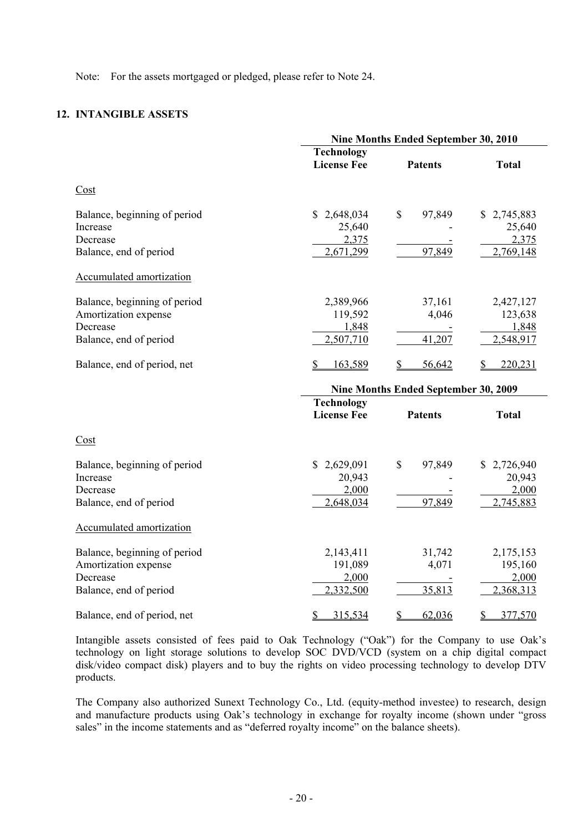Note: For the assets mortgaged or pledged, please refer to Note 24.

## **12. INTANGIBLE ASSETS**

|                                                                                                            | Nine Months Ended September 30, 2010            |                                      |                                             |  |  |
|------------------------------------------------------------------------------------------------------------|-------------------------------------------------|--------------------------------------|---------------------------------------------|--|--|
|                                                                                                            | <b>Technology</b><br><b>License Fee</b>         | <b>Patents</b>                       | <b>Total</b>                                |  |  |
| $\frac{\text{Cost}}{\text{Cost}}$                                                                          |                                                 |                                      |                                             |  |  |
| Balance, beginning of period<br>Increase<br>Decrease<br>Balance, end of period<br>Accumulated amortization | 2,648,034<br>\$<br>25,640<br>2,375<br>2,671,299 | $\mathbb{S}$<br>97,849<br>97,849     | \$2,745,883<br>25,640<br>2,375<br>2,769,148 |  |  |
| Balance, beginning of period<br>Amortization expense<br>Decrease<br>Balance, end of period                 | 2,389,966<br>119,592<br>1,848<br>2,507,710      | 37,161<br>4,046<br>41,207            | 2,427,127<br>123,638<br>1,848<br>2,548,917  |  |  |
| Balance, end of period, net                                                                                | 163,589<br>S                                    | 56,642                               | 220,231                                     |  |  |
|                                                                                                            |                                                 | Nine Months Ended September 30, 2009 |                                             |  |  |
|                                                                                                            | <b>Technology</b><br><b>License Fee</b>         | <b>Patents</b>                       | <b>Total</b>                                |  |  |
| Cost                                                                                                       |                                                 |                                      |                                             |  |  |
| Balance, beginning of period<br>Increase<br>Decrease<br>Balance, end of period                             | \$2,629,091<br>20,943<br>2,000<br>2,648,034     | \$<br>97,849<br>97,849               | 2,726,940<br>20,943<br>2,000<br>2,745,883   |  |  |
| <b>Accumulated amortization</b>                                                                            |                                                 |                                      |                                             |  |  |
| Balance, beginning of period<br>Amortization expense<br>Decrease<br>Balance, end of period                 | 2,143,411<br>191,089<br>2,000<br>2,332,500      | 31,742<br>4,071<br>35,813            | 2,175,153<br>195,160<br>2,000<br>2,368,313  |  |  |
| Balance, end of period, net                                                                                | 315,534<br>$\mathbb{S}$                         | \$<br>62,036                         | \$<br>377,570                               |  |  |

Intangible assets consisted of fees paid to Oak Technology ("Oak") for the Company to use Oak's technology on light storage solutions to develop SOC DVD/VCD (system on a chip digital compact disk/video compact disk) players and to buy the rights on video processing technology to develop DTV products.

The Company also authorized Sunext Technology Co., Ltd. (equity-method investee) to research, design and manufacture products using Oak's technology in exchange for royalty income (shown under "gross sales" in the income statements and as "deferred royalty income" on the balance sheets).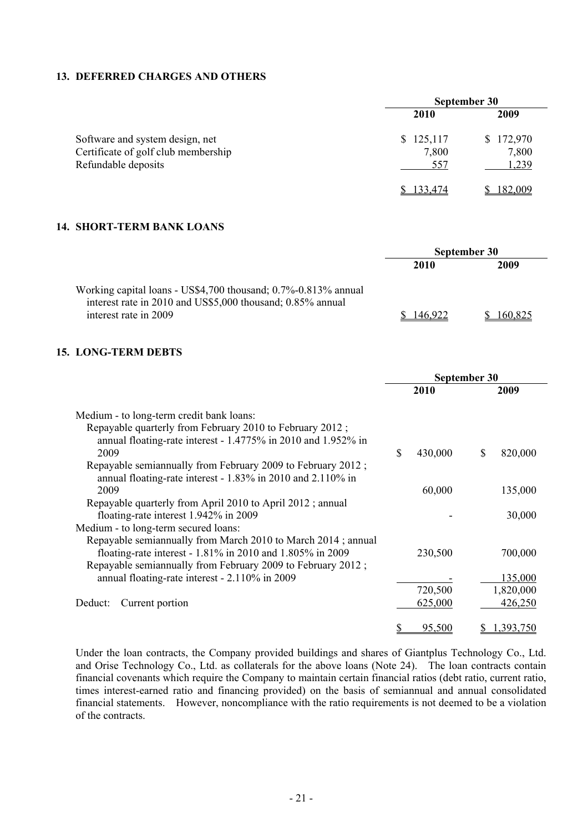## **13. DEFERRED CHARGES AND OTHERS**

|                                                                                               | September 30              |                             |  |  |
|-----------------------------------------------------------------------------------------------|---------------------------|-----------------------------|--|--|
|                                                                                               | <b>2010</b>               | 2009                        |  |  |
| Software and system design, net<br>Certificate of golf club membership<br>Refundable deposits | \$125,117<br>7,800<br>557 | \$172,970<br>7,800<br>1,239 |  |  |
|                                                                                               | 133,474                   | 182,009                     |  |  |

## **14. SHORT-TERM BANK LOANS**

|                                                                                                                              | <b>September 30</b> |         |  |
|------------------------------------------------------------------------------------------------------------------------------|---------------------|---------|--|
|                                                                                                                              | 2010                | 2009    |  |
| Working capital loans - US\$4,700 thousand; 0.7%-0.813% annual<br>interest rate in 2010 and US\$5,000 thousand; 0.85% annual |                     |         |  |
| interest rate in 2009                                                                                                        | 46 922              | 160.825 |  |

#### **15. LONG-TERM DEBTS**

|                                                                                                                                                                                          | September 30       |                      |  |  |
|------------------------------------------------------------------------------------------------------------------------------------------------------------------------------------------|--------------------|----------------------|--|--|
|                                                                                                                                                                                          | 2010               | 2009                 |  |  |
| Medium - to long-term credit bank loans:<br>Repayable quarterly from February 2010 to February 2012;<br>annual floating-rate interest - 1.4775% in 2010 and 1.952% in                    |                    |                      |  |  |
| 2009<br>Repayable semiannually from February 2009 to February 2012;<br>annual floating-rate interest - 1.83% in 2010 and 2.110% in                                                       | S<br>430,000       | 820,000<br>S         |  |  |
| 2009                                                                                                                                                                                     | 60,000             | 135,000              |  |  |
| Repayable quarterly from April 2010 to April 2012; annual<br>floating-rate interest 1.942% in 2009<br>Medium - to long-term secured loans:                                               |                    | 30,000               |  |  |
| Repayable semiannually from March 2010 to March 2014; annual<br>floating-rate interest - 1.81% in 2010 and 1.805% in 2009<br>Repayable semiannually from February 2009 to February 2012; | 230,500            | 700,000              |  |  |
| annual floating-rate interest - 2.110% in 2009                                                                                                                                           |                    | 135,000              |  |  |
| Current portion<br>Deduct:                                                                                                                                                               | 720,500<br>625,000 | 1,820,000<br>426,250 |  |  |
|                                                                                                                                                                                          | 95.500             | 1.393.750            |  |  |

Under the loan contracts, the Company provided buildings and shares of Giantplus Technology Co., Ltd. and Orise Technology Co., Ltd. as collaterals for the above loans (Note 24). The loan contracts contain financial covenants which require the Company to maintain certain financial ratios (debt ratio, current ratio, times interest-earned ratio and financing provided) on the basis of semiannual and annual consolidated financial statements. However, noncompliance with the ratio requirements is not deemed to be a violation of the contracts.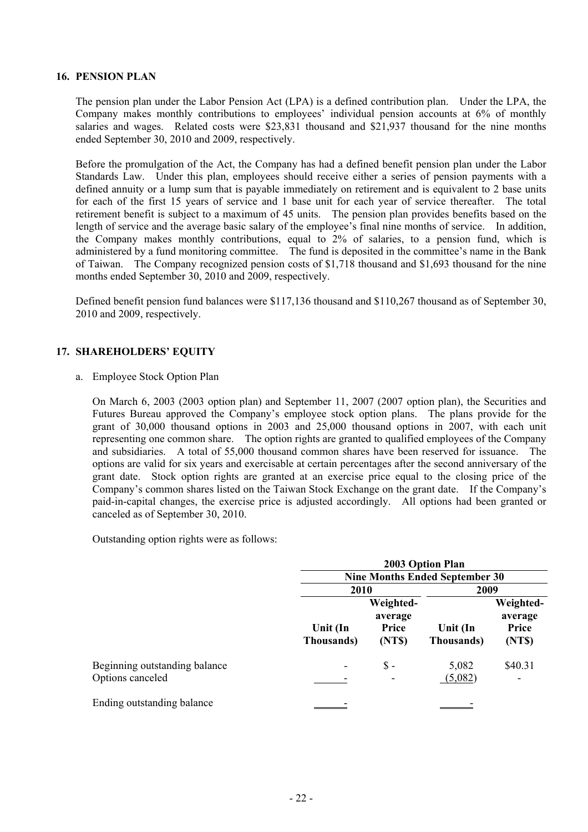#### **16. PENSION PLAN**

The pension plan under the Labor Pension Act (LPA) is a defined contribution plan. Under the LPA, the Company makes monthly contributions to employees' individual pension accounts at 6% of monthly salaries and wages. Related costs were \$23,831 thousand and \$21,937 thousand for the nine months ended September 30, 2010 and 2009, respectively.

Before the promulgation of the Act, the Company has had a defined benefit pension plan under the Labor Standards Law. Under this plan, employees should receive either a series of pension payments with a defined annuity or a lump sum that is payable immediately on retirement and is equivalent to 2 base units for each of the first 15 years of service and 1 base unit for each year of service thereafter. The total retirement benefit is subject to a maximum of 45 units. The pension plan provides benefits based on the length of service and the average basic salary of the employee's final nine months of service. In addition, the Company makes monthly contributions, equal to 2% of salaries, to a pension fund, which is administered by a fund monitoring committee. The fund is deposited in the committee's name in the Bank of Taiwan. The Company recognized pension costs of \$1,718 thousand and \$1,693 thousand for the nine months ended September 30, 2010 and 2009, respectively.

Defined benefit pension fund balances were \$117,136 thousand and \$110,267 thousand as of September 30, 2010 and 2009, respectively.

### **17. SHAREHOLDERS' EQUITY**

a. Employee Stock Option Plan

On March 6, 2003 (2003 option plan) and September 11, 2007 (2007 option plan), the Securities and Futures Bureau approved the Company's employee stock option plans. The plans provide for the grant of 30,000 thousand options in 2003 and 25,000 thousand options in 2007, with each unit representing one common share. The option rights are granted to qualified employees of the Company and subsidiaries. A total of 55,000 thousand common shares have been reserved for issuance. The options are valid for six years and exercisable at certain percentages after the second anniversary of the grant date. Stock option rights are granted at an exercise price equal to the closing price of the Company's common shares listed on the Taiwan Stock Exchange on the grant date. If the Company's paid-in-capital changes, the exercise price is adjusted accordingly. All options had been granted or canceled as of September 30, 2010.

Outstanding option rights were as follows:

|                                                   | 2003 Option Plan               |                                         |                                       |                                         |
|---------------------------------------------------|--------------------------------|-----------------------------------------|---------------------------------------|-----------------------------------------|
|                                                   |                                |                                         | <b>Nine Months Ended September 30</b> |                                         |
|                                                   | 2010                           |                                         | 2009                                  |                                         |
|                                                   | Unit (In<br><b>Thousands</b> ) | Weighted-<br>average<br>Price<br>(NT\$) | Unit (In<br>Thousands)                | Weighted-<br>average<br>Price<br>(NT\$) |
| Beginning outstanding balance<br>Options canceled |                                | $\mathbb{S}$ -                          | 5,082<br>(5,082)                      | \$40.31                                 |
| Ending outstanding balance                        |                                |                                         |                                       |                                         |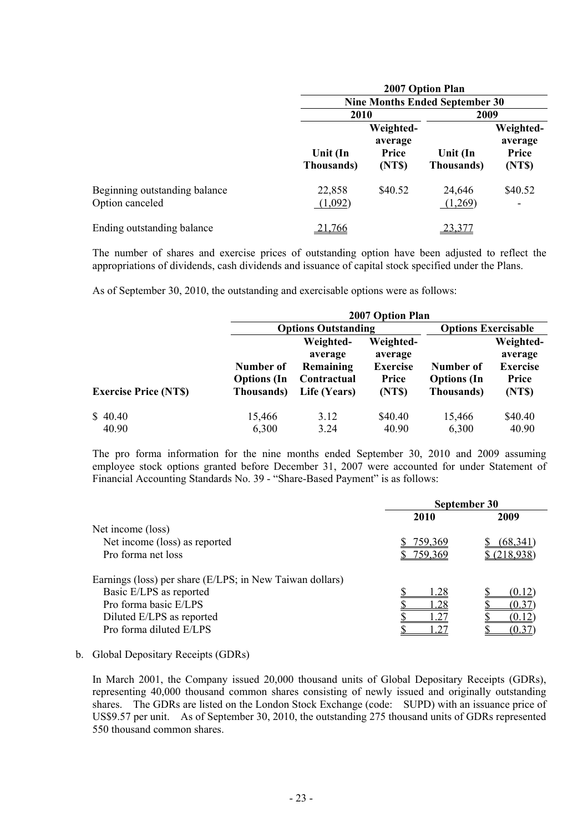|                                                  |                        | 2007 Option Plan                               |                                       |                                         |  |
|--------------------------------------------------|------------------------|------------------------------------------------|---------------------------------------|-----------------------------------------|--|
|                                                  |                        |                                                | <b>Nine Months Ended September 30</b> |                                         |  |
|                                                  |                        | 2009<br>2010                                   |                                       |                                         |  |
|                                                  | Unit (In<br>Thousands) | Weighted-<br>average<br><b>Price</b><br>(NT\$) | Unit (In<br>Thousands)                | Weighted-<br>average<br>Price<br>(NT\$) |  |
| Beginning outstanding balance<br>Option canceled | 22,858<br>(1,092)      | \$40.52                                        | 24,646<br>(1,269)                     | \$40.52                                 |  |
| Ending outstanding balance                       | .766                   |                                                |                                       |                                         |  |

The number of shares and exercise prices of outstanding option have been adjusted to reflect the appropriations of dividends, cash dividends and issuance of capital stock specified under the Plans.

As of September 30, 2010, the outstanding and exercisable options were as follows:

|                             |                                               | 2007 Option Plan                                                 |                                                            |                                               |                                                            |  |  |
|-----------------------------|-----------------------------------------------|------------------------------------------------------------------|------------------------------------------------------------|-----------------------------------------------|------------------------------------------------------------|--|--|
|                             |                                               | <b>Options Outstanding</b>                                       | <b>Options Exercisable</b>                                 |                                               |                                                            |  |  |
| <b>Exercise Price (NTS)</b> | Number of<br><b>Options</b> (In<br>Thousands) | Weighted-<br>average<br>Remaining<br>Contractual<br>Life (Years) | Weighted-<br>average<br><b>Exercise</b><br>Price<br>(NT\$) | Number of<br><b>Options</b> (In<br>Thousands) | Weighted-<br>average<br><b>Exercise</b><br>Price<br>(NT\$) |  |  |
| \$40.40                     | 15,466                                        | 3.12                                                             | \$40.40                                                    | 15,466                                        | \$40.40                                                    |  |  |
| 40.90                       | 6,300                                         | 3.24                                                             | 40.90                                                      | 6,300                                         | 40.90                                                      |  |  |

The pro forma information for the nine months ended September 30, 2010 and 2009 assuming employee stock options granted before December 31, 2007 were accounted for under Statement of Financial Accounting Standards No. 39 - "Share-Based Payment" is as follows:

|                                                          | September 30          |             |  |
|----------------------------------------------------------|-----------------------|-------------|--|
|                                                          | 2010                  | 2009        |  |
| Net income (loss)                                        |                       |             |  |
| Net income (loss) as reported                            | 759,369               | (68.341     |  |
| Pro forma net loss                                       | 759,369               | \$(218,938) |  |
| Earnings (loss) per share (E/LPS; in New Taiwan dollars) |                       |             |  |
| Basic E/LPS as reported                                  | .28                   | (0.12)      |  |
| Pro forma basic E/LPS                                    | 1.28                  | (0.37)      |  |
| Diluted E/LPS as reported                                | $\lfloor .27 \rfloor$ | (0.12)      |  |
| Pro forma diluted E/LPS                                  |                       |             |  |

b. Global Depositary Receipts (GDRs)

In March 2001, the Company issued 20,000 thousand units of Global Depositary Receipts (GDRs), representing 40,000 thousand common shares consisting of newly issued and originally outstanding shares. The GDRs are listed on the London Stock Exchange (code: SUPD) with an issuance price of US\$9.57 per unit. As of September 30, 2010, the outstanding 275 thousand units of GDRs represented 550 thousand common shares.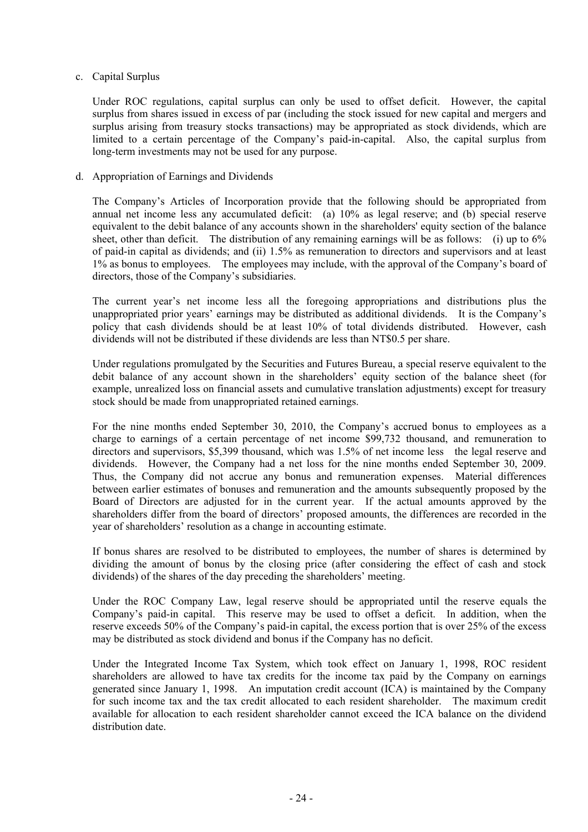### c. Capital Surplus

Under ROC regulations, capital surplus can only be used to offset deficit. However, the capital surplus from shares issued in excess of par (including the stock issued for new capital and mergers and surplus arising from treasury stocks transactions) may be appropriated as stock dividends, which are limited to a certain percentage of the Company's paid-in-capital. Also, the capital surplus from long-term investments may not be used for any purpose.

### d. Appropriation of Earnings and Dividends

The Company's Articles of Incorporation provide that the following should be appropriated from annual net income less any accumulated deficit: (a) 10% as legal reserve; and (b) special reserve equivalent to the debit balance of any accounts shown in the shareholders' equity section of the balance sheet, other than deficit. The distribution of any remaining earnings will be as follows: (i) up to 6% of paid-in capital as dividends; and (ii) 1.5% as remuneration to directors and supervisors and at least 1% as bonus to employees. The employees may include, with the approval of the Company's board of directors, those of the Company's subsidiaries.

The current year's net income less all the foregoing appropriations and distributions plus the unappropriated prior years' earnings may be distributed as additional dividends. It is the Company's policy that cash dividends should be at least 10% of total dividends distributed. However, cash dividends will not be distributed if these dividends are less than NT\$0.5 per share.

Under regulations promulgated by the Securities and Futures Bureau, a special reserve equivalent to the debit balance of any account shown in the shareholders' equity section of the balance sheet (for example, unrealized loss on financial assets and cumulative translation adjustments) except for treasury stock should be made from unappropriated retained earnings.

For the nine months ended September 30, 2010, the Company's accrued bonus to employees as a charge to earnings of a certain percentage of net income \$99,732 thousand, and remuneration to directors and supervisors, \$5,399 thousand, which was 1.5% of net income less the legal reserve and dividends. However, the Company had a net loss for the nine months ended September 30, 2009. Thus, the Company did not accrue any bonus and remuneration expenses. Material differences between earlier estimates of bonuses and remuneration and the amounts subsequently proposed by the Board of Directors are adjusted for in the current year. If the actual amounts approved by the shareholders differ from the board of directors' proposed amounts, the differences are recorded in the year of shareholders' resolution as a change in accounting estimate.

If bonus shares are resolved to be distributed to employees, the number of shares is determined by dividing the amount of bonus by the closing price (after considering the effect of cash and stock dividends) of the shares of the day preceding the shareholders' meeting.

Under the ROC Company Law, legal reserve should be appropriated until the reserve equals the Company's paid-in capital. This reserve may be used to offset a deficit. In addition, when the reserve exceeds 50% of the Company's paid-in capital, the excess portion that is over 25% of the excess may be distributed as stock dividend and bonus if the Company has no deficit.

Under the Integrated Income Tax System, which took effect on January 1, 1998, ROC resident shareholders are allowed to have tax credits for the income tax paid by the Company on earnings generated since January 1, 1998. An imputation credit account (ICA) is maintained by the Company for such income tax and the tax credit allocated to each resident shareholder. The maximum credit available for allocation to each resident shareholder cannot exceed the ICA balance on the dividend distribution date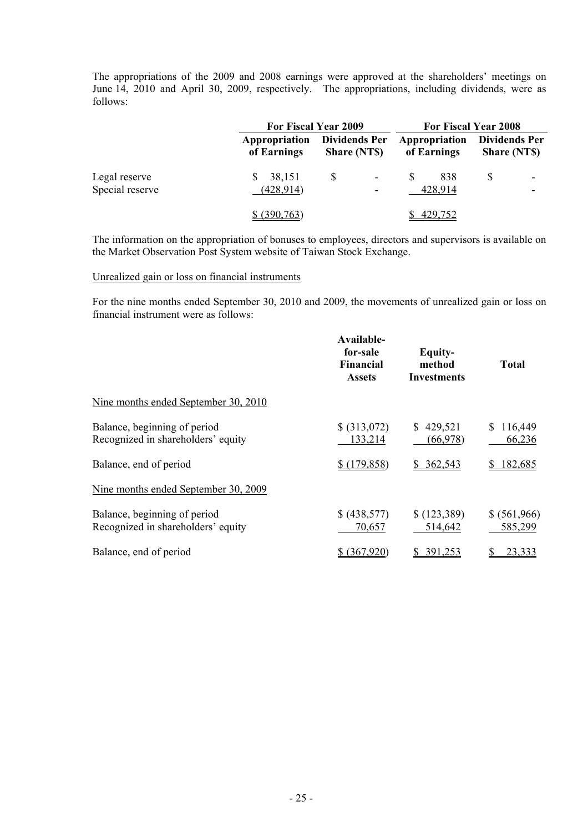The appropriations of the 2009 and 2008 earnings were approved at the shareholders' meetings on June 14, 2010 and April 30, 2009, respectively. The appropriations, including dividends, were as follows:

|                                  | For Fiscal Year 2009         |                                                                             |                              | For Fiscal Year 2008                       |
|----------------------------------|------------------------------|-----------------------------------------------------------------------------|------------------------------|--------------------------------------------|
|                                  | Appropriation<br>of Earnings | <b>Dividends Per</b><br><b>Share (NTS)</b>                                  | Appropriation<br>of Earnings | <b>Dividends Per</b><br><b>Share (NTS)</b> |
| Legal reserve<br>Special reserve | 38,151<br>(428, 914)         | $\boldsymbol{\mathsf{S}}$<br>$\overline{a}$<br>$\qquad \qquad \blacksquare$ | 838<br>S<br>428,914          |                                            |
|                                  | \$ (390,763)                 |                                                                             | 429,752                      |                                            |

The information on the appropriation of bonuses to employees, directors and supervisors is available on the Market Observation Post System website of Taiwan Stock Exchange.

#### Unrealized gain or loss on financial instruments

For the nine months ended September 30, 2010 and 2009, the movements of unrealized gain or loss on financial instrument were as follows:

|                                                                    | Available-<br>for-sale<br><b>Financial</b><br><b>Assets</b> | Equity-<br>method<br><b>Investments</b> | Total                   |
|--------------------------------------------------------------------|-------------------------------------------------------------|-----------------------------------------|-------------------------|
| Nine months ended September 30, 2010                               |                                                             |                                         |                         |
| Balance, beginning of period<br>Recognized in shareholders' equity | \$ (313,072)<br>133,214                                     | 429,521<br>S.<br>(66,978)               | 116,449<br>S<br>66,236  |
| Balance, end of period                                             | \$(179,858)                                                 | \$362,543                               | 182,685<br>S.           |
| Nine months ended September 30, 2009                               |                                                             |                                         |                         |
| Balance, beginning of period<br>Recognized in shareholders' equity | \$ (438,577)<br>70,657                                      | \$(123,389)<br>514,642                  | \$ (561,966)<br>585,299 |
| Balance, end of period                                             | (367.920)                                                   | 391,253                                 | 23,333                  |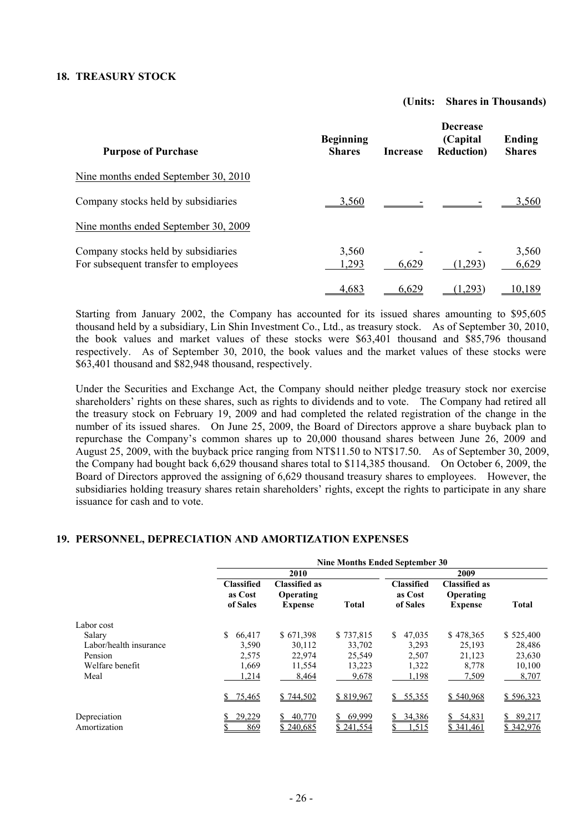### **18. TREASURY STOCK**

#### **(Units: Shares in Thousands)**

| <b>Purpose of Purchase</b>                                                  | <b>Beginning</b><br><b>Shares</b> | <b>Increase</b> | <b>Decrease</b><br>(Capital)<br><b>Reduction</b> ) | Ending<br><b>Shares</b> |
|-----------------------------------------------------------------------------|-----------------------------------|-----------------|----------------------------------------------------|-------------------------|
| Nine months ended September 30, 2010                                        |                                   |                 |                                                    |                         |
| Company stocks held by subsidiaries                                         | <u>3.560</u>                      |                 |                                                    | 3.560                   |
| Nine months ended September 30, 2009                                        |                                   |                 |                                                    |                         |
| Company stocks held by subsidiaries<br>For subsequent transfer to employees | 3,560<br>1,293                    | 6,629           | (1,293)                                            | 3,560<br>6,629          |
|                                                                             | 4,683                             | 6,629           | <u>,293</u> )                                      | 10.189                  |

Starting from January 2002, the Company has accounted for its issued shares amounting to \$95,605 thousand held by a subsidiary, Lin Shin Investment Co., Ltd., as treasury stock. As of September 30, 2010, the book values and market values of these stocks were \$63,401 thousand and \$85,796 thousand respectively. As of September 30, 2010, the book values and the market values of these stocks were \$63,401 thousand and \$82,948 thousand, respectively.

Under the Securities and Exchange Act, the Company should neither pledge treasury stock nor exercise shareholders' rights on these shares, such as rights to dividends and to vote. The Company had retired all the treasury stock on February 19, 2009 and had completed the related registration of the change in the number of its issued shares. On June 25, 2009, the Board of Directors approve a share buyback plan to repurchase the Company's common shares up to 20,000 thousand shares between June 26, 2009 and August 25, 2009, with the buyback price ranging from NT\$11.50 to NT\$17.50. As of September 30, 2009, the Company had bought back 6,629 thousand shares total to \$114,385 thousand. On October 6, 2009, the Board of Directors approved the assigning of 6,629 thousand treasury shares to employees. However, the subsidiaries holding treasury shares retain shareholders' rights, except the rights to participate in any share issuance for cash and to vote.

#### **19. PERSONNEL, DEPRECIATION AND AMORTIZATION EXPENSES**

|                              | <b>Nine Months Ended September 30</b>    |                                                     |                     |                                          |                                              |                           |
|------------------------------|------------------------------------------|-----------------------------------------------------|---------------------|------------------------------------------|----------------------------------------------|---------------------------|
|                              |                                          | 2010                                                |                     |                                          |                                              |                           |
|                              | <b>Classified</b><br>as Cost<br>of Sales | <b>Classified as</b><br>Operating<br><b>Expense</b> | <b>Total</b>        | <b>Classified</b><br>as Cost<br>of Sales | Classified as<br>Operating<br><b>Expense</b> | <b>Total</b>              |
| Labor cost                   |                                          |                                                     |                     |                                          |                                              |                           |
| Salary                       | \$<br>66.417                             | \$671,398                                           | \$737,815           | 47,035<br>S.                             | \$478,365                                    | \$525,400                 |
| Labor/health insurance       | 3,590                                    | 30,112                                              | 33,702              | 3.293                                    | 25,193                                       | 28,486                    |
| Pension                      | 2,575                                    | 22,974                                              | 25,549              | 2,507                                    | 21,123                                       | 23,630                    |
| Welfare benefit              | 1,669                                    | 11,554                                              | 13,223              | 1,322                                    | 8,778                                        | 10,100                    |
| Meal                         | 1,214                                    | 8,464                                               | 9,678               | 1,198                                    | 7,509                                        | 8,707                     |
|                              | \$75,465                                 | \$744,502                                           | \$819,967           | \$55,355                                 | \$540,968                                    | \$596,323                 |
| Depreciation<br>Amortization | 29,229<br>869                            | 40,770<br>S.<br>\$240,685                           | 69,999<br>\$241,554 | 34,386<br>S.<br>.515                     | 54,831<br>S<br>\$ 341,461                    | 89,217<br>\$<br>\$342,976 |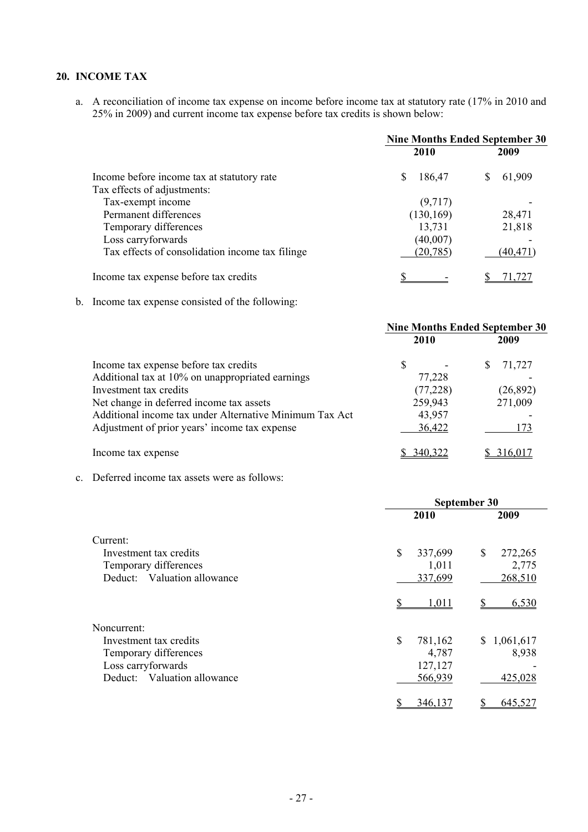## **20. INCOME TAX**

a. A reconciliation of income tax expense on income before income tax at statutory rate (17% in 2010 and 25% in 2009) and current income tax expense before tax credits is shown below:

|                                                 | <b>Nine Months Ended September 30</b> |          |  |
|-------------------------------------------------|---------------------------------------|----------|--|
|                                                 | 2010                                  | 2009     |  |
| Income before income tax at statutory rate      | 186,47                                | 61,909   |  |
| Tax effects of adjustments:                     |                                       |          |  |
| Tax-exempt income                               | (9,717)                               |          |  |
| Permanent differences                           | (130, 169)                            | 28,471   |  |
| Temporary differences                           | 13,731                                | 21,818   |  |
| Loss carryforwards                              | (40,007)                              |          |  |
| Tax effects of consolidation income tax filinge | (20, 785)                             | (40,471) |  |
| Income tax expense before tax credits           |                                       | 71.727   |  |

b. Income tax expense consisted of the following:

|                                                         | <b>Nine Months Ended September 30</b> |           |   |           |
|---------------------------------------------------------|---------------------------------------|-----------|---|-----------|
|                                                         | 2010                                  |           |   | 2009      |
| Income tax expense before tax credits                   | S                                     |           | S | 71,727    |
| Additional tax at 10% on unappropriated earnings        |                                       | 77,228    |   |           |
| Investment tax credits                                  |                                       | (77, 228) |   | (26, 892) |
| Net change in deferred income tax assets                | 259,943                               |           |   | 271,009   |
| Additional income tax under Alternative Minimum Tax Act |                                       | 43,957    |   |           |
| Adjustment of prior years' income tax expense           |                                       | 36,422    |   | 173       |
| Income tax expense                                      | 340.322                               |           |   | 316.017   |

c. Deferred income tax assets were as follows:

|                             | September 30  |                 |  |  |
|-----------------------------|---------------|-----------------|--|--|
|                             | 2010          | 2009            |  |  |
| Current:                    |               |                 |  |  |
| Investment tax credits      | \$<br>337,699 | \$<br>272,265   |  |  |
| Temporary differences       | 1,011         | 2,775           |  |  |
| Deduct: Valuation allowance | 337,699       | 268,510         |  |  |
|                             | 1,011         | 6,530           |  |  |
| Noncurrent:                 |               |                 |  |  |
| Investment tax credits      | \$<br>781,162 | 1,061,617<br>S. |  |  |
| Temporary differences       | 4,787         | 8,938           |  |  |
| Loss carryforwards          | 127,127       |                 |  |  |
| Deduct: Valuation allowance | 566,939       | 425,028         |  |  |
|                             | 346,137       | 645,527         |  |  |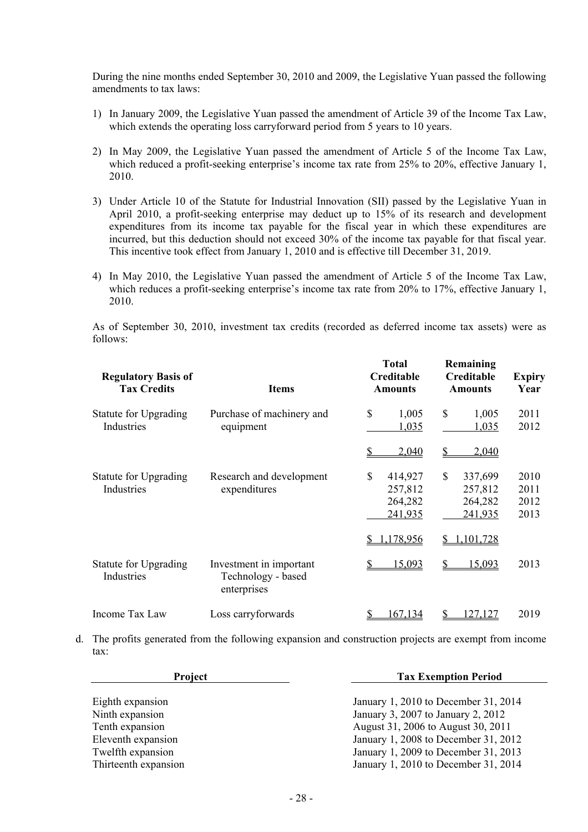During the nine months ended September 30, 2010 and 2009, the Legislative Yuan passed the following amendments to tax laws:

- 1) In January 2009, the Legislative Yuan passed the amendment of Article 39 of the Income Tax Law, which extends the operating loss carryforward period from 5 years to 10 years.
- 2) In May 2009, the Legislative Yuan passed the amendment of Article 5 of the Income Tax Law, which reduced a profit-seeking enterprise's income tax rate from 25% to 20%, effective January 1, 2010.
- 3) Under Article 10 of the Statute for Industrial Innovation (SII) passed by the Legislative Yuan in April 2010, a profit-seeking enterprise may deduct up to 15% of its research and development expenditures from its income tax payable for the fiscal year in which these expenditures are incurred, but this deduction should not exceed 30% of the income tax payable for that fiscal year. This incentive took effect from January 1, 2010 and is effective till December 31, 2019.
- 4) In May 2010, the Legislative Yuan passed the amendment of Article 5 of the Income Tax Law, which reduces a profit-seeking enterprise's income tax rate from 20% to 17%, effective January 1, 2010.

As of September 30, 2010, investment tax credits (recorded as deferred income tax assets) were as follows:

| <b>Regulatory Basis of</b><br><b>Tax Credits</b> | <b>Items</b>                                                 | <b>Total</b><br>Creditable<br><b>Amounts</b>   | Remaining<br>Creditable<br><b>Amounts</b>      | <b>Expiry</b><br>Year        |
|--------------------------------------------------|--------------------------------------------------------------|------------------------------------------------|------------------------------------------------|------------------------------|
| <b>Statute for Upgrading</b><br>Industries       | Purchase of machinery and<br>equipment                       | $\mathbb{S}$<br>1,005<br>1,035                 | \$<br>1,005<br>1,035                           | 2011<br>2012                 |
|                                                  |                                                              | 2,040<br>S                                     | \$<br>2,040                                    |                              |
| <b>Statute for Upgrading</b><br>Industries       | Research and development<br>expenditures                     | \$<br>414,927<br>257,812<br>264,282<br>241,935 | \$<br>337,699<br>257,812<br>264,282<br>241,935 | 2010<br>2011<br>2012<br>2013 |
|                                                  |                                                              | 1,178,956                                      | 1,101,728<br>S                                 |                              |
| Statute for Upgrading<br>Industries              | Investment in important<br>Technology - based<br>enterprises | 15,093                                         | S<br>15,093                                    | 2013                         |
| Income Tax Law                                   | Loss carryforwards                                           | 167,134                                        | \$<br>127.127                                  | 2019                         |

d. The profits generated from the following expansion and construction projects are exempt from income tax:

| Project                                                                                           | <b>Tax Exemption Period</b>                                                                                                                                                                      |  |  |
|---------------------------------------------------------------------------------------------------|--------------------------------------------------------------------------------------------------------------------------------------------------------------------------------------------------|--|--|
| Eighth expansion<br>Ninth expansion<br>Tenth expansion<br>Eleventh expansion<br>Twelfth expansion | January 1, 2010 to December 31, 2014<br>January 3, 2007 to January 2, 2012<br>August 31, 2006 to August 30, 2011<br>January 1, 2008 to December 31, 2012<br>January 1, 2009 to December 31, 2013 |  |  |
| Thirteenth expansion                                                                              | January 1, 2010 to December 31, 2014                                                                                                                                                             |  |  |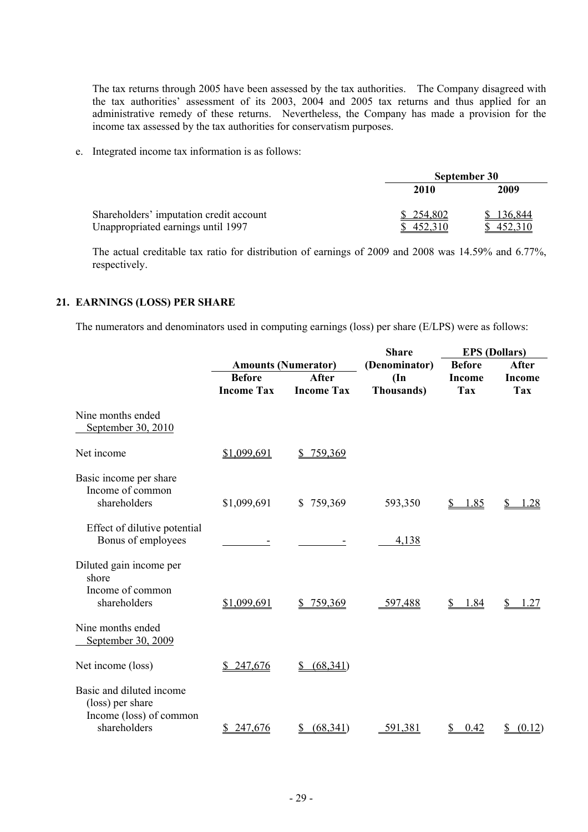The tax returns through 2005 have been assessed by the tax authorities. The Company disagreed with the tax authorities' assessment of its 2003, 2004 and 2005 tax returns and thus applied for an administrative remedy of these returns. Nevertheless, the Company has made a provision for the income tax assessed by the tax authorities for conservatism purposes.

e. Integrated income tax information is as follows:

|                                         | September 30 |         |  |
|-----------------------------------------|--------------|---------|--|
|                                         | 2010         | 2009    |  |
| Shareholders' imputation credit account | \$254,802    | 136,844 |  |
| Unappropriated earnings until 1997      | 452,310      | 452.310 |  |

The actual creditable tax ratio for distribution of earnings of 2009 and 2008 was 14.59% and 6.77%, respectively.

#### **21. EARNINGS (LOSS) PER SHARE**

The numerators and denominators used in computing earnings (loss) per share (E/LPS) were as follows:

|                                                                         |                                    |                                   | <b>Share</b>                                                            | <b>EPS</b> (Dollars)        |                             |
|-------------------------------------------------------------------------|------------------------------------|-----------------------------------|-------------------------------------------------------------------------|-----------------------------|-----------------------------|
|                                                                         |                                    | <b>Amounts (Numerator)</b>        | (Denominator)                                                           | <b>Before</b>               | After                       |
|                                                                         | <b>Before</b><br><b>Income Tax</b> | <b>After</b><br><b>Income Tax</b> | $(\mathbf{In}% )\mathbf{A}\rightarrow\mathbf{In}$<br><b>Thousands</b> ) | <b>Income</b><br><b>Tax</b> | <b>Income</b><br><b>Tax</b> |
| Nine months ended<br>September 30, 2010                                 |                                    |                                   |                                                                         |                             |                             |
| Net income                                                              | \$1,099,691                        | 759,369<br>S                      |                                                                         |                             |                             |
| Basic income per share<br>Income of common<br>shareholders              | \$1,099,691                        | \$759,369                         | 593,350                                                                 | 1.85                        | .28                         |
| Effect of dilutive potential<br>Bonus of employees                      |                                    |                                   | 4,138                                                                   |                             |                             |
| Diluted gain income per<br>shore                                        |                                    |                                   |                                                                         |                             |                             |
| Income of common<br>shareholders                                        | <u>\$1,099,691</u>                 | \$759,369                         | 597,488                                                                 | 1.84<br>S                   | .27                         |
| Nine months ended<br>September 30, 2009                                 |                                    |                                   |                                                                         |                             |                             |
| Net income (loss)                                                       | \$247,676                          | (68, 341)<br>\$                   |                                                                         |                             |                             |
| Basic and diluted income<br>(loss) per share<br>Income (loss) of common |                                    |                                   |                                                                         |                             |                             |
| shareholders                                                            | 247,676<br>S.                      | (68, 341)<br>S                    | 591,381                                                                 | 0.42<br>S                   | (0.12)<br>\$                |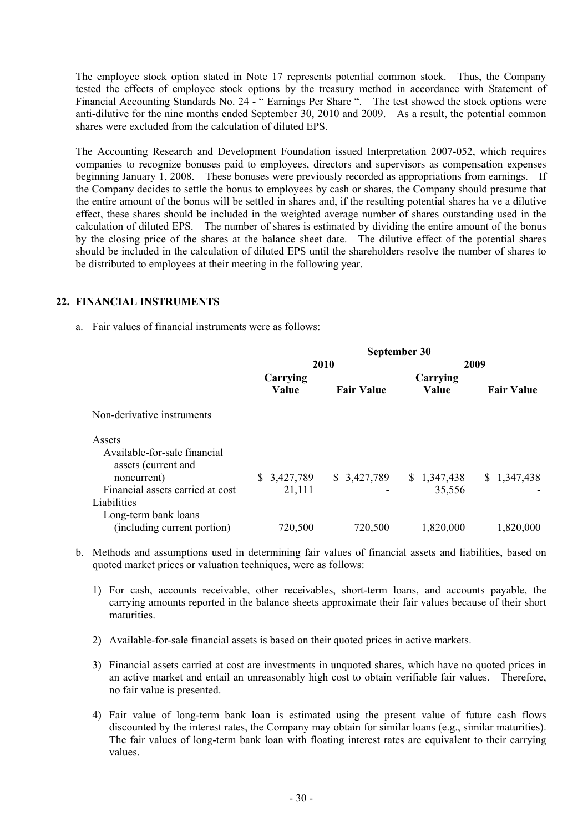The employee stock option stated in Note 17 represents potential common stock. Thus, the Company tested the effects of employee stock options by the treasury method in accordance with Statement of Financial Accounting Standards No. 24 - " Earnings Per Share ". The test showed the stock options were anti-dilutive for the nine months ended September 30, 2010 and 2009. As a result, the potential common shares were excluded from the calculation of diluted EPS.

The Accounting Research and Development Foundation issued Interpretation 2007-052, which requires companies to recognize bonuses paid to employees, directors and supervisors as compensation expenses beginning January 1, 2008. These bonuses were previously recorded as appropriations from earnings. If the Company decides to settle the bonus to employees by cash or shares, the Company should presume that the entire amount of the bonus will be settled in shares and, if the resulting potential shares ha ve a dilutive effect, these shares should be included in the weighted average number of shares outstanding used in the calculation of diluted EPS. The number of shares is estimated by dividing the entire amount of the bonus by the closing price of the shares at the balance sheet date. The dilutive effect of the potential shares should be included in the calculation of diluted EPS until the shareholders resolve the number of shares to be distributed to employees at their meeting in the following year.

#### **22. FINANCIAL INSTRUMENTS**

a. Fair values of financial instruments were as follows:

|                                                     | September 30      |                   |                   |                   |  |  |
|-----------------------------------------------------|-------------------|-------------------|-------------------|-------------------|--|--|
|                                                     |                   | 2010              |                   | 2009              |  |  |
|                                                     | Carrying<br>Value | <b>Fair Value</b> | Carrying<br>Value | <b>Fair Value</b> |  |  |
| Non-derivative instruments                          |                   |                   |                   |                   |  |  |
| Assets<br>Available-for-sale financial              |                   |                   |                   |                   |  |  |
| assets (current and<br>noncurrent)                  | 3,427,789<br>S.   | \$3,427,789       | \$1,347,438       | \$1,347,438       |  |  |
| Financial assets carried at cost<br>Liabilities     | 21,111            |                   | 35,556            |                   |  |  |
| Long-term bank loans<br>(including current portion) | 720,500           | 720,500           | 1,820,000         | 1,820,000         |  |  |

- b. Methods and assumptions used in determining fair values of financial assets and liabilities, based on quoted market prices or valuation techniques, were as follows:
	- 1) For cash, accounts receivable, other receivables, short-term loans, and accounts payable, the carrying amounts reported in the balance sheets approximate their fair values because of their short maturities.
	- 2) Available-for-sale financial assets is based on their quoted prices in active markets.
	- 3) Financial assets carried at cost are investments in unquoted shares, which have no quoted prices in an active market and entail an unreasonably high cost to obtain verifiable fair values. Therefore, no fair value is presented.
	- 4) Fair value of long-term bank loan is estimated using the present value of future cash flows discounted by the interest rates, the Company may obtain for similar loans (e.g., similar maturities). The fair values of long-term bank loan with floating interest rates are equivalent to their carrying values.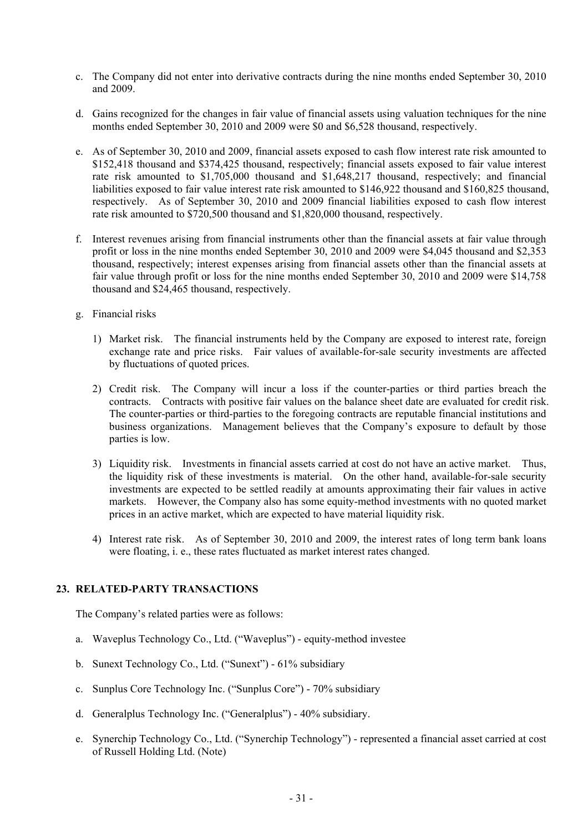- c. The Company did not enter into derivative contracts during the nine months ended September 30, 2010 and 2009.
- d. Gains recognized for the changes in fair value of financial assets using valuation techniques for the nine months ended September 30, 2010 and 2009 were \$0 and \$6,528 thousand, respectively.
- e. As of September 30, 2010 and 2009, financial assets exposed to cash flow interest rate risk amounted to \$152,418 thousand and \$374,425 thousand, respectively; financial assets exposed to fair value interest rate risk amounted to \$1,705,000 thousand and \$1,648,217 thousand, respectively; and financial liabilities exposed to fair value interest rate risk amounted to \$146,922 thousand and \$160,825 thousand, respectively. As of September 30, 2010 and 2009 financial liabilities exposed to cash flow interest rate risk amounted to \$720,500 thousand and \$1,820,000 thousand, respectively.
- f. Interest revenues arising from financial instruments other than the financial assets at fair value through profit or loss in the nine months ended September 30, 2010 and 2009 were \$4,045 thousand and \$2,353 thousand, respectively; interest expenses arising from financial assets other than the financial assets at fair value through profit or loss for the nine months ended September 30, 2010 and 2009 were \$14,758 thousand and \$24,465 thousand, respectively.
- g. Financial risks
	- 1) Market risk. The financial instruments held by the Company are exposed to interest rate, foreign exchange rate and price risks. Fair values of available-for-sale security investments are affected by fluctuations of quoted prices.
	- 2) Credit risk. The Company will incur a loss if the counter-parties or third parties breach the contracts. Contracts with positive fair values on the balance sheet date are evaluated for credit risk. The counter-parties or third-parties to the foregoing contracts are reputable financial institutions and business organizations. Management believes that the Company's exposure to default by those parties is low.
	- 3) Liquidity risk. Investments in financial assets carried at cost do not have an active market. Thus, the liquidity risk of these investments is material. On the other hand, available-for-sale security investments are expected to be settled readily at amounts approximating their fair values in active markets. However, the Company also has some equity-method investments with no quoted market prices in an active market, which are expected to have material liquidity risk.
	- 4) Interest rate risk. As of September 30, 2010 and 2009, the interest rates of long term bank loans were floating, i. e., these rates fluctuated as market interest rates changed.

## **23. RELATED-PARTY TRANSACTIONS**

The Company's related parties were as follows:

- a. Waveplus Technology Co., Ltd. ("Waveplus") equity-method investee
- b. Sunext Technology Co., Ltd. ("Sunext") 61% subsidiary
- c. Sunplus Core Technology Inc. ("Sunplus Core") 70% subsidiary
- d. Generalplus Technology Inc. ("Generalplus") 40% subsidiary.
- e. Synerchip Technology Co., Ltd. ("Synerchip Technology") represented a financial asset carried at cost of Russell Holding Ltd. (Note)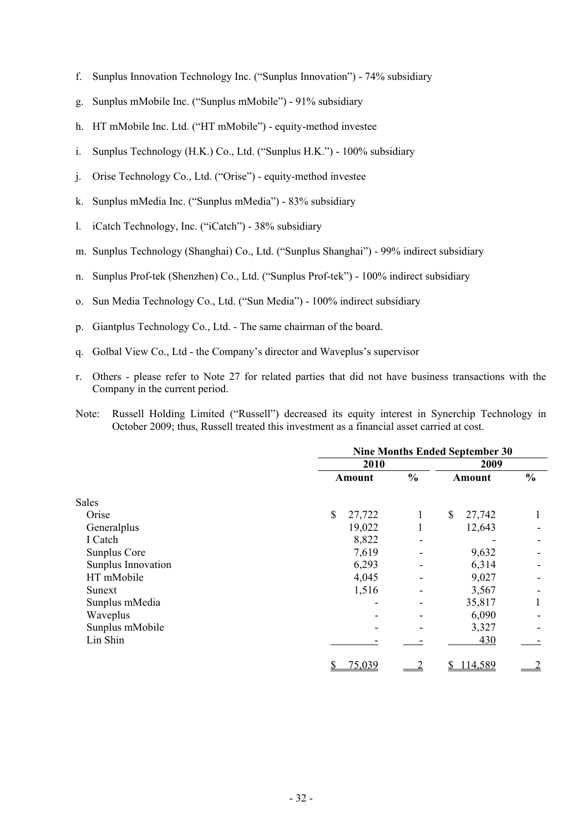- f. Sunplus Innovation Technology Inc. ("Sunplus Innovation") 74% subsidiary
- g. Sunplus mMobile Inc. ("Sunplus mMobile") 91% subsidiary
- h. HT mMobile Inc. Ltd. ("HT mMobile") equity-method investee
- i. Sunplus Technology (H.K.) Co., Ltd. ("Sunplus H.K.") 100% subsidiary
- j. Orise Technology Co., Ltd. ("Orise") equity-method investee
- k. Sunplus mMedia Inc. ("Sunplus mMedia") 83% subsidiary
- l. iCatch Technology, Inc. ("iCatch") 38% subsidiary
- m. Sunplus Technology (Shanghai) Co., Ltd. ("Sunplus Shanghai") 99% indirect subsidiary
- n. Sunplus Prof-tek (Shenzhen) Co., Ltd. ("Sunplus Prof-tek") 100% indirect subsidiary
- o. Sun Media Technology Co., Ltd. ("Sun Media") 100% indirect subsidiary
- p. Giantplus Technology Co., Ltd. The same chairman of the board.
- q. Golbal View Co., Ltd the Company's director and Waveplus's supervisor
- r. Others please refer to Note 27 for related parties that did not have business transactions with the Company in the current period.
- Note: Russell Holding Limited ("Russell") decreased its equity interest in Synerchip Technology in October 2009; thus, Russell treated this investment as a financial asset carried at cost.

|                    |              | <b>Nine Months Ended September 30</b> |              |                |  |  |  |
|--------------------|--------------|---------------------------------------|--------------|----------------|--|--|--|
|                    | 2010         | 2009                                  |              |                |  |  |  |
|                    | Amount       | $\frac{0}{0}$                         | Amount       | $\frac{0}{0}$  |  |  |  |
| <b>Sales</b>       |              |                                       |              |                |  |  |  |
| Orise              | \$<br>27,722 |                                       | \$<br>27,742 |                |  |  |  |
| Generalplus        | 19,022       |                                       | 12,643       |                |  |  |  |
| I Catch            | 8,822        |                                       |              |                |  |  |  |
| Sunplus Core       | 7,619        |                                       | 9,632        |                |  |  |  |
| Sunplus Innovation | 6,293        |                                       | 6,314        |                |  |  |  |
| HT mMobile         | 4,045        |                                       | 9,027        |                |  |  |  |
| Sunext             | 1,516        |                                       | 3,567        |                |  |  |  |
| Sunplus mMedia     |              |                                       | 35,817       |                |  |  |  |
| Waveplus           |              |                                       | 6,090        |                |  |  |  |
| Sunplus mMobile    |              |                                       | 3,327        |                |  |  |  |
| Lin Shin           |              |                                       | 430          |                |  |  |  |
|                    | 75,039<br>\$ |                                       | 114,589      | $\overline{2}$ |  |  |  |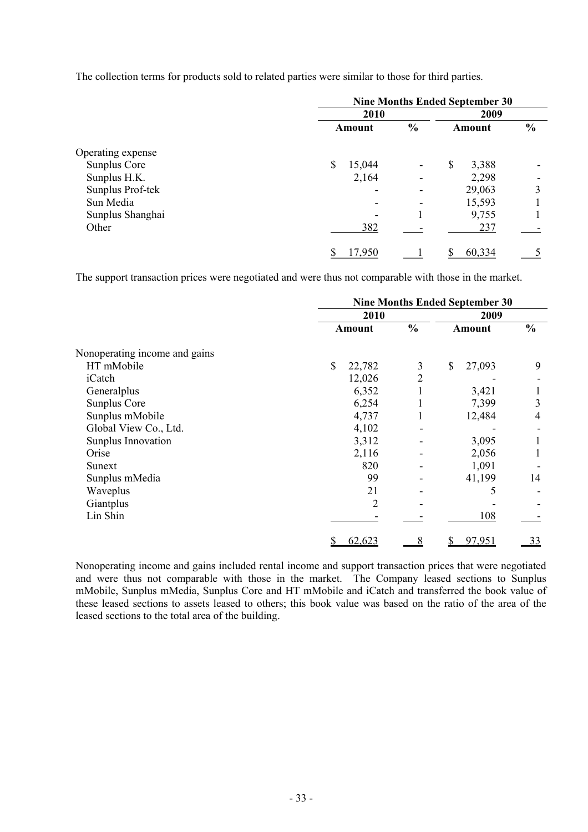The collection terms for products sold to related parties were similar to those for third parties.

|                   | <b>Nine Months Ended September 30</b> |               |             |               |  |  |  |
|-------------------|---------------------------------------|---------------|-------------|---------------|--|--|--|
|                   | 2010                                  |               |             |               |  |  |  |
|                   | Amount                                | $\frac{6}{6}$ | Amount      | $\frac{0}{0}$ |  |  |  |
| Operating expense |                                       |               |             |               |  |  |  |
| Sunplus Core      | 15,044<br>\$                          | ۰             | \$<br>3,388 |               |  |  |  |
| Sunplus H.K.      | 2,164                                 |               | 2,298       |               |  |  |  |
| Sunplus Prof-tek  |                                       |               | 29,063      | 3             |  |  |  |
| Sun Media         |                                       |               | 15,593      |               |  |  |  |
| Sunplus Shanghai  |                                       |               | 9,755       |               |  |  |  |
| Other             | 382                                   |               | 237         |               |  |  |  |
|                   | 17,950                                |               | 60,334      |               |  |  |  |

The support transaction prices were negotiated and were thus not comparable with those in the market.

|                               |                        | <b>Nine Months Ended September 30</b> |              |               |  |  |  |
|-------------------------------|------------------------|---------------------------------------|--------------|---------------|--|--|--|
|                               | 2009<br>2010           |                                       |              |               |  |  |  |
|                               | Amount                 | $\frac{0}{0}$                         | Amount       | $\frac{0}{0}$ |  |  |  |
| Nonoperating income and gains |                        |                                       |              |               |  |  |  |
| HT mMobile                    | $\mathbb{S}$<br>22,782 | 3                                     | \$<br>27,093 | 9             |  |  |  |
| iCatch                        | 12,026                 | 2                                     |              |               |  |  |  |
| Generalplus                   | 6,352                  |                                       | 3,421        |               |  |  |  |
| Sunplus Core                  | 6,254                  |                                       | 7,399        | 3             |  |  |  |
| Sunplus mMobile               | 4,737                  |                                       | 12,484       | 4             |  |  |  |
| Global View Co., Ltd.         | 4,102                  |                                       |              |               |  |  |  |
| Sunplus Innovation            | 3,312                  |                                       | 3,095        |               |  |  |  |
| Orise                         | 2,116                  |                                       | 2,056        |               |  |  |  |
| Sunext                        | 820                    |                                       | 1,091        |               |  |  |  |
| Sunplus mMedia                | 99                     |                                       | 41,199       | 14            |  |  |  |
| Waveplus                      | 21                     |                                       | 5            |               |  |  |  |
| Giantplus                     | $\overline{2}$         |                                       |              |               |  |  |  |
| Lin Shin                      |                        |                                       | 108          |               |  |  |  |
|                               | <u>62,623</u>          |                                       | 97,951       | <u>33</u>     |  |  |  |

Nonoperating income and gains included rental income and support transaction prices that were negotiated and were thus not comparable with those in the market. The Company leased sections to Sunplus mMobile, Sunplus mMedia, Sunplus Core and HT mMobile and iCatch and transferred the book value of these leased sections to assets leased to others; this book value was based on the ratio of the area of the leased sections to the total area of the building.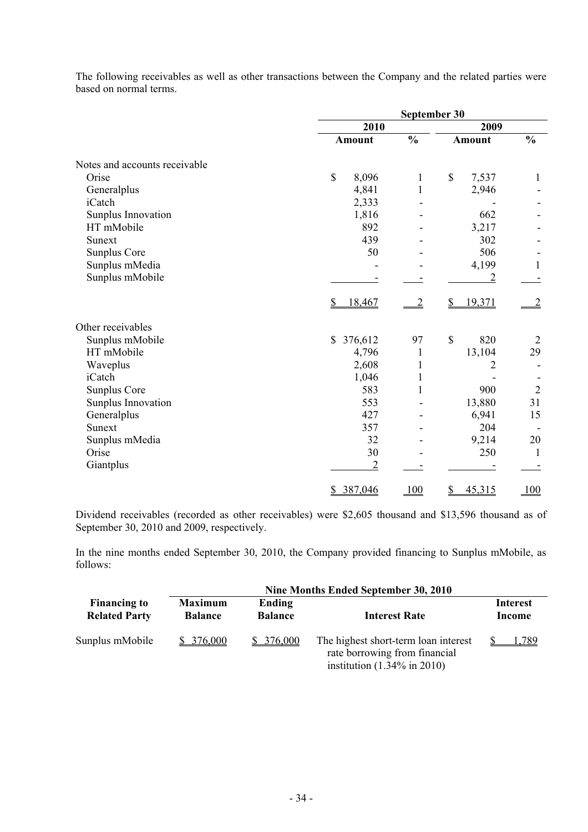The following receivables as well as other transactions between the Company and the related parties were based on normal terms.

|                               |                         | September 30   |                       |                |  |  |  |
|-------------------------------|-------------------------|----------------|-----------------------|----------------|--|--|--|
|                               | 2010                    |                | 2009                  |                |  |  |  |
|                               | <b>Amount</b>           | $\frac{0}{0}$  | <b>Amount</b>         | $\frac{0}{0}$  |  |  |  |
| Notes and accounts receivable |                         |                |                       |                |  |  |  |
| Orise                         | $\mathbb{S}$<br>8,096   | 1              | $\mathbb{S}$<br>7,537 | 1              |  |  |  |
| Generalplus                   | 4,841                   | $\mathbf{1}$   | 2,946                 |                |  |  |  |
| iCatch                        | 2,333                   |                |                       |                |  |  |  |
| Sunplus Innovation            | 1,816                   |                | 662                   |                |  |  |  |
| HT mMobile                    | 892                     |                | 3,217                 |                |  |  |  |
| Sunext                        | 439                     |                | 302                   |                |  |  |  |
| Sunplus Core                  | 50                      |                | 506                   |                |  |  |  |
| Sunplus mMedia                |                         |                | 4,199                 | $\mathbf{1}$   |  |  |  |
| Sunplus mMobile               |                         |                | $\overline{c}$        |                |  |  |  |
|                               | \$<br>18,467            | $\overline{2}$ | \$<br>19,371          |                |  |  |  |
| Other receivables             |                         |                |                       |                |  |  |  |
| Sunplus mMobile               | $\mathbb{S}$<br>376,612 | 97             | $\mathbb{S}$<br>820   | 2              |  |  |  |
| HT mMobile                    | 4,796                   | $\mathbf{1}$   | 13,104                | 29             |  |  |  |
| Waveplus                      | 2,608                   | 1              | $\overline{c}$        |                |  |  |  |
| iCatch                        | 1,046                   | 1              |                       |                |  |  |  |
| <b>Sunplus Core</b>           | 583                     | 1              | 900                   | $\overline{2}$ |  |  |  |
| Sunplus Innovation            | 553                     |                | 13,880                | 31             |  |  |  |
| Generalplus                   | 427                     |                | 6,941                 | 15             |  |  |  |
| Sunext                        | 357                     |                | 204                   |                |  |  |  |
| Sunplus mMedia                | 32                      |                | 9,214                 | 20             |  |  |  |
| Orise                         | 30                      |                | 250                   | 1              |  |  |  |
| Giantplus                     | $\overline{2}$          |                |                       |                |  |  |  |
|                               | \$ 387,046              | 100            | 45,315<br><u>\$</u>   | 100            |  |  |  |

Dividend receivables (recorded as other receivables) were \$2,605 thousand and \$13,596 thousand as of September 30, 2010 and 2009, respectively.

In the nine months ended September 30, 2010, the Company provided financing to Sunplus mMobile, as follows:

| Nine Months Ended September 30, 2010        |                                                              |           |                                                                                                                  |                           |  |
|---------------------------------------------|--------------------------------------------------------------|-----------|------------------------------------------------------------------------------------------------------------------|---------------------------|--|
| <b>Financing to</b><br><b>Related Party</b> | <b>Maximum</b><br>Ending<br><b>Balance</b><br><b>Balance</b> |           | <b>Interest Rate</b>                                                                                             | <b>Interest</b><br>Income |  |
| Sunplus mMobile                             | \$376,000                                                    | \$376,000 | The highest short-term loan interest<br>rate borrowing from financial<br>institution $(1.34\% \text{ in } 2010)$ | .789                      |  |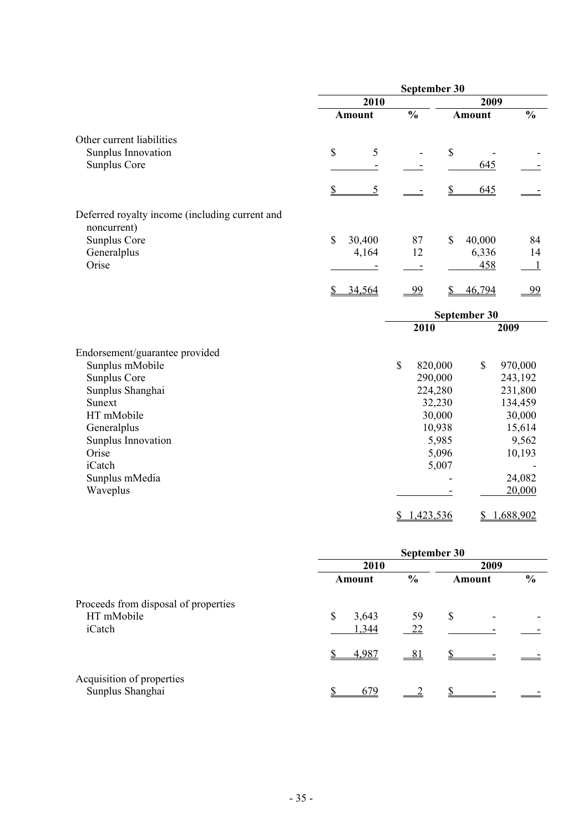|                                                               | September 30           |               |               |                  |               |                  |  |
|---------------------------------------------------------------|------------------------|---------------|---------------|------------------|---------------|------------------|--|
|                                                               | 2010                   |               |               |                  | 2009          |                  |  |
|                                                               |                        | <b>Amount</b> | $\frac{0}{0}$ |                  | <b>Amount</b> | $\frac{0}{0}$    |  |
| Other current liabilities                                     |                        |               |               |                  |               |                  |  |
| Sunplus Innovation                                            | $\mathbb{S}$           | 5             |               | \$               |               |                  |  |
| Sunplus Core                                                  |                        |               |               |                  | 645           |                  |  |
|                                                               | $\mathbf{\mathcal{S}}$ | 5             |               |                  | 645           |                  |  |
| Deferred royalty income (including current and<br>noncurrent) |                        |               |               |                  |               |                  |  |
| Sunplus Core                                                  | \$                     | 30,400        | 87            | \$               | 40,000        | 84               |  |
| Generalplus                                                   |                        | 4,164         | 12            |                  | 6,336         | 14               |  |
| Orise                                                         |                        |               |               |                  | 458           |                  |  |
|                                                               | $\mathcal{S}$          | 34,564        | 99            |                  | 46,794        | <u>99</u>        |  |
|                                                               |                        |               |               |                  | September 30  |                  |  |
|                                                               |                        |               | 2010          |                  |               | 2009             |  |
| Endorsement/guarantee provided                                |                        |               |               |                  |               |                  |  |
| Sunplus mMobile                                               |                        |               | $\mathbf S$   | 820,000          | $\mathbb{S}$  | 970,000          |  |
| Sunplus Core                                                  |                        |               |               | 290,000          |               | 243,192          |  |
| Sunplus Shanghai                                              |                        |               |               | 224,280          |               | 231,800          |  |
| Sunext<br>HT mMobile                                          |                        |               |               | 32,230           |               | 134,459          |  |
| Generalplus                                                   |                        |               |               | 30,000<br>10,938 |               | 30,000<br>15,614 |  |
| Sunplus Innovation                                            |                        |               |               | 5,985            |               | 9,562            |  |
| Orise                                                         |                        |               |               | 5,096            |               | 10,193           |  |
| iCatch                                                        |                        |               |               | 5,007            |               |                  |  |
| Sunplus mMedia                                                |                        |               |               |                  |               | 24,082           |  |
| Waveplus                                                      |                        |               |               |                  |               | 20,000           |  |
|                                                               |                        |               | \$            | 1,423,536        | \$            | 1,688,902        |  |

|                                               | September 30 |               |        |               |  |  |  |
|-----------------------------------------------|--------------|---------------|--------|---------------|--|--|--|
|                                               | 2010         | 2009          |        |               |  |  |  |
|                                               | Amount       | $\frac{0}{0}$ | Amount | $\frac{0}{0}$ |  |  |  |
| Proceeds from disposal of properties          |              |               |        |               |  |  |  |
| HT mMobile                                    | \$<br>3,643  | 59            | \$     |               |  |  |  |
| iCatch                                        | 1,344        | 22            |        |               |  |  |  |
|                                               | 4,987        | 81            |        |               |  |  |  |
| Acquisition of properties<br>Sunplus Shanghai | 679          |               |        |               |  |  |  |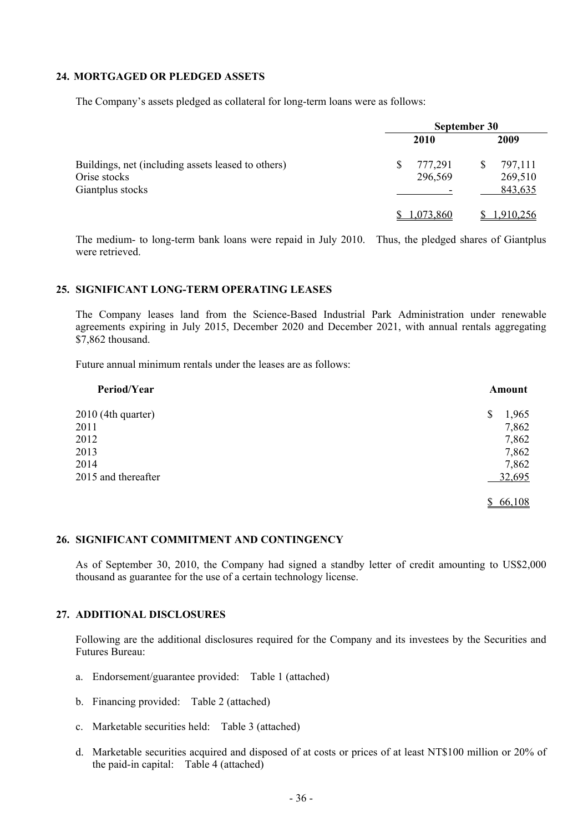#### **24. MORTGAGED OR PLEDGED ASSETS**

The Company's assets pledged as collateral for long-term loans were as follows:

|                                                                                        | September 30             |                                     |  |  |  |
|----------------------------------------------------------------------------------------|--------------------------|-------------------------------------|--|--|--|
|                                                                                        | 2010                     | 2009                                |  |  |  |
| Buildings, net (including assets leased to others)<br>Orise stocks<br>Giantplus stocks | 777,291<br>\$<br>296,569 | 797,111<br>\$<br>269,510<br>843,635 |  |  |  |
|                                                                                        | 1,073,860                | 1,910,256                           |  |  |  |

The medium- to long-term bank loans were repaid in July 2010. Thus, the pledged shares of Giantplus were retrieved.

## **25. SIGNIFICANT LONG-TERM OPERATING LEASES**

The Company leases land from the Science-Based Industrial Park Administration under renewable agreements expiring in July 2015, December 2020 and December 2021, with annual rentals aggregating \$7,862 thousand.

Future annual minimum rentals under the leases are as follows:

| Period/Year         | Amount      |
|---------------------|-------------|
| 2010 (4th quarter)  | 1,965<br>\$ |
| 2011                | 7,862       |
| 2012                | 7,862       |
| 2013                | 7,862       |
| 2014                | 7,862       |
| 2015 and thereafter | 32,695      |
|                     | 66,108      |

#### **26. SIGNIFICANT COMMITMENT AND CONTINGENCY**

As of September 30, 2010, the Company had signed a standby letter of credit amounting to US\$2,000 thousand as guarantee for the use of a certain technology license.

## **27. ADDITIONAL DISCLOSURES**

Following are the additional disclosures required for the Company and its investees by the Securities and Futures Bureau:

- a. Endorsement/guarantee provided: Table 1 (attached)
- b. Financing provided: Table 2 (attached)
- c. Marketable securities held: Table 3 (attached)
- d. Marketable securities acquired and disposed of at costs or prices of at least NT\$100 million or 20% of the paid-in capital: Table 4 (attached)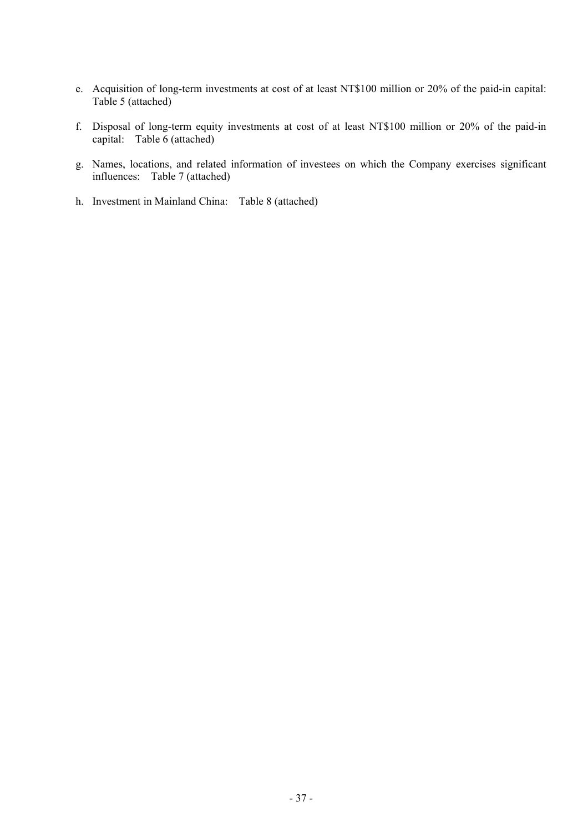- e. Acquisition of long-term investments at cost of at least NT\$100 million or 20% of the paid-in capital: Table 5 (attached)
- f. Disposal of long-term equity investments at cost of at least NT\$100 million or 20% of the paid-in capital: Table 6 (attached)
- g. Names, locations, and related information of investees on which the Company exercises significant influences: Table 7 (attached)
- h. Investment in Mainland China: Table 8 (attached)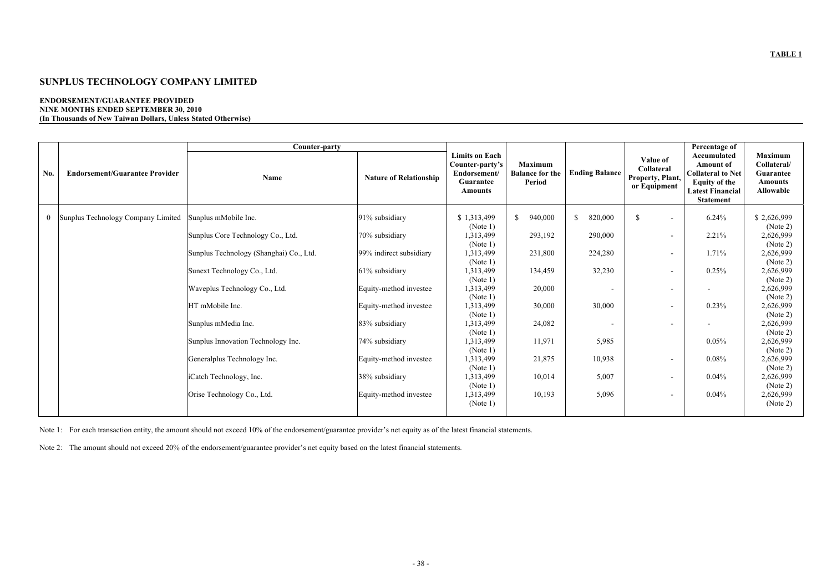## **SUNPLUS TECHNOLOGY COMPANY LIMITED**

#### **ENDORSEMENT/GUARANTEE PROVIDED NINE MONTHS ENDED SEPTEMBER 30, 2010 (In Thousands of New Taiwan Dollars, Unless Stated Otherwise)**

| No.      | <b>Endorsement/Guarantee Provider</b> | Counter-party<br><b>Name</b>            | <b>Nature of Relationship</b> | <b>Limits on Each</b><br>Counter-party's<br>Endorsement/<br>Guarantee | <b>Maximum</b><br><b>Balance for the</b><br><b>Period</b> | <b>Ending Balance</b>    | Value of<br>Collateral<br>Property, Plant, | Percentage of<br>Accumulated<br><b>Amount of</b><br><b>Collateral to Net</b><br><b>Equity of the</b> | <b>Maximum</b><br>Collateral/<br><b>Guarantee</b><br><b>Amounts</b> |
|----------|---------------------------------------|-----------------------------------------|-------------------------------|-----------------------------------------------------------------------|-----------------------------------------------------------|--------------------------|--------------------------------------------|------------------------------------------------------------------------------------------------------|---------------------------------------------------------------------|
|          |                                       |                                         |                               | <b>Amounts</b>                                                        |                                                           |                          | or Equipment                               | <b>Latest Financial</b><br><b>Statement</b>                                                          | <b>Allowable</b>                                                    |
| $\bf{0}$ | Sunplus Technology Company Limited    | Sunplus mMobile Inc.                    | 91% subsidiary                | \$1,313,499<br>(Note 1)                                               | 940,000<br>$\mathbb{S}$                                   | 820,000<br>$\mathbb{S}$  | $\mathcal{S}$                              | 6.24%                                                                                                | \$2,626,999<br>(Note 2)                                             |
|          |                                       | Sunplus Core Technology Co., Ltd.       | 70% subsidiary                | 1,313,499<br>(Note 1)                                                 | 293,192                                                   | 290,000                  | $\overline{\phantom{a}}$                   | 2.21%                                                                                                | 2,626,999<br>(Note 2)                                               |
|          |                                       | Sunplus Technology (Shanghai) Co., Ltd. | 99% indirect subsidiary       | 1,313,499<br>(Note 1)                                                 | 231,800                                                   | 224,280                  |                                            | 1.71%                                                                                                | 2,626,999<br>(Note 2)                                               |
|          |                                       | Sunext Technology Co., Ltd.             | 61% subsidiary                | 1,313,499<br>(Note 1)                                                 | 134,459                                                   | 32,230                   |                                            | 0.25%                                                                                                | 2,626,999<br>(Note 2)                                               |
|          |                                       | Waveplus Technology Co., Ltd.           | Equity-method investee        | 1,313,499<br>(Note 1)                                                 | 20,000                                                    | $\overline{\phantom{a}}$ |                                            |                                                                                                      | 2,626,999<br>(Note 2)                                               |
|          |                                       | HT mMobile Inc.                         | Equity-method investee        | 1,313,499<br>(Note 1)                                                 | 30,000                                                    | 30,000                   |                                            | 0.23%                                                                                                | 2,626,999<br>(Note 2)                                               |
|          |                                       | Sunplus mMedia Inc.                     | 83% subsidiary                | 1,313,499<br>(Note 1)                                                 | 24,082                                                    | $\overline{\phantom{a}}$ |                                            |                                                                                                      | 2,626,999<br>(Note 2)                                               |
|          |                                       | Sunplus Innovation Technology Inc.      | 74% subsidiary                | 1,313,499<br>(Note 1)                                                 | 11,971                                                    | 5,985                    |                                            | 0.05%                                                                                                | 2,626,999<br>(Note 2)                                               |
|          |                                       | Generalplus Technology Inc.             | Equity-method investee        | 1,313,499<br>(Note 1)                                                 | 21,875                                                    | 10,938                   | $\overline{\phantom{a}}$                   | 0.08%                                                                                                | 2,626,999<br>(Note 2)                                               |
|          |                                       | iCatch Technology, Inc.                 | 38% subsidiary                | 1,313,499<br>(Note 1)                                                 | 10,014                                                    | 5,007                    |                                            | 0.04%                                                                                                | 2,626,999<br>(Note 2)                                               |
|          |                                       | Orise Technology Co., Ltd.              | Equity-method investee        | 1,313,499<br>(Note 1)                                                 | 10,193                                                    | 5,096                    |                                            | 0.04%                                                                                                | 2,626,999<br>(Note 2)                                               |

Note 1: For each transaction entity, the amount should not exceed 10% of the endorsement/guarantee provider's net equity as of the latest financial statements.

Note 2: The amount should not exceed 20% of the endorsement/guarantee provider's net equity based on the latest financial statements.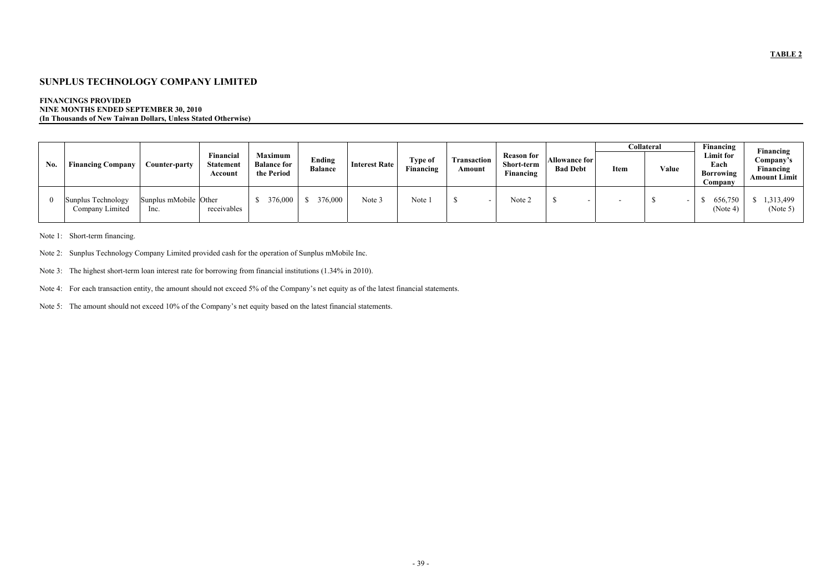## **SUNPLUS TECHNOLOGY COMPANY LIMITED**

### **FINANCINGS PROVIDED NINE MONTHS ENDED SEPTEMBER 30, 2010 (In Thousands of New Taiwan Dollars, Unless Stated Otherwise)**

|     |                                       |                               |                                          |                                                    |                          |                      |                             |                              |                                              |                                  |             | <b>Collateral</b> | Financing                                               | Financing                                     |
|-----|---------------------------------------|-------------------------------|------------------------------------------|----------------------------------------------------|--------------------------|----------------------|-----------------------------|------------------------------|----------------------------------------------|----------------------------------|-------------|-------------------|---------------------------------------------------------|-----------------------------------------------|
| No. | <b>Financing Company</b>              | Counter-party                 | Financial<br><b>Statement</b><br>Account | <b>Maximum</b><br><b>Balance for</b><br>the Period | Ending<br><b>Balance</b> | <b>Interest Rate</b> | <b>Type of</b><br>Financing | <b>Transaction</b><br>Amount | <b>Reason for</b><br>Short-term<br>Financing | Allowance for<br><b>Bad Debt</b> | <b>Item</b> | Value             | <b>Limit for</b><br>Each<br><b>Borrowing</b><br>Company | Company's<br>Financing<br><b>Amount Limit</b> |
|     | Sunplus Technology<br>Company Limited | Sunplus mMobile Other<br>lnc. | receivables                              | 376,000                                            | 376,000                  | Note 3               | Note 1                      |                              | Note 2                                       |                                  |             |                   | 656,750<br>(Note 4)                                     | $\frac{1,313,499}{2}$<br>(Note 5)             |

Note 1: Short-term financing.

- Note 2: Sunplus Technology Company Limited provided cash for the operation of Sunplus mMobile Inc.
- Note 3: The highest short-term loan interest rate for borrowing from financial institutions (1.34% in 2010).
- Note 4: For each transaction entity, the amount should not exceed 5% of the Company's net equity as of the latest financial statements.
- Note 5: The amount should not exceed 10% of the Company's net equity based on the latest financial statements.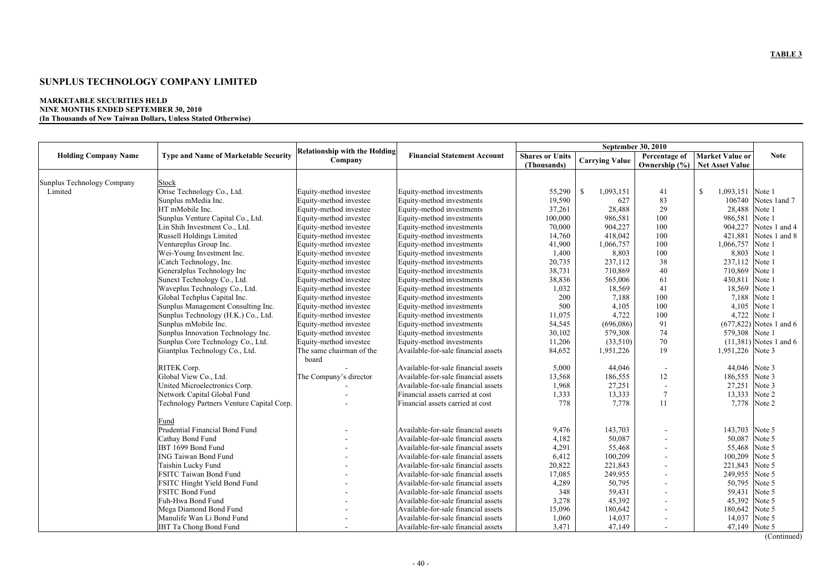## **SUNPLUS TECHNOLOGY COMPANY LIMITED**

#### **MARKETABLE SECURITIES HELD NINE MONTHS ENDED SEPTEMBER 30, 2010 (In Thousands of New Taiwan Dollars, Unless Stated Otherwise)**

|                                   |                                             |                                                 |                                     |                                       |                            | <b>September 30, 2010</b>          |                                           |                            |
|-----------------------------------|---------------------------------------------|-------------------------------------------------|-------------------------------------|---------------------------------------|----------------------------|------------------------------------|-------------------------------------------|----------------------------|
| <b>Holding Company Name</b>       | <b>Type and Name of Marketable Security</b> | <b>Relationship with the Holding</b><br>Company | <b>Financial Statement Account</b>  | <b>Shares or Units</b><br>(Thousands) | <b>Carrying Value</b>      | Percentage of<br>Ownership $(\% )$ | <b>Market Value or</b><br>Net Asset Value | <b>Note</b>                |
|                                   |                                             |                                                 |                                     |                                       |                            |                                    |                                           |                            |
| <b>Sunplus Technology Company</b> | <b>Stock</b>                                |                                                 |                                     |                                       |                            |                                    |                                           |                            |
| Limited                           | Orise Technology Co., Ltd.                  | Equity-method investee                          | Equity-method investments           | 55,290                                | $\mathcal{S}$<br>1,093,151 | 41                                 | $\mathcal{S}$<br>1,093,151 Note 1         |                            |
|                                   | Sunplus mMedia Inc.                         | Equity-method investee                          | Equity-method investments           | 19,590                                | 627                        | 83                                 |                                           | 106740 Notes 1 and 7       |
|                                   | HT mMobile Inc.                             | Equity-method investee                          | Equity-method investments           | 37,261                                | 28,488                     | 29                                 | 28,488 Note 1                             |                            |
|                                   | Sunplus Venture Capital Co., Ltd.           | Equity-method investee                          | Equity-method investments           | 100,000                               | 986,581                    | 100                                | 986,581                                   | Note 1                     |
|                                   | Lin Shih Investment Co., Ltd.               | Equity-method investee                          | Equity-method investments           | 70,000                                | 904,227                    | 100                                | 904,227                                   | Notes 1 and 4              |
|                                   | Russell Holdings Limited                    | Equity-method investee                          | Equity-method investments           | 14,760                                | 418,042                    | 100                                | 421,881                                   | Notes 1 and 8              |
|                                   | Ventureplus Group Inc.                      | Equity-method investee                          | Equity-method investments           | 41,900                                | 1,066,757                  | 100                                | 1,066,757                                 | Note 1                     |
|                                   | Wei-Young Investment Inc.                   | Equity-method investee                          | Equity-method investments           | 1,400                                 | 8,803                      | 100                                | 8,803                                     | Note 1                     |
|                                   | iCatch Technology, Inc.                     | Equity-method investee                          | Equity-method investments           | 20,735                                | 237,112                    | 38                                 | 237,112 Note 1                            |                            |
|                                   | Generalplus Technology Inc                  | Equity-method investee                          | Equity-method investments           | 38,731                                | 710,869                    | 40                                 | 710,869 Note 1                            |                            |
|                                   | Sunext Technology Co., Ltd.                 | Equity-method investee                          | Equity-method investments           | 38,836                                | 565,006                    | 61                                 | 430,811                                   | Note 1                     |
|                                   | Waveplus Technology Co., Ltd.               | Equity-method investee                          | Equity-method investments           | 1,032                                 | 18,569                     | 41                                 | 18,569 Note 1                             |                            |
|                                   | Global Techplus Capital Inc.                | Equity-method investee                          | Equity-method investments           | 200                                   | 7,188                      | 100                                | 7,188 Note 1                              |                            |
|                                   | Sunplus Management Consulting Inc.          | Equity-method investee                          | Equity-method investments           | 500                                   | 4,105                      | 100                                | 4,105                                     | Note 1                     |
|                                   | Sunplus Technology (H.K.) Co., Ltd.         | Equity-method investee                          | Equity-method investments           | 11,075                                | 4,722                      | 100                                | 4,722                                     | Note 1                     |
|                                   | Sunplus mMobile Inc.                        | Equity-method investee                          | Equity-method investments           | 54,545                                | (696,086)                  | 91                                 |                                           | $(677, 822)$ Notes 1 and 6 |
|                                   | Sunplus Innovation Technology Inc.          | Equity-method investee                          | Equity-method investments           | 30,102                                | 579,308                    | 74                                 | 579,308 Note 1                            |                            |
|                                   | Sunplus Core Technology Co., Ltd.           | Equity-method investee                          | Equity-method investments           | 11,206                                | (33,510)                   | 70                                 |                                           | $(11,381)$ Notes 1 and 6   |
|                                   | Giantplus Technology Co., Ltd.              | The same chairman of the<br>board               | Available-for-sale financial assets | 84,652                                | 1,951,226                  | 19                                 | 1,951,226 Note 3                          |                            |
|                                   | RITEK Corp.                                 |                                                 | Available-for-sale financial assets | 5,000                                 | 44,046                     |                                    | 44,046 Note 3                             |                            |
|                                   | Global View Co., Ltd.                       | The Company's director                          | Available-for-sale financial assets | 13,568                                | 186,555                    | 12                                 | 186,555 Note 3                            |                            |
|                                   | United Microelectronics Corp.               |                                                 | Available-for-sale financial assets | 1,968                                 | 27,251                     |                                    | 27,251                                    | Note 3                     |
|                                   | Network Capital Global Fund                 |                                                 | Financial assets carried at cost    | 1,333                                 | 13,333                     | $\tau$                             | 13,333 Note 2                             |                            |
|                                   | Technology Partners Venture Capital Corp.   |                                                 | Financial assets carried at cost    | 778                                   | 7,778                      | 11                                 |                                           | 7,778 Note 2               |
|                                   | Fund                                        |                                                 |                                     |                                       |                            |                                    |                                           |                            |
|                                   | Prudential Financial Bond Fund              |                                                 | Available-for-sale financial assets | 9,476                                 | 143,703                    |                                    | 143,703 Note 5                            |                            |
|                                   | Cathay Bond Fund                            |                                                 | Available-for-sale financial assets | 4,182                                 | 50,087                     |                                    | 50,087 Note 5                             |                            |
|                                   | IBT 1699 Bond Fund                          |                                                 | Available-for-sale financial assets | 4,291                                 | 55,468                     |                                    | 55,468 Note 5                             |                            |
|                                   | <b>ING Taiwan Bond Fund</b>                 |                                                 | Available-for-sale financial assets | 6,412                                 | 100,209                    |                                    | 100,209 Note 5                            |                            |
|                                   | Taishin Lucky Fund                          |                                                 | Available-for-sale financial assets | 20,822                                | 221,843                    |                                    | 221,843 Note 5                            |                            |
|                                   | <b>FSITC Taiwan Bond Fund</b>               |                                                 | Available-for-sale financial assets | 17,085                                | 249,955                    |                                    | 249,955 Note 5                            |                            |
|                                   | <b>FSITC Hinght Yield Bond Fund</b>         |                                                 | Available-for-sale financial assets | 4,289                                 | 50,795                     |                                    | 50,795 Note 5                             |                            |
|                                   | <b>FSITC Bond Fund</b>                      |                                                 | Available-for-sale financial assets | 348                                   | 59,431                     |                                    | 59,431 Note 5                             |                            |
|                                   | Fuh-Hwa Bond Fund                           |                                                 | Available-for-sale financial assets | 3,278                                 | 45,392                     |                                    | 45,392 Note 5                             |                            |
|                                   | Mega Diamond Bond Fund                      |                                                 | Available-for-sale financial assets | 15,096                                | 180,642                    |                                    | 180,642 Note 5                            |                            |
|                                   | Manulife Wan Li Bond Fund                   |                                                 | Available-for-sale financial assets | 1,060                                 | 14,037                     |                                    | 14,037 Note 5                             |                            |
|                                   | <b>IBT Ta Chong Bond Fund</b>               |                                                 | Available-for-sale financial assets | 3,471                                 | 47,149                     |                                    | 47,149 Note 5                             |                            |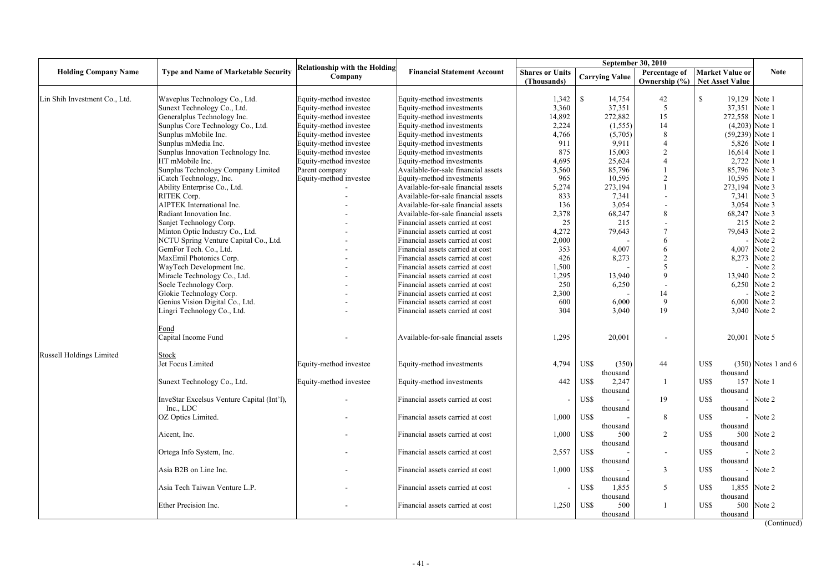|                                 |                                             |                                      |                                     |                          |                        | <b>September 30, 2010</b> |                        |                       |
|---------------------------------|---------------------------------------------|--------------------------------------|-------------------------------------|--------------------------|------------------------|---------------------------|------------------------|-----------------------|
| <b>Holding Company Name</b>     | <b>Type and Name of Marketable Security</b> | <b>Relationship with the Holding</b> | <b>Financial Statement Account</b>  | <b>Shares or Units</b>   |                        | <b>Percentage of</b>      | Market Value or        | <b>Note</b>           |
|                                 |                                             | Company                              |                                     | (Thousands)              | <b>Carrying Value</b>  | Ownership $(\% )$         | <b>Net Asset Value</b> |                       |
|                                 |                                             |                                      |                                     |                          |                        |                           |                        |                       |
| Lin Shih Investment Co., Ltd.   | Waveplus Technology Co., Ltd.               | Equity-method investee               | Equity-method investments           | 1,342                    | $\mathbb{S}$<br>14,754 | 42                        | S<br>19,129 Note 1     |                       |
|                                 | Sunext Technology Co., Ltd.                 | Equity-method investee               | Equity-method investments           | 3,360                    | 37,351                 |                           | 37,351                 | Note 1                |
|                                 | Generalplus Technology Inc.                 | Equity-method investee               | Equity-method investments           | 14,892                   | 272,882                | 15                        | 272,558 Note 1         |                       |
|                                 | Sunplus Core Technology Co., Ltd.           | Equity-method investee               | Equity-method investments           | 2,224                    | (1, 555)               | 14                        | $(4,203)$ Note 1       |                       |
|                                 | Sunplus mMobile Inc.                        | Equity-method investee               | Equity-method investments           | 4,766                    | (5,705)                |                           | $(59,239)$ Note 1      |                       |
|                                 | Sunplus mMedia Inc.                         | Equity-method investee               | Equity-method investments           | 911                      | 9,911                  |                           |                        | 5,826 Note 1          |
|                                 | Sunplus Innovation Technology Inc.          | Equity-method investee               | Equity-method investments           | 875                      | 15,003                 |                           | 16,614 Note 1          |                       |
|                                 | HT mMobile Inc.                             | Equity-method investee               | Equity-method investments           | 4,695                    | 25,624                 |                           | 2,722                  | Note 1                |
|                                 | Sunplus Technology Company Limited          | Parent company                       | Available-for-sale financial assets | 3,560                    | 85,796                 |                           | 85,796 Note 3          |                       |
|                                 | iCatch Technology, Inc.                     | Equity-method investee               | Equity-method investments           | 965                      | 10,595                 | $\bigcap$                 | 10,595                 | Note 1                |
|                                 | Ability Enterprise Co., Ltd.                |                                      | Available-for-sale financial assets | 5,274                    | 273,194                |                           | 273,194 Note 3         |                       |
|                                 | RITEK Corp.                                 |                                      | Available-for-sale financial assets | 833                      | 7,341                  |                           | 7,341                  | Note 3                |
|                                 | <b>AIPTEK</b> International Inc.            |                                      | Available-for-sale financial assets | 136                      | 3,054                  |                           | 3,054                  | Note 3                |
|                                 | Radiant Innovation Inc.                     |                                      | Available-for-sale financial assets | 2,378                    | 68,247                 | 8                         | 68,247 Note 3          |                       |
|                                 | Sanjet Technology Corp.                     |                                      | Financial assets carried at cost    | 25                       | 215                    |                           |                        | 215 Note 2            |
|                                 | Minton Optic Industry Co., Ltd.             |                                      | Financial assets carried at cost    | 4,272                    | 79,643                 |                           | 79,643 Note 2          |                       |
|                                 | NCTU Spring Venture Capital Co., Ltd.       |                                      | Financial assets carried at cost    | 2,000                    |                        |                           |                        | Note 2                |
|                                 | GemFor Tech. Co., Ltd.                      |                                      | Financial assets carried at cost    | 353                      | 4,007                  |                           |                        | 4,007 Note 2          |
|                                 | MaxEmil Photonics Corp.                     |                                      | Financial assets carried at cost    | 426                      | 8,273                  | $\gamma$                  | 8,273                  | Note 2                |
|                                 | WayTech Development Inc.                    |                                      | Financial assets carried at cost    | 1,500                    |                        |                           |                        | Note 2                |
|                                 | Miracle Technology Co., Ltd.                |                                      | Financial assets carried at cost    | 1,295                    | 13,940                 | $\mathbf Q$               | 13,940 Note 2          |                       |
|                                 | Socle Technology Corp.                      |                                      | Financial assets carried at cost    | 250                      | 6,250                  |                           |                        | 6,250 Note 2          |
|                                 | Glokie Technology Corp.                     |                                      | Financial assets carried at cost    | 2,300                    |                        | 14                        |                        | $-$ Note 2            |
|                                 | Genius Vision Digital Co., Ltd.             |                                      | Financial assets carried at cost    | 600                      | 6,000                  | 9                         |                        | 6,000 Note 2          |
|                                 | Lingri Technology Co., Ltd.                 |                                      | Financial assets carried at cost    | 304                      | 3,040                  | 19                        |                        | 3,040 Note 2          |
|                                 |                                             |                                      |                                     |                          |                        |                           |                        |                       |
|                                 | Fond                                        |                                      |                                     |                          |                        |                           |                        |                       |
|                                 | Capital Income Fund                         |                                      | Available-for-sale financial assets | 1,295                    | 20,001                 |                           | 20,001 Note 5          |                       |
|                                 |                                             |                                      |                                     |                          |                        |                           |                        |                       |
| <b>Russell Holdings Limited</b> | Stock                                       |                                      |                                     |                          |                        |                           |                        |                       |
|                                 | Jet Focus Limited                           | Equity-method investee               | Equity-method investments           | 4,794                    | US\$<br>(350)          | 44                        | US\$                   | $(350)$ Notes 1 and 6 |
|                                 |                                             |                                      |                                     |                          | thousand               |                           | thousand               |                       |
|                                 | Sunext Technology Co., Ltd.                 | Equity-method investee               | Equity-method investments           | 442                      | US\$<br>2,247          |                           | US\$                   | 157 Note 1            |
|                                 |                                             |                                      |                                     |                          | thousand               |                           | thousand               |                       |
|                                 | InveStar Excelsus Venture Capital (Int'l),  |                                      | Financial assets carried at cost    | $\overline{\phantom{a}}$ | US\$                   | 19                        | US\$                   | - Note $2$            |
|                                 | Inc., LDC                                   |                                      |                                     |                          | thousand               |                           | thousand               |                       |
|                                 | OZ Optics Limited.                          | $\overline{\phantom{a}}$             | Financial assets carried at cost    | 1,000                    | US\$                   | 8                         | US\$                   | - Note $2$            |
|                                 |                                             |                                      |                                     |                          | thousand               |                           | thousand               |                       |
|                                 | Aicent, Inc.                                | $\overline{\phantom{a}}$             | Financial assets carried at cost    | 1,000                    | US\$<br>500            | $\overline{2}$            | US\$                   | 500 Note 2            |
|                                 |                                             |                                      |                                     |                          | thousand               |                           | thousand               |                       |
|                                 | Ortega Info System, Inc.                    |                                      | Financial assets carried at cost    | 2,557                    | US\$                   | $\sim$                    | US\$                   | - Note $2$            |
|                                 |                                             |                                      |                                     |                          | thousand               |                           | thousand               |                       |
|                                 | Asia B2B on Line Inc.                       |                                      | Financial assets carried at cost    | 1,000                    | US\$                   | $\overline{3}$            | US\$                   | $-$ Note 2            |
|                                 |                                             |                                      |                                     |                          |                        |                           | thousand               |                       |
|                                 |                                             |                                      |                                     |                          | thousand               |                           |                        |                       |
|                                 | Asia Tech Taiwan Venture L.P.               |                                      | Financial assets carried at cost    |                          | US\$<br>1,855          | 5                         | US\$                   | 1,855 Note 2          |
|                                 | Ether Precision Inc.                        |                                      |                                     |                          | thousand               |                           | thousand<br>US\$       | 500 Note 2            |
|                                 |                                             | $\overline{\phantom{a}}$             | Financial assets carried at cost    | 1,250                    | US\$<br>500            |                           |                        |                       |
|                                 |                                             |                                      |                                     |                          | thousand               |                           | thousand               |                       |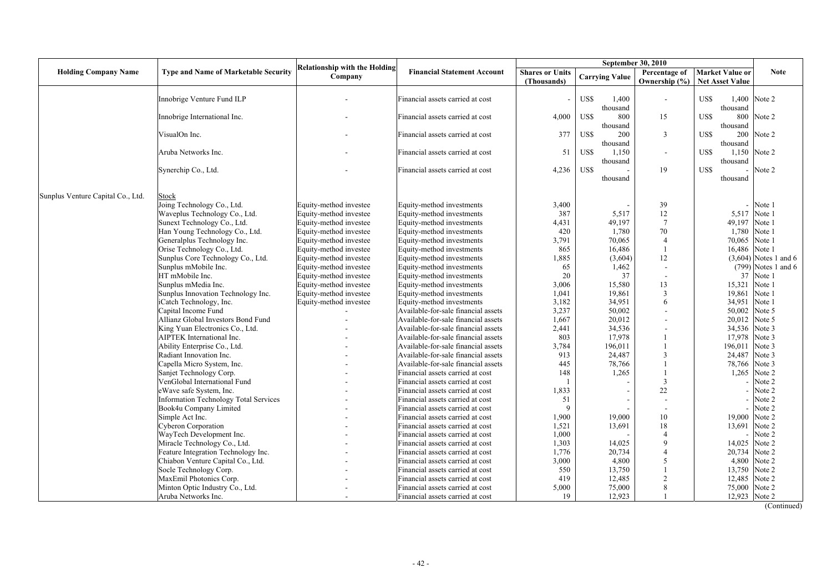|                                   |                                              | <b>Relationship with the Holding</b> |                                     |                        | <b>September 30, 2010</b> |                 |                        |                         |
|-----------------------------------|----------------------------------------------|--------------------------------------|-------------------------------------|------------------------|---------------------------|-----------------|------------------------|-------------------------|
| <b>Holding Company Name</b>       | <b>Type and Name of Marketable Security</b>  | Company                              | <b>Financial Statement Account</b>  | <b>Shares or Units</b> | <b>Carrying Value</b>     | Percentage of   | <b>Market Value or</b> | <b>Note</b>             |
|                                   |                                              |                                      |                                     | (Thousands)            |                           | Ownership (%)   | <b>Net Asset Value</b> |                         |
|                                   |                                              |                                      |                                     |                        |                           |                 |                        |                         |
|                                   | Innobrige Venture Fund ILP                   |                                      | Financial assets carried at cost    | $\sim$                 | US\$<br>1,400             | $\sim$          | US\$                   | 1,400 Note 2            |
|                                   |                                              |                                      |                                     |                        | thousand                  |                 | thousand               |                         |
|                                   | Innobrige International Inc.                 |                                      | Financial assets carried at cost    | 4,000                  | US\$<br>800               | 15              | US\$<br>800            | Note 2                  |
|                                   |                                              |                                      |                                     |                        | thousand                  |                 | thousand               |                         |
|                                   | VisualOn Inc.                                |                                      | Financial assets carried at cost    | 377                    | US\$<br>200               | $\mathbf{3}$    | 200<br>US\$            | Note 2                  |
|                                   | Aruba Networks Inc.                          |                                      | Financial assets carried at cost    | 51                     | thousand<br>US\$<br>1,150 |                 | thousand<br>US\$       | 1,150 Note 2            |
|                                   |                                              |                                      |                                     |                        | thousand                  |                 | thousand               |                         |
|                                   | Synerchip Co., Ltd.                          |                                      | Financial assets carried at cost    | 4,236                  | US\$                      | 19              | US\$                   | Note 2                  |
|                                   |                                              |                                      |                                     |                        | thousand                  |                 | thousand               |                         |
|                                   |                                              |                                      |                                     |                        |                           |                 |                        |                         |
| Sunplus Venture Capital Co., Ltd. | Stock                                        |                                      |                                     |                        |                           |                 |                        |                         |
|                                   | Joing Technology Co., Ltd.                   | Equity-method investee               | Equity-method investments           | 3,400                  |                           | 39              |                        | Note 1                  |
|                                   | Waveplus Technology Co., Ltd.                | Equity-method investee               | Equity-method investments           | 387                    | 5,517                     | 12              | 5,517                  | Note 1                  |
|                                   | Sunext Technology Co., Ltd.                  | Equity-method investee               | Equity-method investments           | 4,431                  | 49,197                    | $7\phantom{.0}$ | 49,197                 | Note 1                  |
|                                   | Han Young Technology Co., Ltd.               | Equity-method investee               | Equity-method investments           | 420                    | 1,780                     | 70              | 1,780                  | Note 1                  |
|                                   | Generalplus Technology Inc.                  | Equity-method investee               | Equity-method investments           | 3,791                  | 70,065                    |                 | 70,065                 | Note 1                  |
|                                   | Orise Technology Co., Ltd.                   | Equity-method investee               | Equity-method investments           | 865                    | 16,486                    |                 | 16,486                 | Note 1                  |
|                                   | Sunplus Core Technology Co., Ltd.            | Equity-method investee               | Equity-method investments           | 1,885                  | (3,604)                   | 12              |                        | $(3,604)$ Notes 1 and 6 |
|                                   | Sunplus mMobile Inc.                         | Equity-method investee               | Equity-method investments           | 65                     | 1,462                     |                 |                        | $(799)$ Notes 1 and 6   |
|                                   | HT mMobile Inc.                              | Equity-method investee               | Equity-method investments           | 20                     | 37                        |                 | 37                     | Note 1                  |
|                                   | Sunplus mMedia Inc.                          | Equity-method investee               | Equity-method investments           | 3,006                  | 15,580                    | 13              | 15,321                 | Note 1                  |
|                                   | Sunplus Innovation Technology Inc.           | Equity-method investee               | Equity-method investments           | 1,041                  | 19,861                    | $\overline{3}$  | 19,861                 | Note 1                  |
|                                   | iCatch Technology, Inc.                      | Equity-method investee               | Equity-method investments           | 3,182                  | 34,951                    | 6               | 34,951                 | Note 1                  |
|                                   | Capital Income Fund                          |                                      | Available-for-sale financial assets | 3,237                  | 50,002                    |                 | 50,002                 | Note 5                  |
|                                   | Allianz Global Investors Bond Fund           |                                      | Available-for-sale financial assets | 1,667                  | 20,012                    |                 | 20,012                 | Note 5                  |
|                                   | King Yuan Electronics Co., Ltd.              |                                      | Available-for-sale financial assets | 2,441                  | 34,536                    |                 | 34,536                 | Note 3                  |
|                                   | AIPTEK International Inc.                    |                                      | Available-for-sale financial assets | 803                    | 17,978                    |                 | 17,978                 | Note 3                  |
|                                   | Ability Enterprise Co., Ltd.                 |                                      | Available-for-sale financial assets | 3,784                  | 196,011                   |                 | 196,011                | Note 3                  |
|                                   | Radiant Innovation Inc.                      |                                      | Available-for-sale financial assets | 913                    | 24,487                    |                 | 24,487                 | Note 3                  |
|                                   | Capella Micro System, Inc.                   |                                      | Available-for-sale financial assets | 445                    | 78,766                    |                 | 78,766 Note 3          |                         |
|                                   | Sanjet Technology Corp.                      |                                      | Financial assets carried at cost    | 148                    | 1,265                     |                 |                        | 1,265 Note 2            |
|                                   | VenGlobal International Fund                 |                                      | Financial assets carried at cost    |                        |                           |                 |                        | $-$ Note 2              |
|                                   | eWave safe System, Inc.                      |                                      | Financial assets carried at cost    | 1,833                  |                           | 22              |                        | Note 2                  |
|                                   | <b>Information Technology Total Services</b> |                                      | Financial assets carried at cost    | 51                     |                           |                 |                        | Note 2                  |
|                                   | Book4u Company Limited                       |                                      | Financial assets carried at cost    |                        |                           |                 |                        | Note 2                  |
|                                   | Simple Act Inc.                              |                                      | Financial assets carried at cost    | 1,900                  | 19,000                    | 10              | 19,000 Note 2          |                         |
|                                   | Cyberon Corporation                          |                                      | Financial assets carried at cost    | 1,521                  | 13,691                    | 18              | 13,691                 | Note 2                  |
|                                   | WayTech Development Inc.                     |                                      | Financial assets carried at cost    | 1,000                  |                           |                 |                        | Note 2                  |
|                                   | Miracle Technology Co., Ltd.                 |                                      | Financial assets carried at cost    | 1,303                  | 14,025                    |                 | 14,025                 | Note 2                  |
|                                   | Feature Integration Technology Inc.          |                                      | Financial assets carried at cost    | 1,776                  | 20,734                    |                 | 20,734 Note 2          |                         |
|                                   | Chiabon Venture Capital Co., Ltd.            |                                      | Financial assets carried at cost    | 3,000                  | 4,800                     |                 |                        | 4,800 Note 2            |
|                                   | Socle Technology Corp.                       |                                      | Financial assets carried at cost    | 550                    | 13,750                    |                 | 13,750 Note 2          |                         |
|                                   | MaxEmil Photonics Corp.                      |                                      | Financial assets carried at cost    | 419                    | 12,485                    |                 | 12,485 Note 2          |                         |
|                                   | Minton Optic Industry Co., Ltd.              |                                      | Financial assets carried at cost    | 5,000                  | 75,000                    |                 | 75,000 Note 2          |                         |
|                                   | Aruba Networks Inc.                          |                                      | Financial assets carried at cost    | 19                     | 12,923                    |                 | 12,923 Note 2          |                         |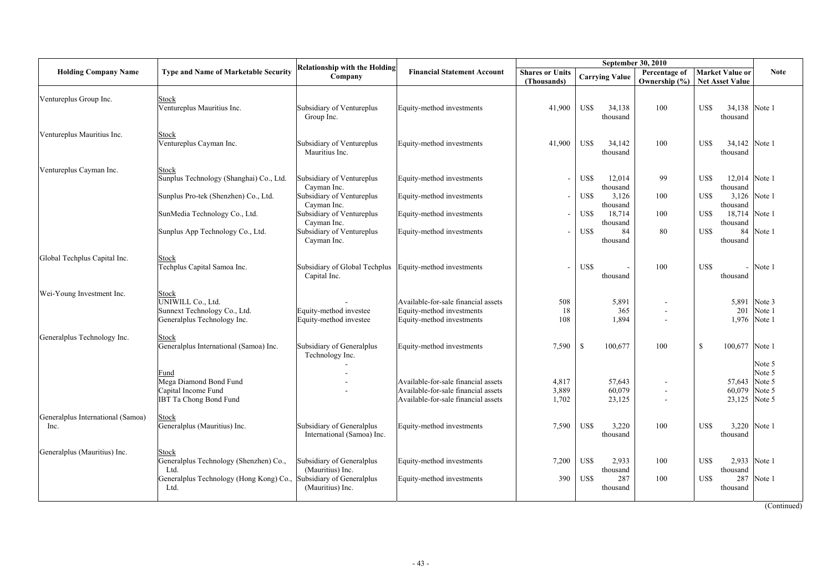|                                           |                                                                                                            |                                                                                                |                                                                                                                   |                                       | <b>September 30, 2010</b>                            |                   |                                                             |                            |
|-------------------------------------------|------------------------------------------------------------------------------------------------------------|------------------------------------------------------------------------------------------------|-------------------------------------------------------------------------------------------------------------------|---------------------------------------|------------------------------------------------------|-------------------|-------------------------------------------------------------|----------------------------|
| <b>Holding Company Name</b>               | <b>Type and Name of Marketable Security</b>                                                                | <b>Relationship with the Holding</b><br>Company                                                | <b>Financial Statement Account</b>                                                                                | <b>Shares or Units</b><br>(Thousands) | <b>Carrying Value</b>                                | Ownership $(\% )$ | Percentage of   Market Value or<br><b>Net Asset Value</b>   | <b>Note</b>                |
| Ventureplus Group Inc.                    | <b>Stock</b><br>Ventureplus Mauritius Inc.                                                                 | Subsidiary of Ventureplus<br>Group Inc.                                                        | Equity-method investments                                                                                         | 41,900                                | US\$<br>34,138<br>thousand                           | 100               | US\$<br>34,138<br>thousand                                  | Note 1                     |
| Ventureplus Mauritius Inc.                | <b>Stock</b><br>Ventureplus Cayman Inc.                                                                    | Subsidiary of Ventureplus<br>Mauritius Inc.                                                    | Equity-method investments                                                                                         | 41,900                                | US\$<br>34,142<br>thousand                           | 100               | 34,142<br>US\$<br>thousand                                  | Note 1                     |
| Ventureplus Cayman Inc.                   | <b>Stock</b><br>Sunplus Technology (Shanghai) Co., Ltd.                                                    | Subsidiary of Ventureplus<br>Cayman Inc.                                                       | Equity-method investments                                                                                         |                                       | US\$<br>12,014<br>thousand                           | 99                | US\$<br>12,014 Note 1<br>thousand                           |                            |
|                                           | Sunplus Pro-tek (Shenzhen) Co., Ltd.                                                                       | Subsidiary of Ventureplus<br>Cayman Inc.                                                       | Equity-method investments                                                                                         |                                       | US\$<br>3,126<br>thousand                            | 100               | US\$<br>3,126<br>thousand                                   | Note 1                     |
|                                           | SunMedia Technology Co., Ltd.                                                                              | Subsidiary of Ventureplus<br>Cayman Inc.                                                       | Equity-method investments                                                                                         |                                       | US\$<br>18,714<br>thousand                           | 100               | 18,714<br>US\$<br>thousand                                  | Note 1                     |
|                                           | Sunplus App Technology Co., Ltd.                                                                           | Subsidiary of Ventureplus<br>Cayman Inc.                                                       | Equity-method investments                                                                                         |                                       | US\$<br>84<br>thousand                               | 80                | US\$<br>84<br>thousand                                      | Note 1                     |
| Global Techplus Capital Inc.              | <b>Stock</b><br>Techplus Capital Samoa Inc.                                                                | Subsidiary of Global Techplus<br>Capital Inc.                                                  | Equity-method investments                                                                                         |                                       | US\$<br>thousand                                     | 100               | US\$<br>thousand                                            | Note 1                     |
| Wei-Young Investment Inc.                 | <b>Stock</b><br>UNIWILL Co., Ltd.<br>Sunnext Technology Co., Ltd.<br>Generalplus Technology Inc.           | Equity-method investee<br>Equity-method investee                                               | Available-for-sale financial assets<br>Equity-method investments<br>Equity-method investments                     | 508<br>18<br>108                      | 5,891<br>365<br>1,894                                |                   | 5,891<br>201<br>1,976                                       | Note 3<br>Note 1<br>Note 1 |
| Generalplus Technology Inc.               | Stock<br>Generalplus International (Samoa) Inc.                                                            | Subsidiary of Generalplus<br>Technology Inc.                                                   | Equity-method investments                                                                                         | 7,590                                 | $\mathcal{S}$<br>100,677                             | 100               | $\mathbb{S}$<br>100,677                                     | Note 1                     |
|                                           | Fund<br>Mega Diamond Bond Fund<br>Capital Income Fund<br><b>IBT Ta Chong Bond Fund</b>                     |                                                                                                | Available-for-sale financial assets<br>Available-for-sale financial assets<br>Available-for-sale financial assets | 4,817<br>3,889<br>1,702               | 57,643<br>60,079<br>23,125                           |                   | 57,643 Note 5<br>60,079 Note 5<br>23,125 Note 5             | Note 5<br>Note 5           |
| Generalplus International (Samoa)<br>Inc. | <b>Stock</b><br>Generalplus (Mauritius) Inc.                                                               | Subsidiary of Generalplus<br>International (Samoa) Inc.                                        | Equity-method investments                                                                                         | 7,590                                 | US\$<br>3,220<br>thousand                            | 100               | 3,220 Note 1<br>US\$<br>thousand                            |                            |
| Generalplus (Mauritius) Inc.              | Stock<br>Generalplus Technology (Shenzhen) Co.,<br>Ltd.<br>Generalplus Technology (Hong Kong) Co.,<br>Ltd. | Subsidiary of Generalplus<br>(Mauritius) Inc.<br>Subsidiary of Generalplus<br>(Mauritius) Inc. | Equity-method investments<br>Equity-method investments                                                            | 7,200<br>390                          | US\$<br>2,933<br>thousand<br>US\$<br>287<br>thousand | 100<br>100        | 2,933 Note 1<br>US\$<br>thousand<br>287<br>US\$<br>thousand | Note 1                     |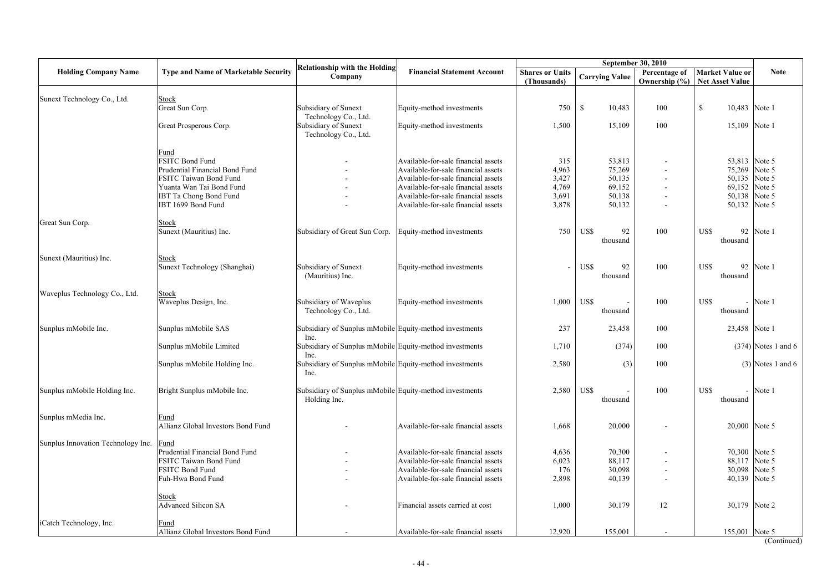|                                    |                                                   |                                                                         |                                     |                                       | <b>September 30, 2010</b> |                                |                                                  |                       |
|------------------------------------|---------------------------------------------------|-------------------------------------------------------------------------|-------------------------------------|---------------------------------------|---------------------------|--------------------------------|--------------------------------------------------|-----------------------|
| <b>Holding Company Name</b>        | <b>Type and Name of Marketable Security</b>       | <b>Relationship with the Holding</b><br>Company                         | <b>Financial Statement Account</b>  | <b>Shares or Units</b><br>(Thousands) | <b>Carrying Value</b>     | Percentage of<br>Ownership (%) | <b>Market Value or</b><br><b>Net Asset Value</b> | <b>Note</b>           |
| Sunext Technology Co., Ltd.        | <b>Stock</b>                                      |                                                                         |                                     |                                       |                           |                                |                                                  |                       |
|                                    | Great Sun Corp.                                   | Subsidiary of Sunext<br>Technology Co., Ltd.                            | Equity-method investments           | 750                                   | $\mathcal{S}$<br>10,483   | 100                            | $\mathbb{S}$<br>10,483                           | Note 1                |
|                                    | Great Prosperous Corp.                            | <b>Subsidiary of Sunext</b><br>Technology Co., Ltd.                     | Equity-method investments           | 1,500                                 | 15,109                    | 100                            | 15,109                                           | Note 1                |
|                                    | Fund                                              |                                                                         |                                     |                                       |                           |                                |                                                  |                       |
|                                    | <b>FSITC Bond Fund</b>                            |                                                                         | Available-for-sale financial assets | 315                                   | 53,813                    |                                | 53,813 Note 5                                    |                       |
|                                    | Prudential Financial Bond Fund                    |                                                                         | Available-for-sale financial assets | 4,963                                 | 75,269                    |                                | 75,269                                           | Note 5                |
|                                    | FSITC Taiwan Bond Fund                            |                                                                         | Available-for-sale financial assets | 3,427                                 | 50,135                    |                                | 50,135                                           | Note 5                |
|                                    | Yuanta Wan Tai Bond Fund                          |                                                                         | Available-for-sale financial assets | 4,769                                 | 69,152                    |                                | 69,152 Note 5                                    |                       |
|                                    | <b>IBT Ta Chong Bond Fund</b>                     |                                                                         | Available-for-sale financial assets | 3,691                                 | 50,138                    |                                | 50,138                                           | Note 5                |
|                                    | IBT 1699 Bond Fund                                |                                                                         | Available-for-sale financial assets | 3,878                                 | 50,132                    |                                | 50,132                                           | Note 5                |
| Great Sun Corp.                    | <b>Stock</b>                                      |                                                                         |                                     |                                       |                           |                                |                                                  |                       |
|                                    | Sunext (Mauritius) Inc.                           | Subsidiary of Great Sun Corp.                                           | Equity-method investments           | 750                                   | US\$<br>92<br>thousand    | 100                            | 92<br>US\$<br>thousand                           | Note 1                |
| Sunext (Mauritius) Inc.            | <b>Stock</b>                                      |                                                                         |                                     |                                       |                           |                                |                                                  |                       |
|                                    | Sunext Technology (Shanghai)                      | Subsidiary of Sunext<br>(Mauritius) Inc.                                | Equity-method investments           |                                       | US\$<br>92<br>thousand    | 100                            | 92<br>US\$<br>thousand                           | Note 1                |
| Waveplus Technology Co., Ltd.      | <b>Stock</b>                                      |                                                                         |                                     |                                       |                           |                                |                                                  |                       |
|                                    | Waveplus Design, Inc.                             | Subsidiary of Waveplus<br>Technology Co., Ltd.                          | Equity-method investments           | 1,000                                 | US\$<br>thousand          | 100                            | US\$<br>thousand                                 | Note 1                |
| Sunplus mMobile Inc.               | Sunplus mMobile SAS                               | Subsidiary of Sunplus mMobile Equity-method investments<br>Inc.         |                                     | 237                                   | 23,458                    | 100                            | 23,458 Note 1                                    |                       |
|                                    | Sunplus mMobile Limited                           | Subsidiary of Sunplus mMobile Equity-method investments<br>Inc.         |                                     | 1,710                                 | (374)                     | 100                            |                                                  | $(374)$ Notes 1 and 6 |
|                                    | Sunplus mMobile Holding Inc.                      | Subsidiary of Sunplus mMobile Equity-method investments<br>Inc.         |                                     | 2,580                                 | (3)                       | 100                            |                                                  | $(3)$ Notes 1 and 6   |
| Sunplus mMobile Holding Inc.       | Bright Sunplus mMobile Inc.                       | Subsidiary of Sunplus mMobile Equity-method investments<br>Holding Inc. |                                     | 2,580                                 | US\$<br>thousand          | 100                            | US\$<br>thousand                                 | Note 1                |
| Sunplus mMedia Inc.                | <u>Fund</u><br>Allianz Global Investors Bond Fund |                                                                         | Available-for-sale financial assets | 1,668                                 | 20,000                    |                                | 20,000 Note 5                                    |                       |
| Sunplus Innovation Technology Inc. | <b>Fund</b>                                       |                                                                         |                                     |                                       |                           |                                |                                                  |                       |
|                                    | Prudential Financial Bond Fund                    |                                                                         | Available-for-sale financial assets | 4,636                                 | 70,300                    |                                | 70,300 Note 5                                    |                       |
|                                    | FSITC Taiwan Bond Fund                            |                                                                         | Available-for-sale financial assets | 6,023                                 | 88,117                    |                                | 88,117 Note 5                                    |                       |
|                                    | FSITC Bond Fund                                   |                                                                         | Available-for-sale financial assets | 176                                   | 30,098                    |                                | 30,098 Note 5                                    |                       |
|                                    | Fuh-Hwa Bond Fund                                 | $\overline{\phantom{0}}$                                                | Available-for-sale financial assets | 2,898                                 | 40,139                    |                                | 40,139                                           | Note 5                |
|                                    | <b>Stock</b>                                      |                                                                         |                                     |                                       |                           |                                |                                                  |                       |
|                                    | <b>Advanced Silicon SA</b>                        |                                                                         | Financial assets carried at cost    | 1,000                                 | 30,179                    | 12                             | 30,179 Note 2                                    |                       |
| iCatch Technology, Inc.            | Fund                                              |                                                                         |                                     |                                       |                           |                                |                                                  |                       |
|                                    | Allianz Global Investors Bond Fund                |                                                                         | Available-for-sale financial assets | 12,920                                | 155,001                   |                                | 155,001 Note 5                                   |                       |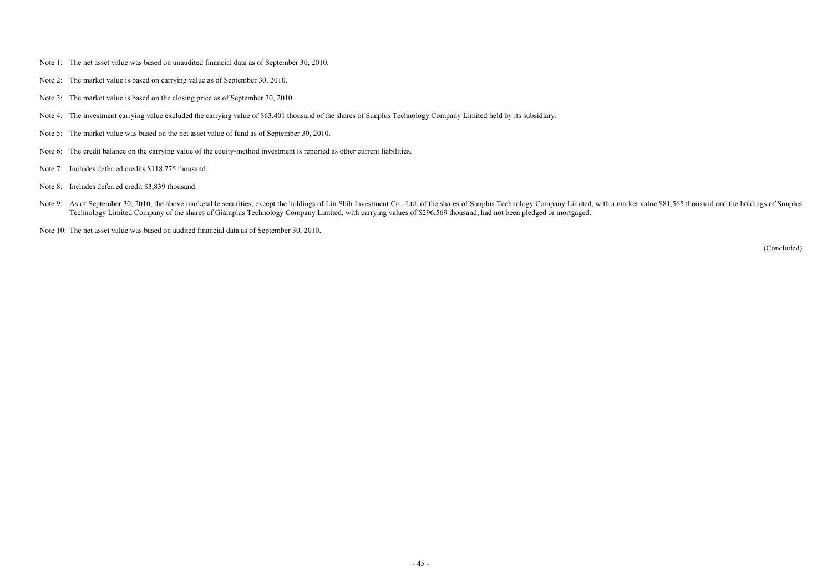- Note 1: The net asset value was based on unaudited financial data as of September 30, 2010.
- Note 2: The market value is based on carrying value as of September 30, 2010.
- Note 3: The market value is based on the closing price as of September 30, 2010.
- Note 4: The investment carrying value excluded the carrying value of \$63,401 thousand of the shares of Sunplus Technology Company Limited held by its subsidiary.
- Note 5: The market value was based on the net asset value of fund as of September 30, 2010.
- Note 6: The credit balance on the carrying value of the equity-method investment is reported as other current liabilities.
- Note 7: Includes deferred credits \$118,775 thousand.
- Note 8: Includes deferred credit \$3,839 thousand.
- Note 9: As of September 30, 2010, the above marketable securities, except the holdings of Lin Shih Investment Co., Ltd. of the shares of Sunplus Technology Company Limited, with a market value \$81,565 thousand and the hold Technology Limited Company of the shares of Giantplus Technology Company Limited, with carrying values of \$296,569 thousand, had not been pledged or mortgaged.
- Note 10: The net asset value was based on audited financial data as of September 30, 2010.

(Concluded)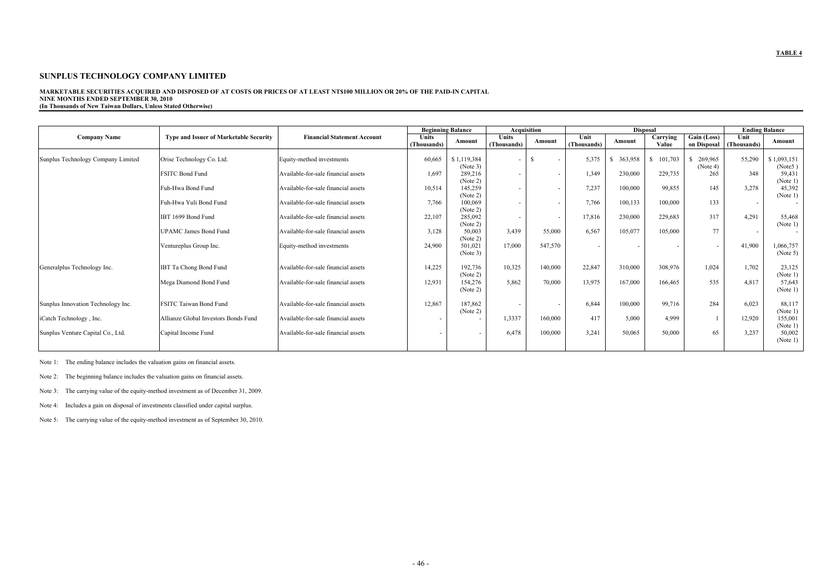## **MARKETABLE SECURITIES ACQUIRED AND DISPOSED OF AT COSTS OR PRICES OF AT LEAST NT\$100 MILLION OR 20% OF THE PAID-IN CAPITAL NINE MONTHS ENDED SEPTEMBER 30, 2010**

**(In Thousands of New Taiwan Dollars, Unless Stated Otherwise)** 

|                                    |                                               |                                     |                             | <b>Beginning Balance</b> |                             | Acquisition              |                     |         | <b>Disposal</b>   |                                         |                          | <b>Ending Balance</b>  |
|------------------------------------|-----------------------------------------------|-------------------------------------|-----------------------------|--------------------------|-----------------------------|--------------------------|---------------------|---------|-------------------|-----------------------------------------|--------------------------|------------------------|
| <b>Company Name</b>                | <b>Type and Issuer of Marketable Security</b> | <b>Financial Statement Account</b>  | <b>Units</b><br>(Thousands) | Amount                   | <b>Units</b><br>(Thousands) | Amount                   | Unit<br>(Thousands) | Amount  | Carrying<br>Value | $\overline{Gain}$ (Loss)<br>on Disposal | Unit<br>(Thousands)      | Amount                 |
| Sunplus Technology Company Limited | Orise Technology Co. Ltd.                     | Equity-method investments           | 60,665                      | \$1,119,384<br>(Note 3)  | $\blacksquare$              | $\overline{\phantom{a}}$ | 5,375               | 363,958 | 101,703<br>\$     | 269,965<br>(Note 4)                     | 55,290                   | \$1,093,151<br>(Note5) |
|                                    | <b>FSITC Bond Fund</b>                        | Available-for-sale financial assets | 1,697                       | 289,216<br>(Note 2)      | $\overline{\phantom{a}}$    | $\overline{\phantom{a}}$ | 1,349               | 230,000 | 229,735           | 265                                     | 348                      | 59,431<br>(Note 1)     |
|                                    | Fuh-Hwa Bond Fund                             | Available-for-sale financial assets | 10,514                      | 145,259<br>(Note 2)      |                             | $\overline{\phantom{a}}$ | 7,237               | 100,000 | 99,855            | 145                                     | 3,278                    | 45,392<br>(Note 1)     |
|                                    | Fuh-Hwa Yuli Bond Fund                        | Available-for-sale financial assets | 7,766                       | 100,069<br>(Note 2)      |                             | $\overline{\phantom{a}}$ | 7,766               | 100,133 | 100,000           | 133                                     | $\overline{\phantom{0}}$ |                        |
|                                    | IBT 1699 Bond Fund                            | Available-for-sale financial assets | 22,107                      | 285,092<br>(Note 2)      | $\overline{\phantom{a}}$    | $\overline{\phantom{a}}$ | 17,816              | 230,000 | 229,683           | 317                                     | 4,291                    | 55,468<br>(Note 1)     |
|                                    | <b>UPAMC James Bond Fund</b>                  | Available-for-sale financial assets | 3,128                       | 50,003<br>(Note 2)       | 3,439                       | 55,000                   | 6,567               | 105,077 | 105,000           | 77                                      | $\overline{\phantom{0}}$ |                        |
|                                    | Ventureplus Group Inc.                        | Equity-method investments           | 24,900                      | 501,021<br>(Note 3)      | 17,000                      | 547,570                  | $\sim$              |         |                   | $\sim$                                  | 41,900                   | 1,066,757<br>(Note 5)  |
| Generalplus Technology Inc.        | IBT Ta Chong Bond Fund                        | Available-for-sale financial assets | 14,225                      | 192,736<br>(Note 2)      | 10,325                      | 140,000                  | 22,847              | 310,000 | 308,976           | 1,024                                   | 1,702                    | 23,125<br>(Note 1)     |
|                                    | Mega Diamond Bond Fund                        | Available-for-sale financial assets | 12,931                      | 154,276<br>(Note 2)      | 5,862                       | 70,000                   | 13,975              | 167,000 | 166,465           | 535                                     | 4,817                    | 57,643<br>(Note 1)     |
| Sunplus Innovation Technology Inc. | <b>FSITC Taiwan Bond Fund</b>                 | Available-for-sale financial assets | 12,867                      | 187,862<br>(Note 2)      |                             | $\overline{\phantom{a}}$ | 6,844               | 100,000 | 99,716            | 284                                     | 6,023                    | 88,117<br>(Note 1)     |
| iCatch Technology, Inc.            | Allianze Global Investors Bonds Fund          | Available-for-sale financial assets |                             |                          | 1,3337                      | 160,000                  | 417                 | 5,000   | 4,999             |                                         | 12,920                   | 155,001<br>(Note 1)    |
| Sunplus Venture Capital Co., Ltd.  | Capital Income Fund                           | Available-for-sale financial assets |                             |                          | 6,478                       | 100,000                  | 3,241               | 50,065  | 50,000            | 65                                      | 3,237                    | 50,002<br>(Note 1)     |

Note 1: The ending balance includes the valuation gains on financial assets.

Note 2: The beginning balance includes the valuation gains on financial assets.

Note 3: The carrying value of the equity-method investment as of December 31, 2009.

Note 4: Includes a gain on disposal of investments classified under capital surplus.

Note 5: The carrying value of the equity-method investment as of September 30, 2010.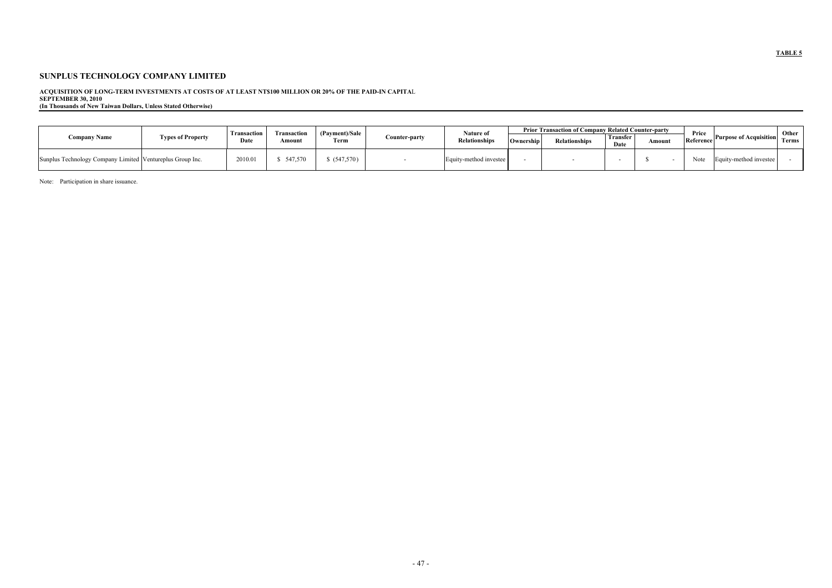### **SUNPLUS TECHNOLOGY COMPANY LIMITED**

## **ACQUISITION OF LONG-TERM INVESTMENTS AT COSTS OF AT LEAST NT\$100 MILLION OR 20% OF THE PAID-IN CAPITA**L

**SEPTEMBER 30, 2010** 

**(In Thousands of New Taiwan Dollars, Unless Stated Otherwise)** 

| <b>Company Name</b>                                       | <b>Types of Property</b> | <b>Transactior</b><br>Date | Transaction<br>Amount | (Payment)/Sale<br>Term | Counter-party | Nature of<br><b>Relationships</b> | Ownership | <b>Prior Transaction of Company Related Counter-party</b><br><b>Relationships</b> | Transfer<br>Date | Amount | Price<br>Reference | <b>Purpose of Acquisition</b> Terms | Other |
|-----------------------------------------------------------|--------------------------|----------------------------|-----------------------|------------------------|---------------|-----------------------------------|-----------|-----------------------------------------------------------------------------------|------------------|--------|--------------------|-------------------------------------|-------|
| Sunplus Technology Company Limited Ventureplus Group Inc. |                          | 2010.0                     | 547,570               | (547,570)              |               | Equity-method investee            |           |                                                                                   |                  |        | Note               | Equity-method investee              |       |

Note: Participation in share issuance.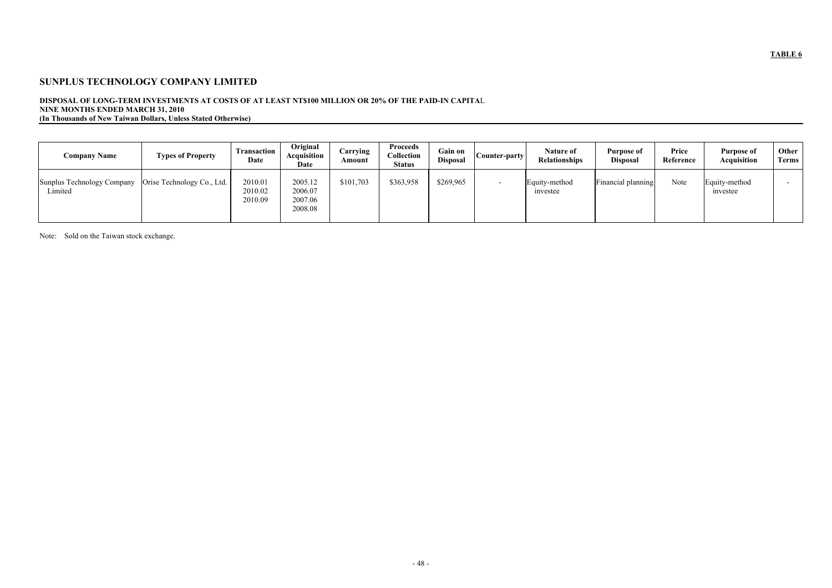## **SUNPLUS TECHNOLOGY COMPANY LIMITED**

## **DISPOSAL OF LONG-TERM INVESTMENTS AT COSTS OF AT LEAST NT\$100 MILLION OR 20% OF THE PAID-IN CAPITA**L **NINE MONTHS ENDED MARCH 31, 2010 (In Thousands of New Taiwan Dollars, Unless Stated Otherwise)**

| <b>Company Name</b>                                                | <b>Types of Property</b> | <b>Transaction</b><br>Date    | Original<br>Acquisition<br>Date          | Carrying<br>Amount | <b>Proceeds</b><br>Collection<br><b>Status</b> | Gain on<br><b>Disposal</b> | Counter-party | Nature of<br><b>Relationships</b> | Purpose of<br><b>Disposal</b> | Price<br>Reference | <b>Purpose of</b><br>Acquisition | Other<br>Terms |
|--------------------------------------------------------------------|--------------------------|-------------------------------|------------------------------------------|--------------------|------------------------------------------------|----------------------------|---------------|-----------------------------------|-------------------------------|--------------------|----------------------------------|----------------|
| Sunplus Technology Company   Orise Technology Co., Ltd.<br>Limited |                          | 2010.01<br>2010.02<br>2010.09 | 2005.12<br>2006.07<br>2007.06<br>2008.08 | \$101,703          | \$363,958                                      | \$269,965                  |               | Equity-method<br>investee         | Financial planning            | Note               | Equity-method<br>investee        |                |

Note: Sold on the Taiwan stock exchange.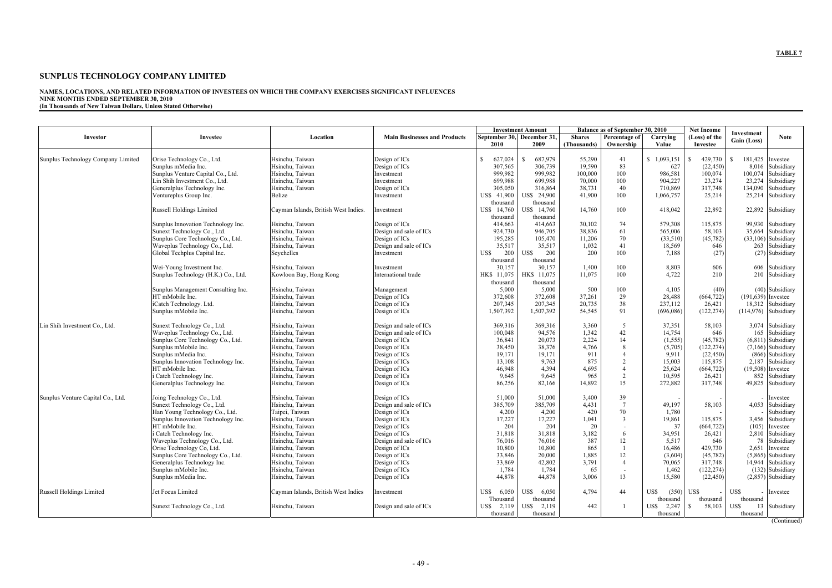## **NAMES, LOCATIONS, AND RELATED INFORMATION OF INVESTEES ON WHICH THE COMPANY EXERCISES SIGNIFICANT INFLUENCES NINE MONTHS ENDED SEPTEMBER 30, 2010**

**(In Thousands of New Taiwan Dollars, Unless Stated Otherwise)** 

| Location<br><b>Main Businesses and Products</b><br>September 30, December 31,<br>Investor<br><b>Investee</b><br><b>Shares</b><br>Percentage of<br>Carrying<br>Gain (Loss)<br>2009<br>2010<br>Ownership<br>Investee<br>(Thousands)<br>Value<br>Hsinchu, Taiwan<br>627,024<br>687,979<br>55,290<br>41<br>1,093,151<br>429,730<br>181,425<br>Sunplus Technology Company Limited<br>Orise Technology Co., Ltd.<br>Design of ICs<br><sup>\$</sup><br>S.<br>- S<br>Investee<br>306,739<br>83<br>Sunplus mMedia Inc.<br>Hsinchu, Taiwan<br>307,565<br>19,590<br>627<br>(22, 450)<br>8,016<br>Subsidiary<br>Design of ICs<br>100,074<br>Subsidiary<br>Sunplus Venture Capital Co., Ltd.<br>Hsinchu, Taiwan<br>999,982<br>999,982<br>100,000<br>100<br>986,581<br>100,074<br>Investment<br>904,227<br>23,274<br>23,274<br>Lin Shih Investment Co., Ltd.<br>Hsinchu, Taiwan<br>699,988<br>699,988<br>70,000<br>100<br>Subsidiary<br>Investment<br>134,090<br>Generalplus Technology Inc.<br>Hsinchu, Taiwan<br>305,050<br>38,731<br>40<br>710,869<br>317,748<br>Subsidiary<br>Design of ICs<br>316,864<br>Belize<br>US\$ 41,900<br>US\$ 24,900<br>41,900<br>100<br>1,066,757<br>25,214<br>25,214 Subsidiary<br>Ventureplus Group Inc.<br>Investment<br>thousand<br>thousand<br>US\$ 14,760<br>14,760<br>100<br>418,042<br>22,892<br>22,892 Subsidiary<br>Russell Holdings Limited<br>Cayman Islands, British West Indies.<br>US\$ 14,760<br>Investment<br>thousand<br>thousand<br>Sunplus Innovation Technology Inc.<br>Hsinchu, Taiwan<br>414,663<br>30,102<br>74<br>579,308<br>115,875<br>99,930 Subsidiary<br>Design of ICs<br>414,663<br>Hsinchu, Taiwan<br>38,836<br>61<br>58,103<br>Subsidiary<br>Sunext Technology Co., Ltd.<br>924,730<br>946,705<br>565,006<br>35,664<br>Design and sale of ICs<br>70<br>(45, 782)<br>$(33,106)$ Subsidiary<br>Hsinchu, Taiwan<br>195,285<br>105,470<br>11,206<br>(33,510)<br>Sunplus Core Technology Co., Ltd.<br>Design of ICs<br>1,032<br>263 Subsidiary<br>Waveplus Technology Co., Ltd.<br>Hsinchu, Taiwan<br>35,517<br>35,517<br>41<br>18,569<br>Design and sale of ICs<br>646<br>US\$<br>200<br>200<br>200<br>(27) Subsidiary<br>Seychelles<br>US\$<br>100<br>7,188<br>(27)<br>Global Techplus Capital Inc.<br>Investment<br>thousand<br>thousand<br>Hsinchu, Taiwan<br>30,157<br>30,157<br>1,400<br>8,803<br>606<br>606 Subsidiary<br>Wei-Young Investment Inc.<br>100<br>Investment<br>HK\$ 11,075<br>11,075<br>4,722<br>Sunplus Technology (H.K.) Co., Ltd.<br>HK\$ 11,075<br>100<br>210<br>210 Subsidiary<br>Kowloon Bay, Hong Kong<br>International trade<br>thousand<br>thousand<br>Hsinchu, Taiwan<br>5,000<br>500<br>$(40)$ Subsidiary<br>Sunplus Management Consulting Inc.<br>5,000<br>100<br>4,105<br>(40)<br>Management<br>Hsinchu, Taiwan<br>29<br>28,488<br>HT mMobile Inc.<br>372,608<br>372,608<br>37,261<br>(664, 722)<br>$(191, 639)$ Investee<br>Design of ICs<br>38<br>237,112<br>iCatch Technology. Ltd.<br>Hsinchu, Taiwan<br>207,345<br>207,345<br>20,735<br>26,421<br>18,312 Subsidiary<br>Design of ICs<br>Hsinchu, Taiwan<br>Sunplus mMobile Inc.<br>Design of ICs<br>1,507,392<br>1,507,392<br>54,545<br>91<br>(696,086)<br>(122, 274)<br>$(114,976)$ Subsidiary<br>Lin Shih Investment Co., Ltd.<br>Hsinchu, Taiwan<br>369,316<br>369,316<br>3,360<br>37,351<br>3,074 Subsidiary<br>Sunext Technology Co., Ltd.<br>Design and sale of ICs<br>5<br>58,103<br>1,342<br>42<br>14,754<br>Waveplus Technology Co., Ltd.<br>Hsinchu, Taiwan<br>100,048<br>94,576<br>646<br>165<br>Subsidiary<br>Design and sale of ICs<br>2,224<br>(1, 555)<br>(45, 782)<br>Sunplus Core Technology Co., Ltd.<br>Hsinchu, Taiwan<br>Design of ICs<br>36,841<br>20,073<br>14<br>$(6,811)$ Subsidiary<br>(122, 274)<br>$(7,166)$ Subsidiary<br>Sunplus mMobile Inc.<br>Hsinchu, Taiwan<br>38,450<br>38,376<br>4,766<br>(5,705)<br>Design of ICs<br>8<br>Hsinchu, Taiwan<br>$(866)$ Subsidiary<br>Sunplus mMedia Inc.<br>19,171<br>19,171<br>911<br>9,911<br>(22, 450)<br>Design of ICs<br>875<br>Hsinchu, Taiwan<br>9,763<br>Sunplus Innovation Technology Inc.<br>Design of ICs<br>15,003<br>115,875<br>2,187 Subsidiary<br>13,108<br>Hsinchu, Taiwan<br>4,695<br>HT mMobile Inc.<br>Design of ICs<br>46,948<br>4,394<br>25,624<br>(664, 722)<br>$(19,508)$ Investee<br>965<br>852<br>i Catch Technology Inc.<br>Hsinchu, Taiwan<br>9,645<br>9,645<br>2<br>10,595<br>26,421<br>Subsidiary<br>Design of ICs<br>15<br>86,256<br>82,166<br>14,892<br>272,882<br>317,748<br>49,825 Subsidiary<br>Generalplus Technology Inc.<br>Hsinchu, Taiwan<br>Design of ICs<br>Joing Technology Co., Ltd.<br>Hsinchu, Taiwan<br>51,000<br>39<br>Sunplus Venture Capital Co., Ltd.<br>Design of ICs<br>51,000<br>3,400<br>Investee<br>385,709<br>49,197<br>Sunext Technology Co., Ltd.<br>Hsinchu, Taiwan<br>Design and sale of ICs<br>385,709<br>4,431<br>58,103<br>4,053 Subsidiary<br>70<br>1,780<br>Han Young Technology Co., Ltd.<br>Taipei, Taiwan<br>4,200<br>4,200<br>420<br>Subsidiary<br>Design of ICs<br>Hsinchu, Taiwan<br>17,227<br>17,227<br>1,041<br>3<br>19,861<br>115,875<br>Sunplus Innovation Technology Inc.<br>Design of ICs<br>3,456 Subsidiary<br>HT mMobile Inc.<br>Hsinchu, Taiwan<br>204<br>204<br>20<br>37<br>(664, 722)<br>$(105)$ Investee<br>Design of ICs<br>3,182<br>34,951<br>31,818<br>31,818<br>26,421<br>2,810 Subsidiary<br>i Catch Technology Inc.<br>Hsinchu, Taiwan<br>Design of ICs<br>387<br>78 Subsidiary<br>Waveplus Technology Co., Ltd.<br>Hsinchu, Taiwan<br>Design and sale of ICs<br>76,016<br>76,016<br>12<br>5,517<br>646<br>Orise Technology Co, Ltd.<br>Hsinchu, Taiwan<br>Design of ICs<br>10,800<br>429,730<br>2,651 Investee<br>10,800<br>865<br>16,486<br>$(5,865)$ Subsidiary<br>Sunplus Core Technology Co., Ltd.<br>Hsinchu, Taiwan<br>(3,604)<br>Design of ICs<br>33,846<br>20,000<br>1,885<br>12<br>(45, 782)<br>14,944 Subsidiary<br>3,791<br>Generalplus Technology Inc.<br>Hsinchu, Taiwan<br>Design of ICs<br>33,869<br>70,065<br>42,802<br>317,748<br>$(132)$ Subsidiary<br>(122, 274)<br>Sunplus mMobile Inc.<br>Hsinchu, Taiwan<br>Design of ICs<br>1,784<br>1,784<br>1,462<br>65<br>$(2,857)$ Subsidiary<br>Sunplus mMedia Inc.<br>Hsinchu, Taiwan<br>44,878<br>15,580<br>Design of ICs<br>44,878<br>3,006<br>13<br>(22, 450)<br>4,794<br>44<br>$(350)$ US\$<br>US\$<br>Russell Holdings Limited<br>Jet Focus Limited<br>Cayman Islands, British West Indies<br>US\$<br>6,050<br>US\$<br>6,050<br>US\$<br>Investment<br>Investee<br>thousand<br>thousand<br>thousand<br>thousand<br>Thousand<br>US\$ 2,119<br>US\$ 2,119<br>442<br>US\$<br>2,247<br>58,103<br>US\$<br>13 Subsidiary<br>Sunext Technology Co., Ltd.<br>Hsinchu, Taiwan<br>Design and sale of ICs<br>- \$<br>thousand<br>thousand<br>thousand<br>thousand |  |  | <b>Investment Amount</b> | Balance as of September 30, 2010 | <b>Net Income</b> | Investment |             |
|--------------------------------------------------------------------------------------------------------------------------------------------------------------------------------------------------------------------------------------------------------------------------------------------------------------------------------------------------------------------------------------------------------------------------------------------------------------------------------------------------------------------------------------------------------------------------------------------------------------------------------------------------------------------------------------------------------------------------------------------------------------------------------------------------------------------------------------------------------------------------------------------------------------------------------------------------------------------------------------------------------------------------------------------------------------------------------------------------------------------------------------------------------------------------------------------------------------------------------------------------------------------------------------------------------------------------------------------------------------------------------------------------------------------------------------------------------------------------------------------------------------------------------------------------------------------------------------------------------------------------------------------------------------------------------------------------------------------------------------------------------------------------------------------------------------------------------------------------------------------------------------------------------------------------------------------------------------------------------------------------------------------------------------------------------------------------------------------------------------------------------------------------------------------------------------------------------------------------------------------------------------------------------------------------------------------------------------------------------------------------------------------------------------------------------------------------------------------------------------------------------------------------------------------------------------------------------------------------------------------------------------------------------------------------------------------------------------------------------------------------------------------------------------------------------------------------------------------------------------------------------------------------------------------------------------------------------------------------------------------------------------------------------------------------------------------------------------------------------------------------------------------------------------------------------------------------------------------------------------------------------------------------------------------------------------------------------------------------------------------------------------------------------------------------------------------------------------------------------------------------------------------------------------------------------------------------------------------------------------------------------------------------------------------------------------------------------------------------------------------------------------------------------------------------------------------------------------------------------------------------------------------------------------------------------------------------------------------------------------------------------------------------------------------------------------------------------------------------------------------------------------------------------------------------------------------------------------------------------------------------------------------------------------------------------------------------------------------------------------------------------------------------------------------------------------------------------------------------------------------------------------------------------------------------------------------------------------------------------------------------------------------------------------------------------------------------------------------------------------------------------------------------------------------------------------------------------------------------------------------------------------------------------------------------------------------------------------------------------------------------------------------------------------------------------------------------------------------------------------------------------------------------------------------------------------------------------------------------------------------------------------------------------------------------------------------------------------------------------------------------------------------------------------------------------------------------------------------------------------------------------------------------------------------------------------------------------------------------------------------------------------------------------------------------------------------------------------------------------------------------------------------------------------------------------------------------------------------------------------------------------------------------------------------------------------------------------------------------------------------------------------------------------------------------------------------------------------------------------------------------------------------------------------------------------------------------------------------------------------------------------------------------------------------------------------------------------------------------------------------------------------------------------------------------------------------------------------------------------------------------------------------------------------------------------------------------------------------------------------------------------------------------------------------------------------------------------------------------------------------------------------------------------------------------------------------------|--|--|--------------------------|----------------------------------|-------------------|------------|-------------|
|                                                                                                                                                                                                                                                                                                                                                                                                                                                                                                                                                                                                                                                                                                                                                                                                                                                                                                                                                                                                                                                                                                                                                                                                                                                                                                                                                                                                                                                                                                                                                                                                                                                                                                                                                                                                                                                                                                                                                                                                                                                                                                                                                                                                                                                                                                                                                                                                                                                                                                                                                                                                                                                                                                                                                                                                                                                                                                                                                                                                                                                                                                                                                                                                                                                                                                                                                                                                                                                                                                                                                                                                                                                                                                                                                                                                                                                                                                                                                                                                                                                                                                                                                                                                                                                                                                                                                                                                                                                                                                                                                                                                                                                                                                                                                                                                                                                                                                                                                                                                                                                                                                                                                                                                                                                                                                                                                                                                                                                                                                                                                                                                                                                                                                                                                                                                                                                                                                                                                                                                                                                                                                                                                                                                                                                                                                                                                                                                                                                                                                                                                                                                                                                                                                                                                                                                                          |  |  |                          |                                  | (Loss) of the     |            | <b>Note</b> |
|                                                                                                                                                                                                                                                                                                                                                                                                                                                                                                                                                                                                                                                                                                                                                                                                                                                                                                                                                                                                                                                                                                                                                                                                                                                                                                                                                                                                                                                                                                                                                                                                                                                                                                                                                                                                                                                                                                                                                                                                                                                                                                                                                                                                                                                                                                                                                                                                                                                                                                                                                                                                                                                                                                                                                                                                                                                                                                                                                                                                                                                                                                                                                                                                                                                                                                                                                                                                                                                                                                                                                                                                                                                                                                                                                                                                                                                                                                                                                                                                                                                                                                                                                                                                                                                                                                                                                                                                                                                                                                                                                                                                                                                                                                                                                                                                                                                                                                                                                                                                                                                                                                                                                                                                                                                                                                                                                                                                                                                                                                                                                                                                                                                                                                                                                                                                                                                                                                                                                                                                                                                                                                                                                                                                                                                                                                                                                                                                                                                                                                                                                                                                                                                                                                                                                                                                                          |  |  |                          |                                  |                   |            |             |
|                                                                                                                                                                                                                                                                                                                                                                                                                                                                                                                                                                                                                                                                                                                                                                                                                                                                                                                                                                                                                                                                                                                                                                                                                                                                                                                                                                                                                                                                                                                                                                                                                                                                                                                                                                                                                                                                                                                                                                                                                                                                                                                                                                                                                                                                                                                                                                                                                                                                                                                                                                                                                                                                                                                                                                                                                                                                                                                                                                                                                                                                                                                                                                                                                                                                                                                                                                                                                                                                                                                                                                                                                                                                                                                                                                                                                                                                                                                                                                                                                                                                                                                                                                                                                                                                                                                                                                                                                                                                                                                                                                                                                                                                                                                                                                                                                                                                                                                                                                                                                                                                                                                                                                                                                                                                                                                                                                                                                                                                                                                                                                                                                                                                                                                                                                                                                                                                                                                                                                                                                                                                                                                                                                                                                                                                                                                                                                                                                                                                                                                                                                                                                                                                                                                                                                                                                          |  |  |                          |                                  |                   |            |             |
|                                                                                                                                                                                                                                                                                                                                                                                                                                                                                                                                                                                                                                                                                                                                                                                                                                                                                                                                                                                                                                                                                                                                                                                                                                                                                                                                                                                                                                                                                                                                                                                                                                                                                                                                                                                                                                                                                                                                                                                                                                                                                                                                                                                                                                                                                                                                                                                                                                                                                                                                                                                                                                                                                                                                                                                                                                                                                                                                                                                                                                                                                                                                                                                                                                                                                                                                                                                                                                                                                                                                                                                                                                                                                                                                                                                                                                                                                                                                                                                                                                                                                                                                                                                                                                                                                                                                                                                                                                                                                                                                                                                                                                                                                                                                                                                                                                                                                                                                                                                                                                                                                                                                                                                                                                                                                                                                                                                                                                                                                                                                                                                                                                                                                                                                                                                                                                                                                                                                                                                                                                                                                                                                                                                                                                                                                                                                                                                                                                                                                                                                                                                                                                                                                                                                                                                                                          |  |  |                          |                                  |                   |            |             |
|                                                                                                                                                                                                                                                                                                                                                                                                                                                                                                                                                                                                                                                                                                                                                                                                                                                                                                                                                                                                                                                                                                                                                                                                                                                                                                                                                                                                                                                                                                                                                                                                                                                                                                                                                                                                                                                                                                                                                                                                                                                                                                                                                                                                                                                                                                                                                                                                                                                                                                                                                                                                                                                                                                                                                                                                                                                                                                                                                                                                                                                                                                                                                                                                                                                                                                                                                                                                                                                                                                                                                                                                                                                                                                                                                                                                                                                                                                                                                                                                                                                                                                                                                                                                                                                                                                                                                                                                                                                                                                                                                                                                                                                                                                                                                                                                                                                                                                                                                                                                                                                                                                                                                                                                                                                                                                                                                                                                                                                                                                                                                                                                                                                                                                                                                                                                                                                                                                                                                                                                                                                                                                                                                                                                                                                                                                                                                                                                                                                                                                                                                                                                                                                                                                                                                                                                                          |  |  |                          |                                  |                   |            |             |
|                                                                                                                                                                                                                                                                                                                                                                                                                                                                                                                                                                                                                                                                                                                                                                                                                                                                                                                                                                                                                                                                                                                                                                                                                                                                                                                                                                                                                                                                                                                                                                                                                                                                                                                                                                                                                                                                                                                                                                                                                                                                                                                                                                                                                                                                                                                                                                                                                                                                                                                                                                                                                                                                                                                                                                                                                                                                                                                                                                                                                                                                                                                                                                                                                                                                                                                                                                                                                                                                                                                                                                                                                                                                                                                                                                                                                                                                                                                                                                                                                                                                                                                                                                                                                                                                                                                                                                                                                                                                                                                                                                                                                                                                                                                                                                                                                                                                                                                                                                                                                                                                                                                                                                                                                                                                                                                                                                                                                                                                                                                                                                                                                                                                                                                                                                                                                                                                                                                                                                                                                                                                                                                                                                                                                                                                                                                                                                                                                                                                                                                                                                                                                                                                                                                                                                                                                          |  |  |                          |                                  |                   |            |             |
|                                                                                                                                                                                                                                                                                                                                                                                                                                                                                                                                                                                                                                                                                                                                                                                                                                                                                                                                                                                                                                                                                                                                                                                                                                                                                                                                                                                                                                                                                                                                                                                                                                                                                                                                                                                                                                                                                                                                                                                                                                                                                                                                                                                                                                                                                                                                                                                                                                                                                                                                                                                                                                                                                                                                                                                                                                                                                                                                                                                                                                                                                                                                                                                                                                                                                                                                                                                                                                                                                                                                                                                                                                                                                                                                                                                                                                                                                                                                                                                                                                                                                                                                                                                                                                                                                                                                                                                                                                                                                                                                                                                                                                                                                                                                                                                                                                                                                                                                                                                                                                                                                                                                                                                                                                                                                                                                                                                                                                                                                                                                                                                                                                                                                                                                                                                                                                                                                                                                                                                                                                                                                                                                                                                                                                                                                                                                                                                                                                                                                                                                                                                                                                                                                                                                                                                                                          |  |  |                          |                                  |                   |            |             |
|                                                                                                                                                                                                                                                                                                                                                                                                                                                                                                                                                                                                                                                                                                                                                                                                                                                                                                                                                                                                                                                                                                                                                                                                                                                                                                                                                                                                                                                                                                                                                                                                                                                                                                                                                                                                                                                                                                                                                                                                                                                                                                                                                                                                                                                                                                                                                                                                                                                                                                                                                                                                                                                                                                                                                                                                                                                                                                                                                                                                                                                                                                                                                                                                                                                                                                                                                                                                                                                                                                                                                                                                                                                                                                                                                                                                                                                                                                                                                                                                                                                                                                                                                                                                                                                                                                                                                                                                                                                                                                                                                                                                                                                                                                                                                                                                                                                                                                                                                                                                                                                                                                                                                                                                                                                                                                                                                                                                                                                                                                                                                                                                                                                                                                                                                                                                                                                                                                                                                                                                                                                                                                                                                                                                                                                                                                                                                                                                                                                                                                                                                                                                                                                                                                                                                                                                                          |  |  |                          |                                  |                   |            |             |
|                                                                                                                                                                                                                                                                                                                                                                                                                                                                                                                                                                                                                                                                                                                                                                                                                                                                                                                                                                                                                                                                                                                                                                                                                                                                                                                                                                                                                                                                                                                                                                                                                                                                                                                                                                                                                                                                                                                                                                                                                                                                                                                                                                                                                                                                                                                                                                                                                                                                                                                                                                                                                                                                                                                                                                                                                                                                                                                                                                                                                                                                                                                                                                                                                                                                                                                                                                                                                                                                                                                                                                                                                                                                                                                                                                                                                                                                                                                                                                                                                                                                                                                                                                                                                                                                                                                                                                                                                                                                                                                                                                                                                                                                                                                                                                                                                                                                                                                                                                                                                                                                                                                                                                                                                                                                                                                                                                                                                                                                                                                                                                                                                                                                                                                                                                                                                                                                                                                                                                                                                                                                                                                                                                                                                                                                                                                                                                                                                                                                                                                                                                                                                                                                                                                                                                                                                          |  |  |                          |                                  |                   |            |             |
|                                                                                                                                                                                                                                                                                                                                                                                                                                                                                                                                                                                                                                                                                                                                                                                                                                                                                                                                                                                                                                                                                                                                                                                                                                                                                                                                                                                                                                                                                                                                                                                                                                                                                                                                                                                                                                                                                                                                                                                                                                                                                                                                                                                                                                                                                                                                                                                                                                                                                                                                                                                                                                                                                                                                                                                                                                                                                                                                                                                                                                                                                                                                                                                                                                                                                                                                                                                                                                                                                                                                                                                                                                                                                                                                                                                                                                                                                                                                                                                                                                                                                                                                                                                                                                                                                                                                                                                                                                                                                                                                                                                                                                                                                                                                                                                                                                                                                                                                                                                                                                                                                                                                                                                                                                                                                                                                                                                                                                                                                                                                                                                                                                                                                                                                                                                                                                                                                                                                                                                                                                                                                                                                                                                                                                                                                                                                                                                                                                                                                                                                                                                                                                                                                                                                                                                                                          |  |  |                          |                                  |                   |            |             |
|                                                                                                                                                                                                                                                                                                                                                                                                                                                                                                                                                                                                                                                                                                                                                                                                                                                                                                                                                                                                                                                                                                                                                                                                                                                                                                                                                                                                                                                                                                                                                                                                                                                                                                                                                                                                                                                                                                                                                                                                                                                                                                                                                                                                                                                                                                                                                                                                                                                                                                                                                                                                                                                                                                                                                                                                                                                                                                                                                                                                                                                                                                                                                                                                                                                                                                                                                                                                                                                                                                                                                                                                                                                                                                                                                                                                                                                                                                                                                                                                                                                                                                                                                                                                                                                                                                                                                                                                                                                                                                                                                                                                                                                                                                                                                                                                                                                                                                                                                                                                                                                                                                                                                                                                                                                                                                                                                                                                                                                                                                                                                                                                                                                                                                                                                                                                                                                                                                                                                                                                                                                                                                                                                                                                                                                                                                                                                                                                                                                                                                                                                                                                                                                                                                                                                                                                                          |  |  |                          |                                  |                   |            |             |
|                                                                                                                                                                                                                                                                                                                                                                                                                                                                                                                                                                                                                                                                                                                                                                                                                                                                                                                                                                                                                                                                                                                                                                                                                                                                                                                                                                                                                                                                                                                                                                                                                                                                                                                                                                                                                                                                                                                                                                                                                                                                                                                                                                                                                                                                                                                                                                                                                                                                                                                                                                                                                                                                                                                                                                                                                                                                                                                                                                                                                                                                                                                                                                                                                                                                                                                                                                                                                                                                                                                                                                                                                                                                                                                                                                                                                                                                                                                                                                                                                                                                                                                                                                                                                                                                                                                                                                                                                                                                                                                                                                                                                                                                                                                                                                                                                                                                                                                                                                                                                                                                                                                                                                                                                                                                                                                                                                                                                                                                                                                                                                                                                                                                                                                                                                                                                                                                                                                                                                                                                                                                                                                                                                                                                                                                                                                                                                                                                                                                                                                                                                                                                                                                                                                                                                                                                          |  |  |                          |                                  |                   |            |             |
|                                                                                                                                                                                                                                                                                                                                                                                                                                                                                                                                                                                                                                                                                                                                                                                                                                                                                                                                                                                                                                                                                                                                                                                                                                                                                                                                                                                                                                                                                                                                                                                                                                                                                                                                                                                                                                                                                                                                                                                                                                                                                                                                                                                                                                                                                                                                                                                                                                                                                                                                                                                                                                                                                                                                                                                                                                                                                                                                                                                                                                                                                                                                                                                                                                                                                                                                                                                                                                                                                                                                                                                                                                                                                                                                                                                                                                                                                                                                                                                                                                                                                                                                                                                                                                                                                                                                                                                                                                                                                                                                                                                                                                                                                                                                                                                                                                                                                                                                                                                                                                                                                                                                                                                                                                                                                                                                                                                                                                                                                                                                                                                                                                                                                                                                                                                                                                                                                                                                                                                                                                                                                                                                                                                                                                                                                                                                                                                                                                                                                                                                                                                                                                                                                                                                                                                                                          |  |  |                          |                                  |                   |            |             |
|                                                                                                                                                                                                                                                                                                                                                                                                                                                                                                                                                                                                                                                                                                                                                                                                                                                                                                                                                                                                                                                                                                                                                                                                                                                                                                                                                                                                                                                                                                                                                                                                                                                                                                                                                                                                                                                                                                                                                                                                                                                                                                                                                                                                                                                                                                                                                                                                                                                                                                                                                                                                                                                                                                                                                                                                                                                                                                                                                                                                                                                                                                                                                                                                                                                                                                                                                                                                                                                                                                                                                                                                                                                                                                                                                                                                                                                                                                                                                                                                                                                                                                                                                                                                                                                                                                                                                                                                                                                                                                                                                                                                                                                                                                                                                                                                                                                                                                                                                                                                                                                                                                                                                                                                                                                                                                                                                                                                                                                                                                                                                                                                                                                                                                                                                                                                                                                                                                                                                                                                                                                                                                                                                                                                                                                                                                                                                                                                                                                                                                                                                                                                                                                                                                                                                                                                                          |  |  |                          |                                  |                   |            |             |
|                                                                                                                                                                                                                                                                                                                                                                                                                                                                                                                                                                                                                                                                                                                                                                                                                                                                                                                                                                                                                                                                                                                                                                                                                                                                                                                                                                                                                                                                                                                                                                                                                                                                                                                                                                                                                                                                                                                                                                                                                                                                                                                                                                                                                                                                                                                                                                                                                                                                                                                                                                                                                                                                                                                                                                                                                                                                                                                                                                                                                                                                                                                                                                                                                                                                                                                                                                                                                                                                                                                                                                                                                                                                                                                                                                                                                                                                                                                                                                                                                                                                                                                                                                                                                                                                                                                                                                                                                                                                                                                                                                                                                                                                                                                                                                                                                                                                                                                                                                                                                                                                                                                                                                                                                                                                                                                                                                                                                                                                                                                                                                                                                                                                                                                                                                                                                                                                                                                                                                                                                                                                                                                                                                                                                                                                                                                                                                                                                                                                                                                                                                                                                                                                                                                                                                                                                          |  |  |                          |                                  |                   |            |             |
|                                                                                                                                                                                                                                                                                                                                                                                                                                                                                                                                                                                                                                                                                                                                                                                                                                                                                                                                                                                                                                                                                                                                                                                                                                                                                                                                                                                                                                                                                                                                                                                                                                                                                                                                                                                                                                                                                                                                                                                                                                                                                                                                                                                                                                                                                                                                                                                                                                                                                                                                                                                                                                                                                                                                                                                                                                                                                                                                                                                                                                                                                                                                                                                                                                                                                                                                                                                                                                                                                                                                                                                                                                                                                                                                                                                                                                                                                                                                                                                                                                                                                                                                                                                                                                                                                                                                                                                                                                                                                                                                                                                                                                                                                                                                                                                                                                                                                                                                                                                                                                                                                                                                                                                                                                                                                                                                                                                                                                                                                                                                                                                                                                                                                                                                                                                                                                                                                                                                                                                                                                                                                                                                                                                                                                                                                                                                                                                                                                                                                                                                                                                                                                                                                                                                                                                                                          |  |  |                          |                                  |                   |            |             |
|                                                                                                                                                                                                                                                                                                                                                                                                                                                                                                                                                                                                                                                                                                                                                                                                                                                                                                                                                                                                                                                                                                                                                                                                                                                                                                                                                                                                                                                                                                                                                                                                                                                                                                                                                                                                                                                                                                                                                                                                                                                                                                                                                                                                                                                                                                                                                                                                                                                                                                                                                                                                                                                                                                                                                                                                                                                                                                                                                                                                                                                                                                                                                                                                                                                                                                                                                                                                                                                                                                                                                                                                                                                                                                                                                                                                                                                                                                                                                                                                                                                                                                                                                                                                                                                                                                                                                                                                                                                                                                                                                                                                                                                                                                                                                                                                                                                                                                                                                                                                                                                                                                                                                                                                                                                                                                                                                                                                                                                                                                                                                                                                                                                                                                                                                                                                                                                                                                                                                                                                                                                                                                                                                                                                                                                                                                                                                                                                                                                                                                                                                                                                                                                                                                                                                                                                                          |  |  |                          |                                  |                   |            |             |
|                                                                                                                                                                                                                                                                                                                                                                                                                                                                                                                                                                                                                                                                                                                                                                                                                                                                                                                                                                                                                                                                                                                                                                                                                                                                                                                                                                                                                                                                                                                                                                                                                                                                                                                                                                                                                                                                                                                                                                                                                                                                                                                                                                                                                                                                                                                                                                                                                                                                                                                                                                                                                                                                                                                                                                                                                                                                                                                                                                                                                                                                                                                                                                                                                                                                                                                                                                                                                                                                                                                                                                                                                                                                                                                                                                                                                                                                                                                                                                                                                                                                                                                                                                                                                                                                                                                                                                                                                                                                                                                                                                                                                                                                                                                                                                                                                                                                                                                                                                                                                                                                                                                                                                                                                                                                                                                                                                                                                                                                                                                                                                                                                                                                                                                                                                                                                                                                                                                                                                                                                                                                                                                                                                                                                                                                                                                                                                                                                                                                                                                                                                                                                                                                                                                                                                                                                          |  |  |                          |                                  |                   |            |             |
|                                                                                                                                                                                                                                                                                                                                                                                                                                                                                                                                                                                                                                                                                                                                                                                                                                                                                                                                                                                                                                                                                                                                                                                                                                                                                                                                                                                                                                                                                                                                                                                                                                                                                                                                                                                                                                                                                                                                                                                                                                                                                                                                                                                                                                                                                                                                                                                                                                                                                                                                                                                                                                                                                                                                                                                                                                                                                                                                                                                                                                                                                                                                                                                                                                                                                                                                                                                                                                                                                                                                                                                                                                                                                                                                                                                                                                                                                                                                                                                                                                                                                                                                                                                                                                                                                                                                                                                                                                                                                                                                                                                                                                                                                                                                                                                                                                                                                                                                                                                                                                                                                                                                                                                                                                                                                                                                                                                                                                                                                                                                                                                                                                                                                                                                                                                                                                                                                                                                                                                                                                                                                                                                                                                                                                                                                                                                                                                                                                                                                                                                                                                                                                                                                                                                                                                                                          |  |  |                          |                                  |                   |            |             |
|                                                                                                                                                                                                                                                                                                                                                                                                                                                                                                                                                                                                                                                                                                                                                                                                                                                                                                                                                                                                                                                                                                                                                                                                                                                                                                                                                                                                                                                                                                                                                                                                                                                                                                                                                                                                                                                                                                                                                                                                                                                                                                                                                                                                                                                                                                                                                                                                                                                                                                                                                                                                                                                                                                                                                                                                                                                                                                                                                                                                                                                                                                                                                                                                                                                                                                                                                                                                                                                                                                                                                                                                                                                                                                                                                                                                                                                                                                                                                                                                                                                                                                                                                                                                                                                                                                                                                                                                                                                                                                                                                                                                                                                                                                                                                                                                                                                                                                                                                                                                                                                                                                                                                                                                                                                                                                                                                                                                                                                                                                                                                                                                                                                                                                                                                                                                                                                                                                                                                                                                                                                                                                                                                                                                                                                                                                                                                                                                                                                                                                                                                                                                                                                                                                                                                                                                                          |  |  |                          |                                  |                   |            |             |
|                                                                                                                                                                                                                                                                                                                                                                                                                                                                                                                                                                                                                                                                                                                                                                                                                                                                                                                                                                                                                                                                                                                                                                                                                                                                                                                                                                                                                                                                                                                                                                                                                                                                                                                                                                                                                                                                                                                                                                                                                                                                                                                                                                                                                                                                                                                                                                                                                                                                                                                                                                                                                                                                                                                                                                                                                                                                                                                                                                                                                                                                                                                                                                                                                                                                                                                                                                                                                                                                                                                                                                                                                                                                                                                                                                                                                                                                                                                                                                                                                                                                                                                                                                                                                                                                                                                                                                                                                                                                                                                                                                                                                                                                                                                                                                                                                                                                                                                                                                                                                                                                                                                                                                                                                                                                                                                                                                                                                                                                                                                                                                                                                                                                                                                                                                                                                                                                                                                                                                                                                                                                                                                                                                                                                                                                                                                                                                                                                                                                                                                                                                                                                                                                                                                                                                                                                          |  |  |                          |                                  |                   |            |             |
|                                                                                                                                                                                                                                                                                                                                                                                                                                                                                                                                                                                                                                                                                                                                                                                                                                                                                                                                                                                                                                                                                                                                                                                                                                                                                                                                                                                                                                                                                                                                                                                                                                                                                                                                                                                                                                                                                                                                                                                                                                                                                                                                                                                                                                                                                                                                                                                                                                                                                                                                                                                                                                                                                                                                                                                                                                                                                                                                                                                                                                                                                                                                                                                                                                                                                                                                                                                                                                                                                                                                                                                                                                                                                                                                                                                                                                                                                                                                                                                                                                                                                                                                                                                                                                                                                                                                                                                                                                                                                                                                                                                                                                                                                                                                                                                                                                                                                                                                                                                                                                                                                                                                                                                                                                                                                                                                                                                                                                                                                                                                                                                                                                                                                                                                                                                                                                                                                                                                                                                                                                                                                                                                                                                                                                                                                                                                                                                                                                                                                                                                                                                                                                                                                                                                                                                                                          |  |  |                          |                                  |                   |            |             |
|                                                                                                                                                                                                                                                                                                                                                                                                                                                                                                                                                                                                                                                                                                                                                                                                                                                                                                                                                                                                                                                                                                                                                                                                                                                                                                                                                                                                                                                                                                                                                                                                                                                                                                                                                                                                                                                                                                                                                                                                                                                                                                                                                                                                                                                                                                                                                                                                                                                                                                                                                                                                                                                                                                                                                                                                                                                                                                                                                                                                                                                                                                                                                                                                                                                                                                                                                                                                                                                                                                                                                                                                                                                                                                                                                                                                                                                                                                                                                                                                                                                                                                                                                                                                                                                                                                                                                                                                                                                                                                                                                                                                                                                                                                                                                                                                                                                                                                                                                                                                                                                                                                                                                                                                                                                                                                                                                                                                                                                                                                                                                                                                                                                                                                                                                                                                                                                                                                                                                                                                                                                                                                                                                                                                                                                                                                                                                                                                                                                                                                                                                                                                                                                                                                                                                                                                                          |  |  |                          |                                  |                   |            |             |
|                                                                                                                                                                                                                                                                                                                                                                                                                                                                                                                                                                                                                                                                                                                                                                                                                                                                                                                                                                                                                                                                                                                                                                                                                                                                                                                                                                                                                                                                                                                                                                                                                                                                                                                                                                                                                                                                                                                                                                                                                                                                                                                                                                                                                                                                                                                                                                                                                                                                                                                                                                                                                                                                                                                                                                                                                                                                                                                                                                                                                                                                                                                                                                                                                                                                                                                                                                                                                                                                                                                                                                                                                                                                                                                                                                                                                                                                                                                                                                                                                                                                                                                                                                                                                                                                                                                                                                                                                                                                                                                                                                                                                                                                                                                                                                                                                                                                                                                                                                                                                                                                                                                                                                                                                                                                                                                                                                                                                                                                                                                                                                                                                                                                                                                                                                                                                                                                                                                                                                                                                                                                                                                                                                                                                                                                                                                                                                                                                                                                                                                                                                                                                                                                                                                                                                                                                          |  |  |                          |                                  |                   |            |             |
|                                                                                                                                                                                                                                                                                                                                                                                                                                                                                                                                                                                                                                                                                                                                                                                                                                                                                                                                                                                                                                                                                                                                                                                                                                                                                                                                                                                                                                                                                                                                                                                                                                                                                                                                                                                                                                                                                                                                                                                                                                                                                                                                                                                                                                                                                                                                                                                                                                                                                                                                                                                                                                                                                                                                                                                                                                                                                                                                                                                                                                                                                                                                                                                                                                                                                                                                                                                                                                                                                                                                                                                                                                                                                                                                                                                                                                                                                                                                                                                                                                                                                                                                                                                                                                                                                                                                                                                                                                                                                                                                                                                                                                                                                                                                                                                                                                                                                                                                                                                                                                                                                                                                                                                                                                                                                                                                                                                                                                                                                                                                                                                                                                                                                                                                                                                                                                                                                                                                                                                                                                                                                                                                                                                                                                                                                                                                                                                                                                                                                                                                                                                                                                                                                                                                                                                                                          |  |  |                          |                                  |                   |            |             |
|                                                                                                                                                                                                                                                                                                                                                                                                                                                                                                                                                                                                                                                                                                                                                                                                                                                                                                                                                                                                                                                                                                                                                                                                                                                                                                                                                                                                                                                                                                                                                                                                                                                                                                                                                                                                                                                                                                                                                                                                                                                                                                                                                                                                                                                                                                                                                                                                                                                                                                                                                                                                                                                                                                                                                                                                                                                                                                                                                                                                                                                                                                                                                                                                                                                                                                                                                                                                                                                                                                                                                                                                                                                                                                                                                                                                                                                                                                                                                                                                                                                                                                                                                                                                                                                                                                                                                                                                                                                                                                                                                                                                                                                                                                                                                                                                                                                                                                                                                                                                                                                                                                                                                                                                                                                                                                                                                                                                                                                                                                                                                                                                                                                                                                                                                                                                                                                                                                                                                                                                                                                                                                                                                                                                                                                                                                                                                                                                                                                                                                                                                                                                                                                                                                                                                                                                                          |  |  |                          |                                  |                   |            |             |
|                                                                                                                                                                                                                                                                                                                                                                                                                                                                                                                                                                                                                                                                                                                                                                                                                                                                                                                                                                                                                                                                                                                                                                                                                                                                                                                                                                                                                                                                                                                                                                                                                                                                                                                                                                                                                                                                                                                                                                                                                                                                                                                                                                                                                                                                                                                                                                                                                                                                                                                                                                                                                                                                                                                                                                                                                                                                                                                                                                                                                                                                                                                                                                                                                                                                                                                                                                                                                                                                                                                                                                                                                                                                                                                                                                                                                                                                                                                                                                                                                                                                                                                                                                                                                                                                                                                                                                                                                                                                                                                                                                                                                                                                                                                                                                                                                                                                                                                                                                                                                                                                                                                                                                                                                                                                                                                                                                                                                                                                                                                                                                                                                                                                                                                                                                                                                                                                                                                                                                                                                                                                                                                                                                                                                                                                                                                                                                                                                                                                                                                                                                                                                                                                                                                                                                                                                          |  |  |                          |                                  |                   |            |             |
|                                                                                                                                                                                                                                                                                                                                                                                                                                                                                                                                                                                                                                                                                                                                                                                                                                                                                                                                                                                                                                                                                                                                                                                                                                                                                                                                                                                                                                                                                                                                                                                                                                                                                                                                                                                                                                                                                                                                                                                                                                                                                                                                                                                                                                                                                                                                                                                                                                                                                                                                                                                                                                                                                                                                                                                                                                                                                                                                                                                                                                                                                                                                                                                                                                                                                                                                                                                                                                                                                                                                                                                                                                                                                                                                                                                                                                                                                                                                                                                                                                                                                                                                                                                                                                                                                                                                                                                                                                                                                                                                                                                                                                                                                                                                                                                                                                                                                                                                                                                                                                                                                                                                                                                                                                                                                                                                                                                                                                                                                                                                                                                                                                                                                                                                                                                                                                                                                                                                                                                                                                                                                                                                                                                                                                                                                                                                                                                                                                                                                                                                                                                                                                                                                                                                                                                                                          |  |  |                          |                                  |                   |            |             |
|                                                                                                                                                                                                                                                                                                                                                                                                                                                                                                                                                                                                                                                                                                                                                                                                                                                                                                                                                                                                                                                                                                                                                                                                                                                                                                                                                                                                                                                                                                                                                                                                                                                                                                                                                                                                                                                                                                                                                                                                                                                                                                                                                                                                                                                                                                                                                                                                                                                                                                                                                                                                                                                                                                                                                                                                                                                                                                                                                                                                                                                                                                                                                                                                                                                                                                                                                                                                                                                                                                                                                                                                                                                                                                                                                                                                                                                                                                                                                                                                                                                                                                                                                                                                                                                                                                                                                                                                                                                                                                                                                                                                                                                                                                                                                                                                                                                                                                                                                                                                                                                                                                                                                                                                                                                                                                                                                                                                                                                                                                                                                                                                                                                                                                                                                                                                                                                                                                                                                                                                                                                                                                                                                                                                                                                                                                                                                                                                                                                                                                                                                                                                                                                                                                                                                                                                                          |  |  |                          |                                  |                   |            |             |
|                                                                                                                                                                                                                                                                                                                                                                                                                                                                                                                                                                                                                                                                                                                                                                                                                                                                                                                                                                                                                                                                                                                                                                                                                                                                                                                                                                                                                                                                                                                                                                                                                                                                                                                                                                                                                                                                                                                                                                                                                                                                                                                                                                                                                                                                                                                                                                                                                                                                                                                                                                                                                                                                                                                                                                                                                                                                                                                                                                                                                                                                                                                                                                                                                                                                                                                                                                                                                                                                                                                                                                                                                                                                                                                                                                                                                                                                                                                                                                                                                                                                                                                                                                                                                                                                                                                                                                                                                                                                                                                                                                                                                                                                                                                                                                                                                                                                                                                                                                                                                                                                                                                                                                                                                                                                                                                                                                                                                                                                                                                                                                                                                                                                                                                                                                                                                                                                                                                                                                                                                                                                                                                                                                                                                                                                                                                                                                                                                                                                                                                                                                                                                                                                                                                                                                                                                          |  |  |                          |                                  |                   |            |             |
|                                                                                                                                                                                                                                                                                                                                                                                                                                                                                                                                                                                                                                                                                                                                                                                                                                                                                                                                                                                                                                                                                                                                                                                                                                                                                                                                                                                                                                                                                                                                                                                                                                                                                                                                                                                                                                                                                                                                                                                                                                                                                                                                                                                                                                                                                                                                                                                                                                                                                                                                                                                                                                                                                                                                                                                                                                                                                                                                                                                                                                                                                                                                                                                                                                                                                                                                                                                                                                                                                                                                                                                                                                                                                                                                                                                                                                                                                                                                                                                                                                                                                                                                                                                                                                                                                                                                                                                                                                                                                                                                                                                                                                                                                                                                                                                                                                                                                                                                                                                                                                                                                                                                                                                                                                                                                                                                                                                                                                                                                                                                                                                                                                                                                                                                                                                                                                                                                                                                                                                                                                                                                                                                                                                                                                                                                                                                                                                                                                                                                                                                                                                                                                                                                                                                                                                                                          |  |  |                          |                                  |                   |            |             |
|                                                                                                                                                                                                                                                                                                                                                                                                                                                                                                                                                                                                                                                                                                                                                                                                                                                                                                                                                                                                                                                                                                                                                                                                                                                                                                                                                                                                                                                                                                                                                                                                                                                                                                                                                                                                                                                                                                                                                                                                                                                                                                                                                                                                                                                                                                                                                                                                                                                                                                                                                                                                                                                                                                                                                                                                                                                                                                                                                                                                                                                                                                                                                                                                                                                                                                                                                                                                                                                                                                                                                                                                                                                                                                                                                                                                                                                                                                                                                                                                                                                                                                                                                                                                                                                                                                                                                                                                                                                                                                                                                                                                                                                                                                                                                                                                                                                                                                                                                                                                                                                                                                                                                                                                                                                                                                                                                                                                                                                                                                                                                                                                                                                                                                                                                                                                                                                                                                                                                                                                                                                                                                                                                                                                                                                                                                                                                                                                                                                                                                                                                                                                                                                                                                                                                                                                                          |  |  |                          |                                  |                   |            |             |
|                                                                                                                                                                                                                                                                                                                                                                                                                                                                                                                                                                                                                                                                                                                                                                                                                                                                                                                                                                                                                                                                                                                                                                                                                                                                                                                                                                                                                                                                                                                                                                                                                                                                                                                                                                                                                                                                                                                                                                                                                                                                                                                                                                                                                                                                                                                                                                                                                                                                                                                                                                                                                                                                                                                                                                                                                                                                                                                                                                                                                                                                                                                                                                                                                                                                                                                                                                                                                                                                                                                                                                                                                                                                                                                                                                                                                                                                                                                                                                                                                                                                                                                                                                                                                                                                                                                                                                                                                                                                                                                                                                                                                                                                                                                                                                                                                                                                                                                                                                                                                                                                                                                                                                                                                                                                                                                                                                                                                                                                                                                                                                                                                                                                                                                                                                                                                                                                                                                                                                                                                                                                                                                                                                                                                                                                                                                                                                                                                                                                                                                                                                                                                                                                                                                                                                                                                          |  |  |                          |                                  |                   |            |             |
|                                                                                                                                                                                                                                                                                                                                                                                                                                                                                                                                                                                                                                                                                                                                                                                                                                                                                                                                                                                                                                                                                                                                                                                                                                                                                                                                                                                                                                                                                                                                                                                                                                                                                                                                                                                                                                                                                                                                                                                                                                                                                                                                                                                                                                                                                                                                                                                                                                                                                                                                                                                                                                                                                                                                                                                                                                                                                                                                                                                                                                                                                                                                                                                                                                                                                                                                                                                                                                                                                                                                                                                                                                                                                                                                                                                                                                                                                                                                                                                                                                                                                                                                                                                                                                                                                                                                                                                                                                                                                                                                                                                                                                                                                                                                                                                                                                                                                                                                                                                                                                                                                                                                                                                                                                                                                                                                                                                                                                                                                                                                                                                                                                                                                                                                                                                                                                                                                                                                                                                                                                                                                                                                                                                                                                                                                                                                                                                                                                                                                                                                                                                                                                                                                                                                                                                                                          |  |  |                          |                                  |                   |            |             |
|                                                                                                                                                                                                                                                                                                                                                                                                                                                                                                                                                                                                                                                                                                                                                                                                                                                                                                                                                                                                                                                                                                                                                                                                                                                                                                                                                                                                                                                                                                                                                                                                                                                                                                                                                                                                                                                                                                                                                                                                                                                                                                                                                                                                                                                                                                                                                                                                                                                                                                                                                                                                                                                                                                                                                                                                                                                                                                                                                                                                                                                                                                                                                                                                                                                                                                                                                                                                                                                                                                                                                                                                                                                                                                                                                                                                                                                                                                                                                                                                                                                                                                                                                                                                                                                                                                                                                                                                                                                                                                                                                                                                                                                                                                                                                                                                                                                                                                                                                                                                                                                                                                                                                                                                                                                                                                                                                                                                                                                                                                                                                                                                                                                                                                                                                                                                                                                                                                                                                                                                                                                                                                                                                                                                                                                                                                                                                                                                                                                                                                                                                                                                                                                                                                                                                                                                                          |  |  |                          |                                  |                   |            |             |
|                                                                                                                                                                                                                                                                                                                                                                                                                                                                                                                                                                                                                                                                                                                                                                                                                                                                                                                                                                                                                                                                                                                                                                                                                                                                                                                                                                                                                                                                                                                                                                                                                                                                                                                                                                                                                                                                                                                                                                                                                                                                                                                                                                                                                                                                                                                                                                                                                                                                                                                                                                                                                                                                                                                                                                                                                                                                                                                                                                                                                                                                                                                                                                                                                                                                                                                                                                                                                                                                                                                                                                                                                                                                                                                                                                                                                                                                                                                                                                                                                                                                                                                                                                                                                                                                                                                                                                                                                                                                                                                                                                                                                                                                                                                                                                                                                                                                                                                                                                                                                                                                                                                                                                                                                                                                                                                                                                                                                                                                                                                                                                                                                                                                                                                                                                                                                                                                                                                                                                                                                                                                                                                                                                                                                                                                                                                                                                                                                                                                                                                                                                                                                                                                                                                                                                                                                          |  |  |                          |                                  |                   |            |             |
|                                                                                                                                                                                                                                                                                                                                                                                                                                                                                                                                                                                                                                                                                                                                                                                                                                                                                                                                                                                                                                                                                                                                                                                                                                                                                                                                                                                                                                                                                                                                                                                                                                                                                                                                                                                                                                                                                                                                                                                                                                                                                                                                                                                                                                                                                                                                                                                                                                                                                                                                                                                                                                                                                                                                                                                                                                                                                                                                                                                                                                                                                                                                                                                                                                                                                                                                                                                                                                                                                                                                                                                                                                                                                                                                                                                                                                                                                                                                                                                                                                                                                                                                                                                                                                                                                                                                                                                                                                                                                                                                                                                                                                                                                                                                                                                                                                                                                                                                                                                                                                                                                                                                                                                                                                                                                                                                                                                                                                                                                                                                                                                                                                                                                                                                                                                                                                                                                                                                                                                                                                                                                                                                                                                                                                                                                                                                                                                                                                                                                                                                                                                                                                                                                                                                                                                                                          |  |  |                          |                                  |                   |            |             |
|                                                                                                                                                                                                                                                                                                                                                                                                                                                                                                                                                                                                                                                                                                                                                                                                                                                                                                                                                                                                                                                                                                                                                                                                                                                                                                                                                                                                                                                                                                                                                                                                                                                                                                                                                                                                                                                                                                                                                                                                                                                                                                                                                                                                                                                                                                                                                                                                                                                                                                                                                                                                                                                                                                                                                                                                                                                                                                                                                                                                                                                                                                                                                                                                                                                                                                                                                                                                                                                                                                                                                                                                                                                                                                                                                                                                                                                                                                                                                                                                                                                                                                                                                                                                                                                                                                                                                                                                                                                                                                                                                                                                                                                                                                                                                                                                                                                                                                                                                                                                                                                                                                                                                                                                                                                                                                                                                                                                                                                                                                                                                                                                                                                                                                                                                                                                                                                                                                                                                                                                                                                                                                                                                                                                                                                                                                                                                                                                                                                                                                                                                                                                                                                                                                                                                                                                                          |  |  |                          |                                  |                   |            |             |
|                                                                                                                                                                                                                                                                                                                                                                                                                                                                                                                                                                                                                                                                                                                                                                                                                                                                                                                                                                                                                                                                                                                                                                                                                                                                                                                                                                                                                                                                                                                                                                                                                                                                                                                                                                                                                                                                                                                                                                                                                                                                                                                                                                                                                                                                                                                                                                                                                                                                                                                                                                                                                                                                                                                                                                                                                                                                                                                                                                                                                                                                                                                                                                                                                                                                                                                                                                                                                                                                                                                                                                                                                                                                                                                                                                                                                                                                                                                                                                                                                                                                                                                                                                                                                                                                                                                                                                                                                                                                                                                                                                                                                                                                                                                                                                                                                                                                                                                                                                                                                                                                                                                                                                                                                                                                                                                                                                                                                                                                                                                                                                                                                                                                                                                                                                                                                                                                                                                                                                                                                                                                                                                                                                                                                                                                                                                                                                                                                                                                                                                                                                                                                                                                                                                                                                                                                          |  |  |                          |                                  |                   |            |             |
|                                                                                                                                                                                                                                                                                                                                                                                                                                                                                                                                                                                                                                                                                                                                                                                                                                                                                                                                                                                                                                                                                                                                                                                                                                                                                                                                                                                                                                                                                                                                                                                                                                                                                                                                                                                                                                                                                                                                                                                                                                                                                                                                                                                                                                                                                                                                                                                                                                                                                                                                                                                                                                                                                                                                                                                                                                                                                                                                                                                                                                                                                                                                                                                                                                                                                                                                                                                                                                                                                                                                                                                                                                                                                                                                                                                                                                                                                                                                                                                                                                                                                                                                                                                                                                                                                                                                                                                                                                                                                                                                                                                                                                                                                                                                                                                                                                                                                                                                                                                                                                                                                                                                                                                                                                                                                                                                                                                                                                                                                                                                                                                                                                                                                                                                                                                                                                                                                                                                                                                                                                                                                                                                                                                                                                                                                                                                                                                                                                                                                                                                                                                                                                                                                                                                                                                                                          |  |  |                          |                                  |                   |            |             |
|                                                                                                                                                                                                                                                                                                                                                                                                                                                                                                                                                                                                                                                                                                                                                                                                                                                                                                                                                                                                                                                                                                                                                                                                                                                                                                                                                                                                                                                                                                                                                                                                                                                                                                                                                                                                                                                                                                                                                                                                                                                                                                                                                                                                                                                                                                                                                                                                                                                                                                                                                                                                                                                                                                                                                                                                                                                                                                                                                                                                                                                                                                                                                                                                                                                                                                                                                                                                                                                                                                                                                                                                                                                                                                                                                                                                                                                                                                                                                                                                                                                                                                                                                                                                                                                                                                                                                                                                                                                                                                                                                                                                                                                                                                                                                                                                                                                                                                                                                                                                                                                                                                                                                                                                                                                                                                                                                                                                                                                                                                                                                                                                                                                                                                                                                                                                                                                                                                                                                                                                                                                                                                                                                                                                                                                                                                                                                                                                                                                                                                                                                                                                                                                                                                                                                                                                                          |  |  |                          |                                  |                   |            |             |
|                                                                                                                                                                                                                                                                                                                                                                                                                                                                                                                                                                                                                                                                                                                                                                                                                                                                                                                                                                                                                                                                                                                                                                                                                                                                                                                                                                                                                                                                                                                                                                                                                                                                                                                                                                                                                                                                                                                                                                                                                                                                                                                                                                                                                                                                                                                                                                                                                                                                                                                                                                                                                                                                                                                                                                                                                                                                                                                                                                                                                                                                                                                                                                                                                                                                                                                                                                                                                                                                                                                                                                                                                                                                                                                                                                                                                                                                                                                                                                                                                                                                                                                                                                                                                                                                                                                                                                                                                                                                                                                                                                                                                                                                                                                                                                                                                                                                                                                                                                                                                                                                                                                                                                                                                                                                                                                                                                                                                                                                                                                                                                                                                                                                                                                                                                                                                                                                                                                                                                                                                                                                                                                                                                                                                                                                                                                                                                                                                                                                                                                                                                                                                                                                                                                                                                                                                          |  |  |                          |                                  |                   |            |             |
|                                                                                                                                                                                                                                                                                                                                                                                                                                                                                                                                                                                                                                                                                                                                                                                                                                                                                                                                                                                                                                                                                                                                                                                                                                                                                                                                                                                                                                                                                                                                                                                                                                                                                                                                                                                                                                                                                                                                                                                                                                                                                                                                                                                                                                                                                                                                                                                                                                                                                                                                                                                                                                                                                                                                                                                                                                                                                                                                                                                                                                                                                                                                                                                                                                                                                                                                                                                                                                                                                                                                                                                                                                                                                                                                                                                                                                                                                                                                                                                                                                                                                                                                                                                                                                                                                                                                                                                                                                                                                                                                                                                                                                                                                                                                                                                                                                                                                                                                                                                                                                                                                                                                                                                                                                                                                                                                                                                                                                                                                                                                                                                                                                                                                                                                                                                                                                                                                                                                                                                                                                                                                                                                                                                                                                                                                                                                                                                                                                                                                                                                                                                                                                                                                                                                                                                                                          |  |  |                          |                                  |                   |            |             |
|                                                                                                                                                                                                                                                                                                                                                                                                                                                                                                                                                                                                                                                                                                                                                                                                                                                                                                                                                                                                                                                                                                                                                                                                                                                                                                                                                                                                                                                                                                                                                                                                                                                                                                                                                                                                                                                                                                                                                                                                                                                                                                                                                                                                                                                                                                                                                                                                                                                                                                                                                                                                                                                                                                                                                                                                                                                                                                                                                                                                                                                                                                                                                                                                                                                                                                                                                                                                                                                                                                                                                                                                                                                                                                                                                                                                                                                                                                                                                                                                                                                                                                                                                                                                                                                                                                                                                                                                                                                                                                                                                                                                                                                                                                                                                                                                                                                                                                                                                                                                                                                                                                                                                                                                                                                                                                                                                                                                                                                                                                                                                                                                                                                                                                                                                                                                                                                                                                                                                                                                                                                                                                                                                                                                                                                                                                                                                                                                                                                                                                                                                                                                                                                                                                                                                                                                                          |  |  |                          |                                  |                   |            |             |
|                                                                                                                                                                                                                                                                                                                                                                                                                                                                                                                                                                                                                                                                                                                                                                                                                                                                                                                                                                                                                                                                                                                                                                                                                                                                                                                                                                                                                                                                                                                                                                                                                                                                                                                                                                                                                                                                                                                                                                                                                                                                                                                                                                                                                                                                                                                                                                                                                                                                                                                                                                                                                                                                                                                                                                                                                                                                                                                                                                                                                                                                                                                                                                                                                                                                                                                                                                                                                                                                                                                                                                                                                                                                                                                                                                                                                                                                                                                                                                                                                                                                                                                                                                                                                                                                                                                                                                                                                                                                                                                                                                                                                                                                                                                                                                                                                                                                                                                                                                                                                                                                                                                                                                                                                                                                                                                                                                                                                                                                                                                                                                                                                                                                                                                                                                                                                                                                                                                                                                                                                                                                                                                                                                                                                                                                                                                                                                                                                                                                                                                                                                                                                                                                                                                                                                                                                          |  |  |                          |                                  |                   |            |             |
|                                                                                                                                                                                                                                                                                                                                                                                                                                                                                                                                                                                                                                                                                                                                                                                                                                                                                                                                                                                                                                                                                                                                                                                                                                                                                                                                                                                                                                                                                                                                                                                                                                                                                                                                                                                                                                                                                                                                                                                                                                                                                                                                                                                                                                                                                                                                                                                                                                                                                                                                                                                                                                                                                                                                                                                                                                                                                                                                                                                                                                                                                                                                                                                                                                                                                                                                                                                                                                                                                                                                                                                                                                                                                                                                                                                                                                                                                                                                                                                                                                                                                                                                                                                                                                                                                                                                                                                                                                                                                                                                                                                                                                                                                                                                                                                                                                                                                                                                                                                                                                                                                                                                                                                                                                                                                                                                                                                                                                                                                                                                                                                                                                                                                                                                                                                                                                                                                                                                                                                                                                                                                                                                                                                                                                                                                                                                                                                                                                                                                                                                                                                                                                                                                                                                                                                                                          |  |  |                          |                                  |                   |            |             |
|                                                                                                                                                                                                                                                                                                                                                                                                                                                                                                                                                                                                                                                                                                                                                                                                                                                                                                                                                                                                                                                                                                                                                                                                                                                                                                                                                                                                                                                                                                                                                                                                                                                                                                                                                                                                                                                                                                                                                                                                                                                                                                                                                                                                                                                                                                                                                                                                                                                                                                                                                                                                                                                                                                                                                                                                                                                                                                                                                                                                                                                                                                                                                                                                                                                                                                                                                                                                                                                                                                                                                                                                                                                                                                                                                                                                                                                                                                                                                                                                                                                                                                                                                                                                                                                                                                                                                                                                                                                                                                                                                                                                                                                                                                                                                                                                                                                                                                                                                                                                                                                                                                                                                                                                                                                                                                                                                                                                                                                                                                                                                                                                                                                                                                                                                                                                                                                                                                                                                                                                                                                                                                                                                                                                                                                                                                                                                                                                                                                                                                                                                                                                                                                                                                                                                                                                                          |  |  |                          |                                  |                   |            |             |
|                                                                                                                                                                                                                                                                                                                                                                                                                                                                                                                                                                                                                                                                                                                                                                                                                                                                                                                                                                                                                                                                                                                                                                                                                                                                                                                                                                                                                                                                                                                                                                                                                                                                                                                                                                                                                                                                                                                                                                                                                                                                                                                                                                                                                                                                                                                                                                                                                                                                                                                                                                                                                                                                                                                                                                                                                                                                                                                                                                                                                                                                                                                                                                                                                                                                                                                                                                                                                                                                                                                                                                                                                                                                                                                                                                                                                                                                                                                                                                                                                                                                                                                                                                                                                                                                                                                                                                                                                                                                                                                                                                                                                                                                                                                                                                                                                                                                                                                                                                                                                                                                                                                                                                                                                                                                                                                                                                                                                                                                                                                                                                                                                                                                                                                                                                                                                                                                                                                                                                                                                                                                                                                                                                                                                                                                                                                                                                                                                                                                                                                                                                                                                                                                                                                                                                                                                          |  |  |                          |                                  |                   |            |             |
|                                                                                                                                                                                                                                                                                                                                                                                                                                                                                                                                                                                                                                                                                                                                                                                                                                                                                                                                                                                                                                                                                                                                                                                                                                                                                                                                                                                                                                                                                                                                                                                                                                                                                                                                                                                                                                                                                                                                                                                                                                                                                                                                                                                                                                                                                                                                                                                                                                                                                                                                                                                                                                                                                                                                                                                                                                                                                                                                                                                                                                                                                                                                                                                                                                                                                                                                                                                                                                                                                                                                                                                                                                                                                                                                                                                                                                                                                                                                                                                                                                                                                                                                                                                                                                                                                                                                                                                                                                                                                                                                                                                                                                                                                                                                                                                                                                                                                                                                                                                                                                                                                                                                                                                                                                                                                                                                                                                                                                                                                                                                                                                                                                                                                                                                                                                                                                                                                                                                                                                                                                                                                                                                                                                                                                                                                                                                                                                                                                                                                                                                                                                                                                                                                                                                                                                                                          |  |  |                          |                                  |                   |            |             |
|                                                                                                                                                                                                                                                                                                                                                                                                                                                                                                                                                                                                                                                                                                                                                                                                                                                                                                                                                                                                                                                                                                                                                                                                                                                                                                                                                                                                                                                                                                                                                                                                                                                                                                                                                                                                                                                                                                                                                                                                                                                                                                                                                                                                                                                                                                                                                                                                                                                                                                                                                                                                                                                                                                                                                                                                                                                                                                                                                                                                                                                                                                                                                                                                                                                                                                                                                                                                                                                                                                                                                                                                                                                                                                                                                                                                                                                                                                                                                                                                                                                                                                                                                                                                                                                                                                                                                                                                                                                                                                                                                                                                                                                                                                                                                                                                                                                                                                                                                                                                                                                                                                                                                                                                                                                                                                                                                                                                                                                                                                                                                                                                                                                                                                                                                                                                                                                                                                                                                                                                                                                                                                                                                                                                                                                                                                                                                                                                                                                                                                                                                                                                                                                                                                                                                                                                                          |  |  |                          |                                  |                   |            |             |
|                                                                                                                                                                                                                                                                                                                                                                                                                                                                                                                                                                                                                                                                                                                                                                                                                                                                                                                                                                                                                                                                                                                                                                                                                                                                                                                                                                                                                                                                                                                                                                                                                                                                                                                                                                                                                                                                                                                                                                                                                                                                                                                                                                                                                                                                                                                                                                                                                                                                                                                                                                                                                                                                                                                                                                                                                                                                                                                                                                                                                                                                                                                                                                                                                                                                                                                                                                                                                                                                                                                                                                                                                                                                                                                                                                                                                                                                                                                                                                                                                                                                                                                                                                                                                                                                                                                                                                                                                                                                                                                                                                                                                                                                                                                                                                                                                                                                                                                                                                                                                                                                                                                                                                                                                                                                                                                                                                                                                                                                                                                                                                                                                                                                                                                                                                                                                                                                                                                                                                                                                                                                                                                                                                                                                                                                                                                                                                                                                                                                                                                                                                                                                                                                                                                                                                                                                          |  |  |                          |                                  |                   |            |             |
|                                                                                                                                                                                                                                                                                                                                                                                                                                                                                                                                                                                                                                                                                                                                                                                                                                                                                                                                                                                                                                                                                                                                                                                                                                                                                                                                                                                                                                                                                                                                                                                                                                                                                                                                                                                                                                                                                                                                                                                                                                                                                                                                                                                                                                                                                                                                                                                                                                                                                                                                                                                                                                                                                                                                                                                                                                                                                                                                                                                                                                                                                                                                                                                                                                                                                                                                                                                                                                                                                                                                                                                                                                                                                                                                                                                                                                                                                                                                                                                                                                                                                                                                                                                                                                                                                                                                                                                                                                                                                                                                                                                                                                                                                                                                                                                                                                                                                                                                                                                                                                                                                                                                                                                                                                                                                                                                                                                                                                                                                                                                                                                                                                                                                                                                                                                                                                                                                                                                                                                                                                                                                                                                                                                                                                                                                                                                                                                                                                                                                                                                                                                                                                                                                                                                                                                                                          |  |  |                          |                                  |                   |            |             |
|                                                                                                                                                                                                                                                                                                                                                                                                                                                                                                                                                                                                                                                                                                                                                                                                                                                                                                                                                                                                                                                                                                                                                                                                                                                                                                                                                                                                                                                                                                                                                                                                                                                                                                                                                                                                                                                                                                                                                                                                                                                                                                                                                                                                                                                                                                                                                                                                                                                                                                                                                                                                                                                                                                                                                                                                                                                                                                                                                                                                                                                                                                                                                                                                                                                                                                                                                                                                                                                                                                                                                                                                                                                                                                                                                                                                                                                                                                                                                                                                                                                                                                                                                                                                                                                                                                                                                                                                                                                                                                                                                                                                                                                                                                                                                                                                                                                                                                                                                                                                                                                                                                                                                                                                                                                                                                                                                                                                                                                                                                                                                                                                                                                                                                                                                                                                                                                                                                                                                                                                                                                                                                                                                                                                                                                                                                                                                                                                                                                                                                                                                                                                                                                                                                                                                                                                                          |  |  |                          |                                  |                   |            |             |
|                                                                                                                                                                                                                                                                                                                                                                                                                                                                                                                                                                                                                                                                                                                                                                                                                                                                                                                                                                                                                                                                                                                                                                                                                                                                                                                                                                                                                                                                                                                                                                                                                                                                                                                                                                                                                                                                                                                                                                                                                                                                                                                                                                                                                                                                                                                                                                                                                                                                                                                                                                                                                                                                                                                                                                                                                                                                                                                                                                                                                                                                                                                                                                                                                                                                                                                                                                                                                                                                                                                                                                                                                                                                                                                                                                                                                                                                                                                                                                                                                                                                                                                                                                                                                                                                                                                                                                                                                                                                                                                                                                                                                                                                                                                                                                                                                                                                                                                                                                                                                                                                                                                                                                                                                                                                                                                                                                                                                                                                                                                                                                                                                                                                                                                                                                                                                                                                                                                                                                                                                                                                                                                                                                                                                                                                                                                                                                                                                                                                                                                                                                                                                                                                                                                                                                                                                          |  |  |                          |                                  |                   |            | (Continued) |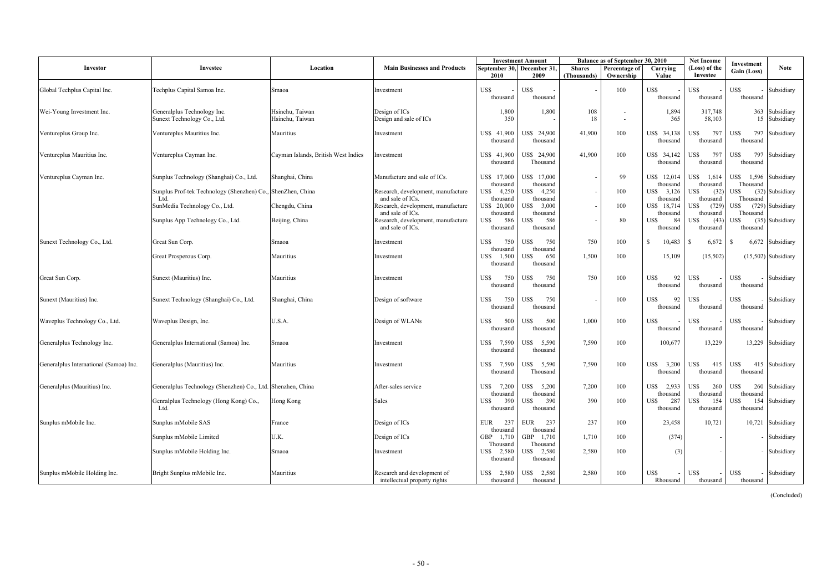|                                        |                                                                     |                                     |                                                                            | <b>Investment Amount</b>                                              |                              | Balance as of September 30, 2010           |                                     | <b>Net Income</b>                    | Investment                          |                                 |
|----------------------------------------|---------------------------------------------------------------------|-------------------------------------|----------------------------------------------------------------------------|-----------------------------------------------------------------------|------------------------------|--------------------------------------------|-------------------------------------|--------------------------------------|-------------------------------------|---------------------------------|
| Investor                               | Investee                                                            | Location                            | <b>Main Businesses and Products</b>                                        | September 30, December 31,<br>2010<br>2009                            | <b>Shares</b><br>(Thousands) | Percentage of<br>Ownership                 | Carrying<br>Value                   | (Loss) of the<br>Investee            | Gain (Loss)                         | <b>Note</b>                     |
| Global Techplus Capital Inc.           | Techplus Capital Samoa Inc.                                         | Smaoa                               | Investment                                                                 | US\$<br>US\$<br>thousand<br>thousand                                  |                              | 100                                        | US\$<br>thousand                    | US\$<br>thousand                     | US\$<br>thousand                    | Subsidiary                      |
| Wei-Young Investment Inc.              | Generalplus Technology Inc.<br>Sunext Technology Co., Ltd.          | Hsinchu, Taiwan<br>Hsinchu, Taiwan  | Design of ICs<br>Design and sale of ICs                                    | 1,800<br>350                                                          | 1,800<br>108<br>18           | $\overline{\phantom{a}}$<br>$\blacksquare$ | 1,894<br>365                        | 317,748<br>58,103                    |                                     | 363 Subsidiary<br>15 Subsidiary |
| Ventureplus Group Inc.                 | Ventureplus Mauritius Inc.                                          | Mauritius                           | Investment                                                                 | US\$ 41,900<br>US\$ 24,900<br>thousand<br>thousand                    | 41,900                       | 100                                        | US\$ 34,138<br>thousand             | 797<br>US\$<br>thousand              | 797<br>US\$<br>thousand             | Subsidiary                      |
| Ventureplus Mauritius Inc.             | Ventureplus Cayman Inc.                                             | Cayman Islands, British West Indies | Investment                                                                 | US\$ 24,900<br>US\$ 41,900<br>thousand<br>Thousand                    | 41,900                       | 100                                        | US\$ 34,142<br>thousand             | 797<br>US\$<br>thousand              | US\$<br>797<br>thousand             | Subsidiary                      |
| Ventureplus Cayman Inc.                | Sunplus Technology (Shanghai) Co., Ltd.                             | Shanghai, China                     | Manufacture and sale of ICs.                                               | US\$ 17,000<br>US\$ 17,000                                            |                              | 99                                         | US\$ 12,014                         | US\$<br>1,614<br>thousand            | US\$<br>Thousand                    | 1,596 Subsidiary                |
|                                        | Sunplus Prof-tek Technology (Shenzhen) Co., ShenZhen, China<br>Ltd. |                                     | Research, development, manufacture<br>and sale of ICs.                     | thousand<br>thousand<br>4,250<br>US\$<br>US\$<br>thousand<br>thousand | 4,250                        | 100                                        | thousand<br>US\$ 3,126<br>thousand  | US\$<br>(32)<br>thousand             | US\$<br>Thousand                    | (32) Subsidiary                 |
|                                        | SunMedia Technology Co., Ltd.                                       | Chengdu, China                      | Research, development, manufacture                                         | US\$ 20,000<br>US\$                                                   | 3,000                        | 100                                        | US\$ 18,714                         | US\$<br>(729)                        | US\$                                | (729) Subsidiary                |
|                                        | Sunplus App Technology Co., Ltd.                                    | Beijing, China                      | and sale of ICs.<br>Research, development, manufacture<br>and sale of ICs. | thousand<br>thousand<br>586<br>US\$<br>US\$<br>thousand<br>thousand   | 586                          | 80                                         | thousand<br>84<br>US\$<br>thousand  | thousand<br>US\$<br>(43)<br>thousand | Thousand<br>US\$<br>thousand        | (35) Subsidiary                 |
| Sunext Technology Co., Ltd.            | Great Sun Corp.                                                     | <b>Smaoa</b>                        | Investment                                                                 | US\$<br>750<br>US\$                                                   | 750<br>750                   | 100                                        | -\$<br>10,483                       | 6,672<br>-S                          | -S                                  | 6,672 Subsidiary                |
|                                        | Great Prosperous Corp.                                              | Mauritius                           | Investment                                                                 | thousand<br>thousand<br>US\$<br>1,500<br>US\$<br>thousand<br>thousand | 1,500<br>650                 | 100                                        | 15,109                              | (15,502)                             |                                     | $(15,502)$ Subsidiary           |
| Great Sun Corp.                        | Sunext (Mauritius) Inc.                                             | Mauritius                           | Investment                                                                 | 750<br>US\$<br>US\$<br>thousand<br>thousand                           | 750<br>750                   | 100                                        | 92<br>US\$<br>thousand              | US\$<br>thousand                     | US\$<br>thousand                    | - Subsidiary                    |
| Sunext (Mauritius) Inc.                | Sunext Technology (Shanghai) Co., Ltd.                              | Shanghai, China                     | Design of software                                                         | 750<br>US\$<br>US\$<br>thousand<br>thousand                           | 750                          | 100                                        | 92<br>US\$<br>thousand              | US\$<br>thousand                     | US\$<br>thousand                    | Subsidiary                      |
| Waveplus Technology Co., Ltd.          | Waveplus Design, Inc.                                               | U.S.A.                              | Design of WLANs                                                            | US\$<br>US\$<br>500<br>thousand<br>thousand                           | 500<br>1,000                 | 100                                        | US\$<br>thousand                    | US\$<br>thousand                     | US\$<br>thousand                    | Subsidiary                      |
| Generalplus Technology Inc.            | Generalplus International (Samoa) Inc.                              | <b>Smaoa</b>                        | Investment                                                                 | US\$<br>US\$<br>7,590<br>thousand<br>thousand                         | 5,590<br>7,590               | 100                                        | 100,677                             | 13,229                               |                                     | 13,229 Subsidiary               |
| Generalplus International (Samoa) Inc. | Generalplus (Mauritius) Inc.                                        | Mauritius                           | Investment                                                                 | 7,590<br>US\$<br>US\$<br>Thousand<br>thousand                         | 5,590<br>7,590               | 100                                        | US\$<br>3,200<br>thousand           | US\$<br>415<br>thousand              | US\$<br>thousand                    | 415 Subsidiary                  |
| Generalplus (Mauritius) Inc.           | Generalplus Technology (Shenzhen) Co., Ltd. Shenzhen, China         |                                     | After-sales service                                                        | US\$<br>7,200<br>US\$                                                 | 5,200<br>7,200               | 100                                        | 2,933<br>US\$                       | US\$<br>260                          | US\$                                | 260 Subsidiary                  |
|                                        | Genralplus Technology (Hong Kong) Co.,<br>Ltd.                      | Hong Kong                           | Sales                                                                      | thousand<br>thousand<br>390<br>US\$<br>US\$<br>thousand<br>thousand   | 390<br>390                   | 100                                        | thousand<br>287<br>US\$<br>thousand | thousand<br>US\$<br>154<br>thousand  | thousand<br>US\$<br>154<br>thousand | Subsidiary                      |
| Sunplus mMobile Inc.                   | Sunplus mMobile SAS                                                 | France                              | Design of ICs                                                              | 237<br><b>EUR</b><br><b>EUR</b>                                       | 237<br>237                   | 100                                        | 23,458                              | 10,721                               |                                     | 10,721 Subsidiary               |
|                                        | Sunplus mMobile Limited                                             | U.K.                                | Design of ICs                                                              | thousand<br>thousand<br>1,710<br>GBP<br>GBP                           | 1,710<br>1,710               | 100                                        | (374)                               |                                      |                                     | - Subsidiary                    |
|                                        | Sunplus mMobile Holding Inc.                                        | Smaoa                               | Investment                                                                 | Thousand<br>Thousand<br>US\$ 2,580<br>US\$<br>thousand<br>thousand    | 2,580<br>2,580               | 100                                        | (3)                                 |                                      |                                     | - Subsidiary                    |
| Sunplus mMobile Holding Inc.           | Bright Sunplus mMobile Inc.                                         | Mauritius                           | Research and development of<br>intellectual property rights                | US\$<br>US\$<br>2,580<br>thousand<br>thousand                         | 2,580<br>2,580               | 100                                        | US\$<br>Rhousand                    | US\$<br>thousand                     | US\$<br>thousand                    | - Subsidiary                    |

(Concluded)